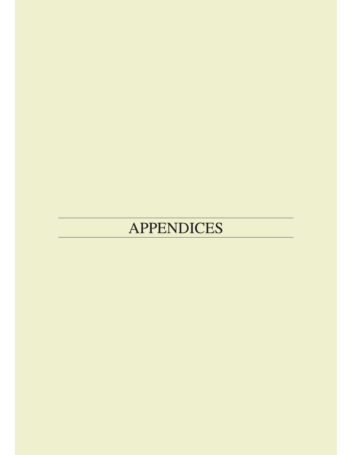# **APPENDICES**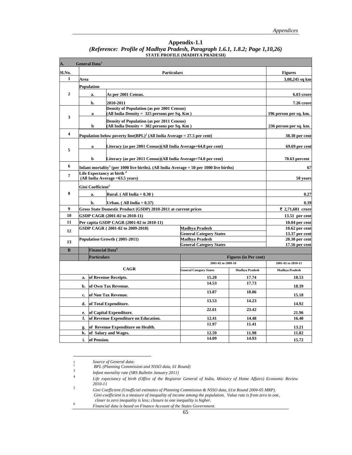| Appendix-1.1                                                                 |
|------------------------------------------------------------------------------|
| (Reference: Profile of Madhya Pradesh, Paragraph 1.6.1, 1.8.2; Page 1,10,26) |
| <b>STATE PROFILE (MADHYA PRADESH)</b>                                        |

| A.                                     |                                                                   | General Data <sup>1</sup>          |                                                                                                     |                                                  |                              |                                  |  |
|----------------------------------------|-------------------------------------------------------------------|------------------------------------|-----------------------------------------------------------------------------------------------------|--------------------------------------------------|------------------------------|----------------------------------|--|
| Sl.No.                                 |                                                                   |                                    |                                                                                                     | <b>Figures</b>                                   |                              |                                  |  |
| $\mathbf{1}$                           | Area                                                              |                                    |                                                                                                     |                                                  |                              | 3,08,245 sq km                   |  |
|                                        |                                                                   | Population                         |                                                                                                     |                                                  |                              |                                  |  |
| $\mathbf{2}$                           |                                                                   | a.                                 | 6.03 crore                                                                                          |                                                  |                              |                                  |  |
|                                        |                                                                   | b.                                 | 2010-2011                                                                                           |                                                  |                              | 7.26 crore                       |  |
|                                        |                                                                   | $\bf{a}$                           | Density of Population (as per 2001 Census)<br>(All India Density = $325$ persons per Sq. Km)        |                                                  |                              | 196 person per sq. km.           |  |
| 3                                      |                                                                   |                                    | Density of Population (as per 2011 Census)                                                          |                                                  |                              | 236 person per sq. km.           |  |
|                                        | (All India Density = $382$ persons per Sq. Km)<br>b               |                                    |                                                                                                     |                                                  |                              |                                  |  |
| $\overline{\bf{4}}$                    |                                                                   |                                    | Population below poverty line(BPL) <sup>2</sup> (All India Average = 27.5 per cent)                 |                                                  |                              | 38.30 per cent                   |  |
| 5                                      |                                                                   | $\bf{a}$                           | Literacy (as per 2001 Census)(All India Average=64.8 per cent)                                      |                                                  |                              | 69.69 per cent                   |  |
|                                        |                                                                   | b                                  | Literacy (as per 2011 Census)(All India Average=74.0 per cent)                                      |                                                  |                              | $70.63$ percent                  |  |
| 6                                      |                                                                   |                                    | Infant mortality <sup>3</sup> (per 1000 live births). (All India Average = 50 per 1000 live births) |                                                  |                              | 67                               |  |
| 7                                      |                                                                   |                                    | Life Expectancy at birth <sup>4</sup>                                                               |                                                  |                              | 58 years                         |  |
|                                        | (All India Average = 63.5 years)<br>Gini Coefficient <sup>5</sup> |                                    |                                                                                                     |                                                  |                              |                                  |  |
| 8<br>Rural. $(All India = 0.30)$<br>a. |                                                                   |                                    |                                                                                                     |                                                  | 0.27                         |                                  |  |
|                                        | b.<br>Urban. (All India $= 0.37$ )                                |                                    |                                                                                                     |                                                  |                              | 0.39                             |  |
| 9                                      |                                                                   |                                    | Gross State Domestic Product (GSDP) 2010-2011 at current prices                                     |                                                  |                              | ₹ 2,71,681 crore                 |  |
| 10                                     |                                                                   |                                    | GSDP CAGR (2001-02 to 2010-11)                                                                      |                                                  |                              | 13.51 per cent                   |  |
| 11                                     |                                                                   |                                    | Per capita GSDP CAGR (2001-02 to 2010-11)                                                           |                                                  |                              | 10.04 per cent                   |  |
| 12                                     |                                                                   |                                    | GSDP CAGR (2001-02 to 2009-2010)                                                                    | Madhya Pradesh                                   |                              | $10.62$ per cent                 |  |
|                                        |                                                                   |                                    |                                                                                                     | <b>General Category States</b>                   |                              | 13.37 per cent                   |  |
| 13                                     |                                                                   |                                    | Population Growth (2001-2011)                                                                       | Madhya Pradesh<br><b>General Category States</b> |                              | 20.30 per cent<br>17.56 per cent |  |
| $\bf{B}$                               |                                                                   | <b>Financial Data</b> <sup>6</sup> |                                                                                                     |                                                  |                              |                                  |  |
|                                        |                                                                   | <b>Particulars</b>                 |                                                                                                     |                                                  | <b>Figures (in Per cent)</b> |                                  |  |
|                                        |                                                                   |                                    |                                                                                                     | 2001-02 to 2009-10                               |                              | 2001-02 to 2010-11               |  |
|                                        |                                                                   |                                    | <b>CAGR</b>                                                                                         | <b>General Category States</b>                   | <b>Madhya Pradesh</b>        | <b>Madhya Pradesh</b>            |  |
|                                        | a.                                                                |                                    | of Revenue Receipts.                                                                                | 15.20                                            | 17.74                        | 18.53                            |  |
|                                        | b.                                                                |                                    | of Own Tax Revenue.                                                                                 | 14.53                                            | 17.73                        | 18.39                            |  |
|                                        | c.                                                                |                                    | of Non Tax Revenue.                                                                                 | 13.87                                            | 18.86                        | 15.18                            |  |
|                                        | d.                                                                |                                    | of Total Expenditure.                                                                               | 13.53                                            | 14.23                        | 14.92                            |  |
|                                        | e.                                                                |                                    | of Capital Expenditure.                                                                             | 22.61                                            | 23.42                        | 21.96                            |  |
|                                        | f.                                                                |                                    | of Revenue Expenditure on Education.                                                                | 12.41                                            | 14.48                        | 16.40                            |  |
|                                        | g.                                                                |                                    | of Revenue Expenditure on Health.                                                                   | 11.97                                            | 11.41                        | 13.21                            |  |
|                                        | h.                                                                | of Pension.                        | of Salary and Wages.                                                                                | 12.59<br>14.09                                   | 11.98<br>14.93               | 11.82                            |  |
|                                        | i.                                                                | 15.72                              |                                                                                                     |                                                  |                              |                                  |  |

<sup>1</sup> *Source of General data:*

<sup>2</sup> *BPL (Planning Commission and NSSO data, 61 Round)* <sup>3</sup> *Infant mortality rate (SRS Bulletin January 2011)*

<sup>4</sup> *Life expectancy of birth (Office of the Registrar General of India, Ministry of Home Affairs) Economic Review* 

*<sup>2010-11</sup>* <sup>5</sup> *Gini Coefficient (Unofficial estimates of Planning Commission & NSSO data, 61st Round 2004-05 MRP).*  *Gini-coefficient is a measure of inequality of income among the population. Value rate is from zero to one, closer to zero inequality is less; closure to one inequality is higher.* 

<sup>6</sup> *Financial data is based on Finance Account of the States Government.*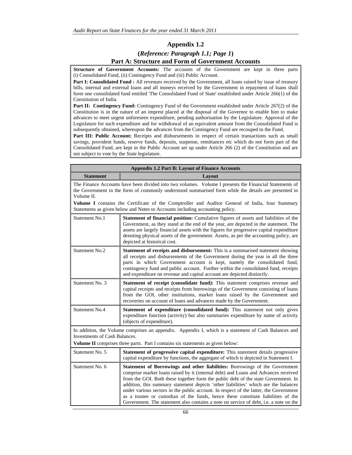#### **Appendix 1.2**

### **(***Reference: Paragraph 1.1; Page 1***)**

#### **Part A: Structure and Form of Government Accounts**

**Structure of Government Accounts:** The accounts of the Government are kept in three parts (i) Consolidated Fund, (ii) Contingency Fund and (iii) Public Account.

Part I: Consolidated Fund : All revenues received by the Government, all loans raised by issue of treasury bills, internal and external loans and all moneys received by the Government in repayment of loans shall form one consolidated fund entitled 'The Consolidated Fund of State' established under Article 266(1) of the Constitution of India.

**Part II: Contingency Fund:** Contingency Fund of the Government established under Article 267(2) of the Constitution is in the nature of an imprest placed at the disposal of the Governor to enable him to make advances to meet urgent unforeseen expenditure, pending authorisation by the Legislature. Approval of the Legislature for such expenditure and for withdrawal of an equivalent amount from the Consolidated Fund is subsequently obtained, whereupon the advances from the Contingency Fund are recouped to the Fund.

Part III: Public Account: Receipts and disbursements in respect of certain transactions such as small savings, provident funds, reserve funds, deposits, suspense, remittances etc which do not form part of the Consolidated Fund, are kept in the Public Account set up under Article 266 (2) of the Constitution and are not subject to vote by the State legislature.

|                                                                                                                                                                                                                                                                                                                                                                                                                                            | <b>Appendix 1.2 Part B: Layout of Finance Accounts</b>                                                                                                                                                                                                                                                                                                                                                                                                                                                                                                                                                                       |  |  |  |  |  |
|--------------------------------------------------------------------------------------------------------------------------------------------------------------------------------------------------------------------------------------------------------------------------------------------------------------------------------------------------------------------------------------------------------------------------------------------|------------------------------------------------------------------------------------------------------------------------------------------------------------------------------------------------------------------------------------------------------------------------------------------------------------------------------------------------------------------------------------------------------------------------------------------------------------------------------------------------------------------------------------------------------------------------------------------------------------------------------|--|--|--|--|--|
| <b>Statement</b>                                                                                                                                                                                                                                                                                                                                                                                                                           | Layout                                                                                                                                                                                                                                                                                                                                                                                                                                                                                                                                                                                                                       |  |  |  |  |  |
| The Finance Accounts have been divided into two volumes. Volume I presents the Financial Statements of<br>the Government in the form of commonly understood summarised form while the details are presented in<br>Volume II.<br>Volume I contains the Certificate of the Comptroller and Auditor General of India, four Summary<br>Statements as given below and Notes to Accounts including accounting policy.                            |                                                                                                                                                                                                                                                                                                                                                                                                                                                                                                                                                                                                                              |  |  |  |  |  |
|                                                                                                                                                                                                                                                                                                                                                                                                                                            |                                                                                                                                                                                                                                                                                                                                                                                                                                                                                                                                                                                                                              |  |  |  |  |  |
| Statement No.1<br>Statement of financial position: Cumulative figures of assets and liabilities of the<br>Government, as they stand at the end of the year, are depicted in the statement. The<br>assets are largely financial assets with the figures for progressive capital expenditure<br>denoting physical assets of the government. Assets, as per the accounting policy, are<br>depicted at historical cost.                        |                                                                                                                                                                                                                                                                                                                                                                                                                                                                                                                                                                                                                              |  |  |  |  |  |
| Statement No.2<br><b>Statement of receipts and disbursement:</b> This is a summarised statement showing<br>all receipts and disbursements of the Government during the year in all the three<br>parts in which Government account is kept, namely the consolidated fund,<br>contingency fund and public account. Further within the consolidated fund, receipts<br>and expenditure on revenue and capital account are depicted distinctly. |                                                                                                                                                                                                                                                                                                                                                                                                                                                                                                                                                                                                                              |  |  |  |  |  |
| Statement No. 3<br>Statement of receipt (consolidate fund): This statement comprises revenue and<br>capital receipts and receipts from borrowings of the Government consisting of loans<br>from the GOI, other institutions, market loans raised by the Government and<br>recoveries on account of loans and advances made by the Government.                                                                                              |                                                                                                                                                                                                                                                                                                                                                                                                                                                                                                                                                                                                                              |  |  |  |  |  |
| Statement No.4                                                                                                                                                                                                                                                                                                                                                                                                                             | <b>Statement of expenditure (consolidated fund):</b> This statement not only gives<br>expenditure function (activity) but also summaries expenditure by name of activity<br>(objects of expenditure).                                                                                                                                                                                                                                                                                                                                                                                                                        |  |  |  |  |  |
| <b>Investments of Cash Balances.</b>                                                                                                                                                                                                                                                                                                                                                                                                       | In addition, the Volume comprises an appendix. Appendix I, which is a statement of Cash Balances and<br><b>Volume II</b> comprises three parts. Part I contains six statements as given below:                                                                                                                                                                                                                                                                                                                                                                                                                               |  |  |  |  |  |
| Statement No. 5                                                                                                                                                                                                                                                                                                                                                                                                                            | <b>Statement of progressive capital expenditure:</b> This statement details progressive<br>capital expenditure by functions, the aggregate of which is depicted in Statement I.                                                                                                                                                                                                                                                                                                                                                                                                                                              |  |  |  |  |  |
| Statement No. 6                                                                                                                                                                                                                                                                                                                                                                                                                            | Statement of Borrowings and other liabilities: Borrowings of the Government<br>comprise market loans raised by it (internal debt) and Loans and Advances received<br>from the GOI. Both these together form the public debt of the state Government. In<br>addition, this summary statement depicts 'other liabilities' which are the balances<br>under various sectors in the public account. In respect of the latter, the Government<br>as a trustee or custodian of the funds, hence these constitute liabilities of the<br>Government. The statement also contains a note on service of debt, <i>i.e.</i> a note on the |  |  |  |  |  |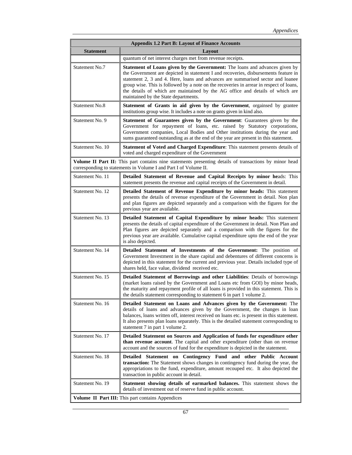|                  | <b>Appendix 1.2 Part B: Layout of Finance Accounts</b>                                                                                                                                                                                                                                                                                                                                                                                                                           |  |  |  |  |  |
|------------------|----------------------------------------------------------------------------------------------------------------------------------------------------------------------------------------------------------------------------------------------------------------------------------------------------------------------------------------------------------------------------------------------------------------------------------------------------------------------------------|--|--|--|--|--|
| <b>Statement</b> | Layout                                                                                                                                                                                                                                                                                                                                                                                                                                                                           |  |  |  |  |  |
|                  | quantum of net interest charges met from revenue receipts.                                                                                                                                                                                                                                                                                                                                                                                                                       |  |  |  |  |  |
| Statement No.7   | <b>Statement of Loans given by the Government:</b> The loans and advances given by<br>the Government are depicted in statement I and recoveries, disbursements feature in<br>statement 2, 3 and 4. Here, loans and advances are summarised sector and loanee<br>group wise. This is followed by a note on the recoveries in arrear in respect of loans,<br>the details of which are maintained by the AG office and details of which are<br>maintained by the State departments. |  |  |  |  |  |
| Statement No.8   | Statement of Grants in aid given by the Government, orgainsed by grantee<br>institutions group wise. It includes a note on grants given in kind also.                                                                                                                                                                                                                                                                                                                            |  |  |  |  |  |
| Statement No. 9  | Statement of Guarantees given by the Government: Guarantees given by the<br>Government for repayment of loans, etc. raised by Statutory corporations,<br>Government companies, Local Bodies and Other institutions during the year and<br>sums guaranteed outstanding as at the end of the year are present in this statement.                                                                                                                                                   |  |  |  |  |  |
| Statement No. 10 | Statement of Voted and Charged Expenditure: This statement presents details of<br>voted and charged expenditure of the Government                                                                                                                                                                                                                                                                                                                                                |  |  |  |  |  |
|                  | Volume II Part II: This part contains nine statements presenting details of transactions by minor head<br>corresponding to statements in Volume I and Part I of Volume II.                                                                                                                                                                                                                                                                                                       |  |  |  |  |  |
| Statement No. 11 | Detailed Statement of Revenue and Capital Receipts by minor heads: This<br>statement presents the revenue and capital receipts of the Government in detail.                                                                                                                                                                                                                                                                                                                      |  |  |  |  |  |
| Statement No. 12 | Detailed Statement of Revenue Expenditure by minor heads: This statement<br>presents the details of revenue expenditure of the Government in detail. Non plan<br>and plan figures are depicted separately and a comparison with the figures for the<br>previous year are available.                                                                                                                                                                                              |  |  |  |  |  |
| Statement No. 13 | Detailed Statement of Capital Expenditure by minor heads: This statement<br>presents the details of capital expenditure of the Government in detail. Non Plan and<br>Plan figures are depicted separately and a comparison with the figures for the<br>previous year are available. Cumulative capital expenditure upto the end of the year<br>is also depicted.                                                                                                                 |  |  |  |  |  |
| Statement No. 14 | Detailed Statement of Investments of the Government: The position of<br>Government Investment in the share capital and debentures of different concerns is<br>depicted in this statement for the current and previous year. Details included type of<br>shares held, face value, dividend received etc.                                                                                                                                                                          |  |  |  |  |  |
| Statement No. 15 | Detailed Statement of Borrowings and other Liabilities: Details of borrowings<br>(market loans raised by the Government and Loans etc from GOI) by minor heads,<br>the maturity and repayment profile of all loans is provided in this statement. This is<br>the details statement corresponding to statement 6 in part 1 volume 2.                                                                                                                                              |  |  |  |  |  |
| Statement No. 16 | Detailed Statement on Loans and Advances given by the Government: The<br>details of loans and advances given by the Government, the changes in loan<br>balances, loans written off, interest received on loans etc. is present in this statement.<br>It also presents plan loans separately. This is the detailed statement corresponding to<br>statement 7 in part 1 volume 2.                                                                                                  |  |  |  |  |  |
| Statement No. 17 | Detailed Statement on Sources and Application of funds for expenditure other<br>than revenue account. The capital and other expenditure (other than on revenue<br>account and the sources of fund for the expenditure is depicted in the statement.                                                                                                                                                                                                                              |  |  |  |  |  |
| Statement No. 18 | Detailed Statement on Contingency Fund and other Public Account<br>transaction: The Statement shows changes in contingency fund during the year, the<br>appropriations to the fund, expenditure, amount recouped etc. It also depicted the<br>transaction in public account in detail.                                                                                                                                                                                           |  |  |  |  |  |
| Statement No. 19 | <b>Statement showing details of earmarked balances.</b> This statement shows the<br>details of investment out of reserve fund in public account.                                                                                                                                                                                                                                                                                                                                 |  |  |  |  |  |
|                  | Volume II Part III: This part contains Appendices                                                                                                                                                                                                                                                                                                                                                                                                                                |  |  |  |  |  |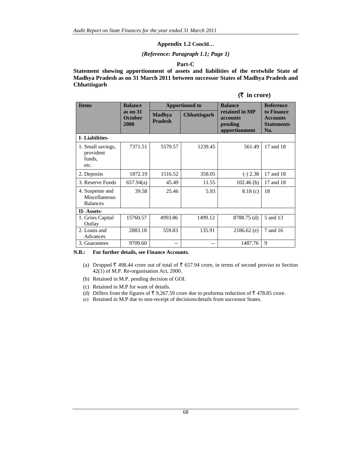#### **Appendix 1.2 Concld…**

#### *(Reference: Paragraph 1.1; Page 1)*

#### **Part-C**

**Statement showing apportionment of assets and liabilities of the erstwhile State of Madhya Pradesh as on 31 March 2011 between successor States of Madhya Pradesh and Chhattisgarh**

| $(\bar{\tau}$ in crore) |  |  |
|-------------------------|--|--|
|-------------------------|--|--|

| <b>Items</b>                                        | <b>Balance</b>                       | <b>Apportioned to</b>           |              | <b>Balance</b>                                         | <b>Reference</b>                                          |
|-----------------------------------------------------|--------------------------------------|---------------------------------|--------------|--------------------------------------------------------|-----------------------------------------------------------|
|                                                     | as on $31$<br><b>October</b><br>2000 | <b>Madhya</b><br><b>Pradesh</b> | Chhattisgarh | retained in MP<br>accounts<br>pending<br>apportionment | to Finance<br><b>Accounts</b><br><b>Statements</b><br>No. |
| <b>I</b> -Liabilities-                              |                                      |                                 |              |                                                        |                                                           |
| 1. Small savings,<br>provident<br>funds,<br>etc.    | 7371.51                              | 5570.57                         | 1239.45      | 561.49                                                 | 17 and 18                                                 |
| 2. Deposits                                         | 1872.19                              | 1516.52                         | 358.05       | $(-) 2.38$                                             | 17 and 18                                                 |
| 3. Reserve Funds                                    | 657.94(a)                            | 45.49                           | 11.55        | 102.46(b)                                              | 17 and 18                                                 |
| 4. Suspense and<br>Miscellaneous<br><b>Balances</b> | 39.58                                | 25.46                           | 5.93         | 8.18(c)                                                | 18                                                        |
| <b>II-</b> Assets-                                  |                                      |                                 |              |                                                        |                                                           |
| 1. Gross Capital<br>Outlay                          | 15760.57                             | 4993.86                         | 1499.12      | 8788.75 (d)                                            | 5 and 13                                                  |
| 2. Loans and<br>Advances                            | 2883.18                              | 559.83                          | 135.91       | $2186.62$ (e)                                          | 7 and 16                                                  |
| 3. Guarantees                                       | 9709.60                              | --                              |              | 1487.76                                                | 9                                                         |

#### **N.B.: For further details, see Finance Accounts.**

- (a) Dropped  $\bar{\tau}$  498.44 crore out of total of  $\bar{\tau}$  657.94 crore, in terms of second proviso to Section 42(1) of M.P. Re-organisation Act, 2000.
- (b) Retained in M.P. pending decision of GOI.
- (c) Retained in M.P for want of details.
- (d) Differs from the figures of  $\bar{\tau}$  9,267.59 crore due to proforma reduction of  $\bar{\tau}$  478.85 crore.
- (e) Retained in M.P due to non-receipt of decisions/details from successor States.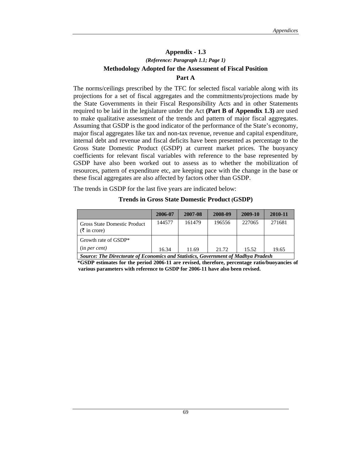# **Appendix - 1.3** *(Reference: Paragraph 1.1; Page 1)*  **Methodology Adopted for the Assessment of Fiscal Position Part A**

The norms/ceilings prescribed by the TFC for selected fiscal variable along with its projections for a set of fiscal aggregates and the commitments/projections made by the State Governments in their Fiscal Responsibility Acts and in other Statements required to be laid in the legislature under the Act **(Part B of Appendix 1.3)** are used to make qualitative assessment of the trends and pattern of major fiscal aggregates. Assuming that GSDP is the good indicator of the performance of the State's economy, major fiscal aggregates like tax and non-tax revenue, revenue and capital expenditure, internal debt and revenue and fiscal deficits have been presented as percentage to the Gross State Domestic Product (GSDP) at current market prices. The buoyancy coefficients for relevant fiscal variables with reference to the base represented by GSDP have also been worked out to assess as to whether the mobilization of resources, pattern of expenditure etc, are keeping pace with the change in the base or these fiscal aggregates are also affected by factors other than GSDP.

The trends in GSDP for the last five years are indicated below:

#### **Trends in Gross State Domestic Product (GSDP)**

|                                                                                                                                                                                                                                                                                                                                                                                                                                       | 2006-07 | 2007-08 | 2008-09 | 2009-10 | 2010-11 |
|---------------------------------------------------------------------------------------------------------------------------------------------------------------------------------------------------------------------------------------------------------------------------------------------------------------------------------------------------------------------------------------------------------------------------------------|---------|---------|---------|---------|---------|
| <b>Gross State Domestic Product</b><br>$(\bar{\tau}$ in crore)                                                                                                                                                                                                                                                                                                                                                                        | 144577  | 161479  | 196556  | 227065  | 271681  |
| Growth rate of GSDP*                                                                                                                                                                                                                                                                                                                                                                                                                  |         |         |         |         |         |
| (in per cent)<br>$C_1, \ldots, C_n$ $T_1, \ldots, T_n, \ldots, T_n, \ldots, T_n, \ldots, T_n, \ldots, T_n, \ldots, \ldots, T_n, \ldots, T_n, \ldots, T_n, \ldots, T_n, \ldots, T_n, \ldots, T_n, \ldots, T_n, \ldots, T_n, \ldots, T_n, \ldots, T_n, \ldots, T_n, \ldots, T_n, \ldots, T_n, \ldots, T_n, \ldots, T_n, \ldots, T_n, \ldots, T_n, \ldots, T_n, \ldots, T_n, \ldots, T_n, \ldots, T_n, \ldots, T_n, \ldots, T_n, \ldots$ | 16.34   | 11.69   | 21.72   | 15.52   | 19.65   |

 **\*GSDP estimates for the period 2006-11 are revised, therefore, percentage ratio/buoyancies of**  *Source: The Directorate of Economics and Statistics, Government of Madhya Pradesh* 

**various parameters with reference to GSDP for 2006-11 have also been revised.**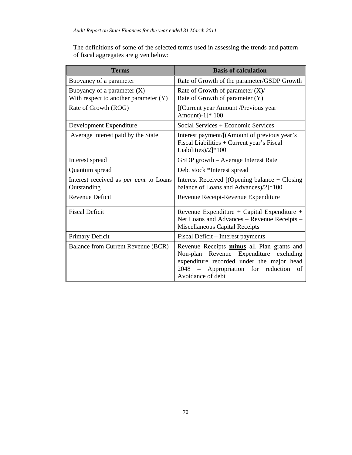The definitions of some of the selected terms used in assessing the trends and pattern of fiscal aggregates are given below:

| <b>Terms</b>                                                           | <b>Basis of calculation</b>                                                                                                                                                                              |
|------------------------------------------------------------------------|----------------------------------------------------------------------------------------------------------------------------------------------------------------------------------------------------------|
| Buoyancy of a parameter                                                | Rate of Growth of the parameter/GSDP Growth                                                                                                                                                              |
| Buoyancy of a parameter $(X)$<br>With respect to another parameter (Y) | Rate of Growth of parameter $(X)$ /<br>Rate of Growth of parameter (Y)                                                                                                                                   |
| Rate of Growth (ROG)                                                   | [(Current year Amount /Previous year<br>Amount)-1]* 100                                                                                                                                                  |
| Development Expenditure                                                | Social Services + Economic Services                                                                                                                                                                      |
| Average interest paid by the State                                     | Interest payment/[(Amount of previous year's<br>Fiscal Liabilities + Current year's Fiscal<br>Liabilities)/2]*100                                                                                        |
| Interest spread                                                        | GSDP growth - Average Interest Rate                                                                                                                                                                      |
| Quantum spread                                                         | Debt stock *Interest spread                                                                                                                                                                              |
| Interest received as <i>per cent</i> to Loans<br>Outstanding           | Interest Received [(Opening balance + Closing<br>balance of Loans and Advances)/2]*100                                                                                                                   |
| Revenue Deficit                                                        | Revenue Receipt-Revenue Expenditure                                                                                                                                                                      |
| <b>Fiscal Deficit</b>                                                  | Revenue Expenditure + Capital Expenditure +<br>Net Loans and Advances - Revenue Receipts -<br>Miscellaneous Capital Receipts                                                                             |
| Primary Deficit                                                        | Fiscal Deficit – Interest payments                                                                                                                                                                       |
| Balance from Current Revenue (BCR)                                     | Revenue Receipts minus all Plan grants and<br>Non-plan Revenue Expenditure<br>excluding<br>expenditure recorded under the major head<br>2048 – Appropriation<br>for reduction<br>of<br>Avoidance of debt |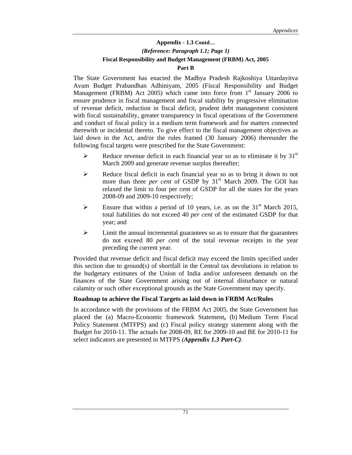# **Appendix - 1.3 Contd…**  *(Reference: Paragraph 1.1; Page 1)*  **Fiscal Responsibility and Budget Management (FRBM) Act, 2005 Part B**

The State Government has enacted the Madhya Pradesh Rajkoshiya Uttardayitva Avam Budget Prabandhan Adhiniyam, 2005 (Fiscal Responsibility and Budget Management (FRBM) Act 2005) which came into force from  $1<sup>st</sup>$  January 2006 to ensure prudence in fiscal management and fiscal stability by progressive elimination of revenue deficit, reduction in fiscal deficit, prudent debt management consistent with fiscal sustainability, greater transparency in fiscal operations of the Government and conduct of fiscal policy in a medium term framework and for matters connected therewith or incidental thereto*.* To give effect to the fiscal management objectives as laid down in the Act, and/or the rules framed (30 January 2006) thereunder the following fiscal targets were prescribed for the State Government:

- Exercise Reduce revenue deficit in each financial year so as to eliminate it by  $31<sup>st</sup>$ March 2009 and generate revenue surplus thereafter;
- ¾ Reduce fiscal deficit in each financial year so as to bring it down to not more than three *per cent* of GSDP by 31<sup>st</sup> March 2009. The GOI has relaxed the limit to four per cent of GSDP for all the states for the years 2008-09 and 2009-10 respectively;
- Ensure that within a period of 10 years, i.e. as on the 31<sup>st</sup> March 2015, total liabilities do not exceed 40 *per cent* of the estimated GSDP for that year; and
- $\triangleright$  Limit the annual incremental guarantees so as to ensure that the guarantees do not exceed 80 *per cent* of the total revenue receipts in the year preceding the current year.

Provided that revenue deficit and fiscal deficit may exceed the limits specified under this section due to ground(s) of shortfall in the Central tax devolutions in relation to the budgetary estimates of the Union of India and/or unforeseen demands on the finances of the State Government arising out of internal disturbance or natural calamity or such other exceptional grounds as the State Government may specify.

#### **Roadmap to achieve the Fiscal Targets as laid down in FRBM Act/Rules**

In accordance with the provisions of the FRBM Act 2005, the State Government has placed the (a) Macro-Economic framework Statement**,** (b) Medium Term Fiscal Policy Statement (MTFPS) and (c) Fiscal policy strategy statement along with the Budget for 2010-11. The actuals for 2008-09, RE for 2009-10 and BE for 2010-11 for select indicators are presented in MTFPS *(Appendix 1.3 Part-C).*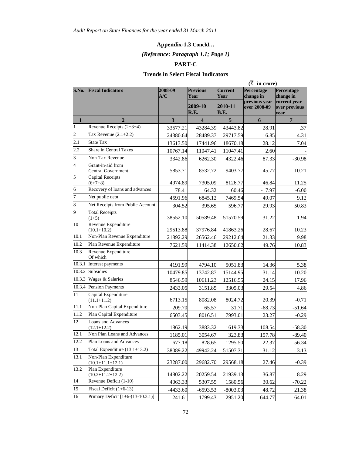#### **Appendix-1.3 Concld…**

# *(Reference: Paragraph 1.1; Page 1)*

#### **PART-C**

# **Trends in Select Fiscal Indicators**

|                         | $(\bar{\zeta}$ in crore)                       |                |                         |                        |                               |                                       |  |
|-------------------------|------------------------------------------------|----------------|-------------------------|------------------------|-------------------------------|---------------------------------------|--|
| S.No.                   | <b>Fiscal Indicators</b>                       | 2008-09<br>A/C | <b>Previous</b><br>Year | <b>Current</b><br>Year | Percentage<br>change in       | Percentage<br>change in               |  |
|                         |                                                |                | 2009-10<br>R.E.         | 2010-11<br>B.E.        | previous year<br>over 2008-09 | current year<br>over previous<br>year |  |
| $\mathbf{1}$            | $\overline{2}$                                 | 3              | $\overline{\mathbf{4}}$ | 5                      | 6                             | $\overline{7}$                        |  |
| $\vert$ 1               | Revenue Receipts $(2+3+4)$                     | 33577.21       | 43284.39                | 43443.82               | 28.91                         | .37                                   |  |
| $\overline{2}$          | Tax Revenue $(2.1+2.2)$                        | 24380.64       | 28489.37                | 29717.59               | 16.85                         | 4.31                                  |  |
| $\overline{2.1}$        | <b>State Tax</b>                               | 13613.50       | 17441.96                | 18670.18               | 28.12                         | 7.04                                  |  |
| 2.2                     | <b>Share in Central Taxes</b>                  | 10767.14       | 11047.41                | 11047.41               | 2.60                          |                                       |  |
| $\overline{\mathbf{3}}$ | Non-Tax Revenue                                | 3342.86        | 6262.30                 | 4322.46                | 87.33                         | $-30.98$                              |  |
| $\overline{4}$          | Grant-in-aid from<br><b>Central Government</b> | 5853.71        | 8532.72                 | 9403.77                | 45.77                         | 10.21                                 |  |
| $\overline{5}$          | Capital Receipts<br>$(6+7+8)$                  | 4974.89        | 7305.09                 | 8126.77                | 46.84                         | 11.25                                 |  |
| $\vert 6 \vert$         | Recovery of loans and advances                 | 78.41          | 64.32                   | 60.46                  | $-17.97$                      | $-6.00$                               |  |
| 7                       | Net public debt                                | 4591.96        | 6845.12                 | 7469.54                | 49.07                         | 9.12                                  |  |
| $\overline{\mathbf{8}}$ | Net Receipts from Public Account               | 304.52         | 395.65                  | 596.77                 | 29.93                         | 50.83                                 |  |
| $\overline{9}$          | <b>Total Receipts</b><br>$(1+5)$               | 38552.10       | 50589.48                | 51570.59               | 31.22                         | 1.94                                  |  |
| 10                      | Revenue Expenditure<br>$(10.1 + 10.2)$         | 29513.88       | 37976.84                | 41863.26               | 28.67                         | 10.23                                 |  |
| 10.1                    | Non-Plan Revenue Expenditure                   | 21892.29       | 26562.46                | 29212.64               | 21.33                         | 9.98                                  |  |
| 10.2                    | Plan Revenue Expenditure                       | 7621.59        | 11414.38                | 12650.62               | 49.76                         | 10.83                                 |  |
| 10.3                    | Revenue Expenditure<br>Of which                |                |                         |                        |                               |                                       |  |
| 10.3.1                  | Interest payments                              | 4191.99        | 4794.10                 | 5051.83                | 14.36                         | 5.38                                  |  |
| 10.3.2                  | Subsidies                                      | 10479.85       | 13742.87                | 15144.95               | 31.14                         | 10.20                                 |  |
| 10.3.3                  | Wages & Salaries                               | 8546.59        | 10611.23                | 12516.55               | 24.15                         | 17.96                                 |  |
|                         | 10.3.4 Pension Payments                        | 2433.05        | 3151.85                 | 3305.03                | 29.54                         | 4.86                                  |  |
| 11                      | Capital Expenditure<br>$(11.1 + 11.2)$         | 6713.15        | 8082.08                 | 8024.72                | 20.39                         | $-0.71$                               |  |
| 11.1                    | Non-Plan Capital Expenditure                   | 209.70         | 65.57                   | 31.71                  | $-68.73$                      | $-51.64$                              |  |
| 11.2                    | Plan Capital Expenditure                       | 6503.45        | 8016.51                 | 7993.01                | 23.27                         | $-0.29$                               |  |
| 12                      | Loans and Advances<br>$(12.1 + 12.2)$          | 1862.19        | 3883.32                 | 1619.33                | 108.54                        | $-58.30$                              |  |
| 12.1                    | Non Plan Loans and Advances                    | 1185.01        | 3054.67                 | 323.83                 | 157.78                        | $-89.40$                              |  |
| 12.2                    | Plan Loans and Advances                        | 677.18         | 828.65                  | 1295.50                | 22.37                         | 56.34                                 |  |
| 13                      | Total Expenditure (13.1+13.2)                  | 38089.22       | 49942.24                | 51507.31               | 31.12                         | 3.13                                  |  |
| 13.1                    | Non-Plan Expenditure<br>$(10.1 + 11.1 + 12.1)$ | 23287.00       | 29682.70                | 29568.18               | 27.46                         | $-0.39$                               |  |
| 13.2                    | Plan Expenditure<br>$(10.2+11.2+12.2)$         | 14802.22       | 20259.54                | 21939.13               | 36.87                         | 8.29                                  |  |
| 14                      | Revenue Deficit (1-10)                         | 4063.33        | 5307.55                 | 1580.56                | 30.62                         | $-70.22$                              |  |
| 15                      | Fiscal Deficit (1+6-13)                        | $-4433.60$     | $-6593.53$              | $-8003.03$             | 48.72                         | 21.38                                 |  |
| 16                      | Primary Deficit $[1+6-(13-10.3.1)]$            | $-241.61$      | $-1799.43$              | $-2951.20$             | 644.77                        | 64.01                                 |  |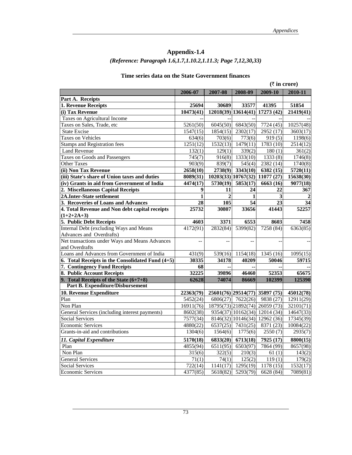# **Appendix-1.4** *(Reference: Paragraph 1.6,1.7,1.10.2,1.11.3; Page 7,12,30,33)*

#### **Time series data on the State Government finances**

|                                                    |              |                |                     |                                   | $(\bar{\tau}$ in crore) |
|----------------------------------------------------|--------------|----------------|---------------------|-----------------------------------|-------------------------|
|                                                    | 2006-07      | 2007-08        | 2008-09             | 2009-10                           | 2010-11                 |
| Part A. Receipts                                   |              |                |                     |                                   |                         |
| 1. Revenue Receipts                                | 25694        | 30689          | 33577               | 41395                             | 51854                   |
| (i) Tax Revenue                                    | 10473(41)    |                |                     | 12018(39)   13614(41)   17273(42) | 21419(41)               |
| Taxes on Agricultural Income                       |              |                |                     |                                   |                         |
| Taxes on Sales, Trade, etc                         | 5261(50)     | 6045(50)       | 6843(50)            | 7724 (45)                         | 10257(48)               |
| State Excise                                       | 1547(15)     | 1854(15)       | 2302(17)            | 2952 (17)                         | 3603(17)                |
| <b>Taxes on Vehicles</b>                           | 634(6)       | 703(6)         | 773(6)              | 919(5)                            | 1198(6)                 |
| <b>Stamps and Registration fees</b>                | 1251(12)     | 1532(13)       | 1479(11)            | 1783 (10)                         | 2514(12)                |
| <b>Land Revenue</b>                                | 132(1)       | 129(1)         | 339(2)              | 180(1)                            | 361(2)                  |
| Taxes on Goods and Passengers                      | 745(7)       | 916(8)         | 1333(10)            | 1333(8)                           | 1746(8)                 |
| <b>Other Taxes</b>                                 | 903(9)       | 839(7)         | 545(4)              | 2382 (14)                         | 1740(8)                 |
| (ii) Non Tax Revenue                               | 2658(10)     | 2738(9)        | 3343(10)            | $\overline{6382}$ (15)            | $\overline{5720(11)}$   |
| (iii) State's share of Union taxes and duties      | 8089(31)     |                |                     | 10203(33)   10767(32)   11077(27) | 15638(30)               |
| (iv) Grants in aid from Government of India        | 4474(17)     | 5730(19)       | 5853(17)            | 6663 (16)                         | 9077(18)                |
| 2. Miscellaneous Capital Receipts                  | 9            | 11             | 24                  | 22                                | 367                     |
| 2A.Inter-State settlement                          | $\mathbf{1}$ | $\overline{2}$ | 1                   | 3                                 |                         |
| 3. Recoveries of Loans and Advances                | 28           | 105            | 54                  | 23                                | 34                      |
| 4. Total Revenue and Non debt capital receipts     | 25732        | 30807          | 33656               | 41443                             | 52257                   |
| $(1+2+2A+3)$                                       |              |                |                     |                                   |                         |
| 5. Public Debt Receipts                            | 4603         | 3371           | 6553                | 8603                              | 7458                    |
| Internal Debt (excluding Ways and Means            | 4172(91)     | 2832(84)       | 5399(82)            | 7258 (84)                         | 6363(85)                |
| Advances and Overdrafts)                           |              |                |                     |                                   |                         |
| Net transactions under Ways and Means Advances     |              |                | $\overline{a}$      |                                   |                         |
| and Overdrafts                                     |              |                |                     |                                   |                         |
| Loans and Advances from Government of India        | 431(9)       | 539(16)        | 1154(18)            | 1345 (16)                         | 1095(15)                |
| 6. Total Receipts in the Consolidated Fund $(4+5)$ | 30335        | 34178          | 40209               | 50046                             | 59715                   |
| 7. Contingency Fund Receipts                       | 68           |                |                     |                                   |                         |
| 8. Public Account Receipts                         | 32225        | 39896          | 46460               | 52353                             | 65675                   |
| 9. Total Receipts of the State $(6+7+8)$           | 62628        | 74074          | 86669               | 102399                            | 125390                  |
| <b>Part B. Expenditure/Disbursement</b>            |              |                |                     |                                   |                         |
| 10. Revenue Expenditure                            | 22363(79)    |                |                     | 25601(76) 29514(77) 35897 (75)    | 45012(78)               |
| Plan                                               | 5452(24)     |                | $6806(27)$ 7622(26) | 9838 (27)                         | 12911(29)               |
| Non Plan                                           | 16911(76)    |                |                     | 18795(73) 21892(74) 26059 (73)    | 32101(71)               |
| General Services (including interest payments)     | 8602(38)     |                |                     | 9354(37)   10162(34)   12014(34)  | 14647(33)               |
| <b>Social Services</b>                             | 7577(34)     |                |                     | 8146(32)   10146(34)   12962(36)  | 17345(39)               |
| <b>Economic Services</b>                           | 4880(22)     |                | $6537(25)$ 7431(25) | 8371 (23)                         | 10084(22)               |
| Grants-in-aid and contributions                    | 1304(6)      | 1564(6)        | 1775(6)             | 2550(7)                           | 2935(7)                 |
| 11. Capital Expenditure                            | 5170(18)     | 6833(20)       | 6713(18)            | 7925 (17)                         | 8800(15)                |
| Plan                                               | 4855(94)     | 6511(95)       | 6503(97)            | 7864 (99)                         | 8657(98)                |
| Non Plan                                           | 315(6)       | 322(5)         | 210(3)              | 61(1)                             | 143(2)                  |
| <b>General Services</b>                            | 71(1)        | 74(1)          | 125(2)              | 119(1)                            | 179(2)                  |
| <b>Social Services</b>                             | 722(14)      | 1141(17)       | 1295(19)            | 1178 (15)                         | 1532(17)                |
| <b>Economic Services</b>                           | 4377(85)     | 5618(82)       | 5293(79)            | 6628 (84)                         | 7089(81)                |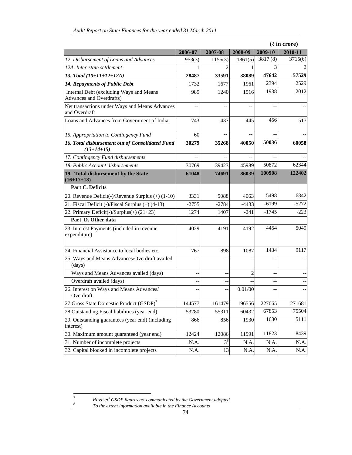|                                                                            | $(\bar{\tau}$ in crore) |                |                |         |         |
|----------------------------------------------------------------------------|-------------------------|----------------|----------------|---------|---------|
|                                                                            | 2006-07                 | 2007-08        | 2008-09        | 2009-10 | 2010-11 |
| 12. Disbursement of Loans and Advances                                     | 953(3)                  | 1155(3)        | 1861(5)        | 3817(8) | 3715(6) |
| 12A. Inter-state settlement                                                |                         | $\mathfrak{D}$ |                | 3       |         |
| 13. Total (10+11+12+12A)                                                   | 28487                   | 33591          | 38089          | 47642   | 57529   |
| <b>14. Repayments of Public Debt</b>                                       | 1732                    | 1677           | 1961           | 2394    | 2529    |
| Internal Debt (excluding Ways and Means<br><b>Advances and Overdrafts)</b> | 989                     | 1240           | 1516           | 1938    | 2012    |
| Net transactions under Ways and Means Advances<br>and Overdraft            |                         |                |                |         |         |
| Loans and Advances from Government of India                                | 743                     | 437            | 445            | 456     | 517     |
| 15. Appropriation to Contingency Fund                                      | 60                      |                |                |         |         |
| 16. Total disbursement out of Consolidated Fund<br>$(13+14+15)$            | 30279                   | 35268          | 40050          | 50036   | 60058   |
| 17. Contingency Fund disbursements                                         | $-$                     | $-$            | $-$            |         |         |
| 18. Public Account disbursements                                           | 30769                   | 39423          | 45989          | 50872   | 62344   |
| 19. Total disbursement by the State<br>$(16+17+18)$                        | 61048                   | 74691          | 86039          | 100908  | 122402  |
| <b>Part C. Deficits</b>                                                    |                         |                |                |         |         |
| 20. Revenue Deficit(-)/Revenue Surplus (+) (1-10)                          | 3331                    | 5088           | 4063           | 5498    | 6842    |
| 21. Fiscal Deficit (-)/Fiscal Surplus (+) (4-13)                           | $-2755$                 | $-2784$        | $-4433$        | $-6199$ | $-5272$ |
| 22. Primary Deficit(-)/Surplus(+) (21+23)                                  | 1274                    | 1407           | $-241$         | $-1745$ | $-223$  |
| Part D. Other data                                                         |                         |                |                |         |         |
| 23. Interest Payments (included in revenue<br>expenditure)                 | 4029                    | 4191           | 4192           | 4454    | 5049    |
| 24. Financial Assistance to local bodies etc.                              | 767                     | 898            | 1087           | 1434    | 9117    |
| 25. Ways and Means Advances/Overdraft availed<br>(days)                    |                         |                |                |         |         |
| Ways and Means Advances availed (days)                                     | --                      | --             | $\overline{2}$ | --      |         |
| Overdraft availed (days)                                                   |                         |                |                |         |         |
| 26. Interest on Ways and Means Advances/<br>Overdraft                      |                         |                | 0.01/00        |         |         |
| 27 Gross State Domestic Product (GSDP) <sup>7</sup>                        | 144577                  | 161479         | 196556         | 227065  | 271681  |
| 28 Outstanding Fiscal liabilities (year end)                               | 53280                   | 55311          | 60432          | 67853   | 75504   |
| 29. Outstanding guarantees (year end) (including<br>interest)              | 866                     | 856            | 1930           | 1630    | 5111    |
| 30. Maximum amount guaranteed (year end)                                   | 12424                   | 12086          | 11991          | 11823   | 8439    |
| 31. Number of incomplete projects                                          | N.A.                    | $3^8$          | N.A.           | N.A.    | N.A.    |
| 32. Capital blocked in incomplete projects                                 | N.A.                    | 13             | N.A.           | N.A.    | N.A.    |

<sup>7</sup> *Revised GSDP figures as communicated by the Government adopted.* <sup>8</sup> *To the extent information available in the Finance Accounts*

<sup>74</sup>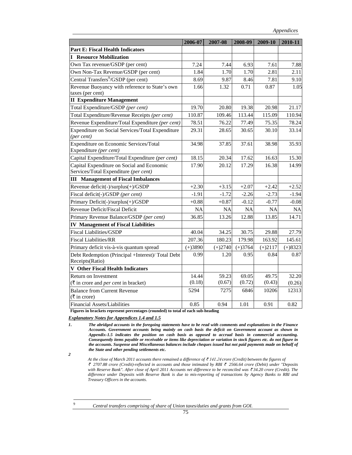|                                                                      | 2006-07   | 2007-08   | 2008-09   | 2009-10   | 2010-11   |
|----------------------------------------------------------------------|-----------|-----------|-----------|-----------|-----------|
| <b>Part E: Fiscal Health Indicators</b>                              |           |           |           |           |           |
| <b>I</b> Resource Mobilization                                       |           |           |           |           |           |
| Own Tax revenue/GSDP (per cent)                                      | 7.24      | 7.44      | 6.93      | 7.61      | 7.88      |
| Own Non-Tax Revenue/GSDP (per cent)                                  | 1.84      | 1.70      | 1.70      | 2.81      | 2.11      |
| Central Transfers <sup>9</sup> /GSDP (per cent)                      | 8.69      | 9.87      | 8.46      | 7.81      | 9.10      |
| Revenue Buoyancy with reference to State's own                       | 1.66      | 1.32      | 0.71      | 0.87      | 1.05      |
| taxes (per cent)                                                     |           |           |           |           |           |
| <b>II</b> Expenditure Management                                     |           |           |           |           |           |
| Total Expenditure/GSDP (per cent)                                    | 19.70     | 20.80     | 19.38     | 20.98     | 21.17     |
| Total Expenditure/Revenue Receipts (per cent)                        | 110.87    | 109.46    | 113.44    | 115.09    | 110.94    |
| Revenue Expenditure/Total Expenditure (per cent)                     | 78.51     | 76.22     | 77.49     | 75.35     | 78.24     |
| Expenditure on Social Services/Total Expenditure<br>(per cent)       | 29.31     | 28.65     | 30.65     | 30.10     | 33.14     |
| Expenditure on Economic Services/Total<br>Expenditure (per cent)     | 34.98     | 37.85     | 37.61     | 38.98     | 35.93     |
| Capital Expenditure/Total Expenditure (per cent)                     | 18.15     | 20.34     | 17.62     | 16.63     | 15.30     |
| Capital Expenditure on Social and Economic                           | 17.90     | 20.12     | 17.29     | 16.38     | 14.99     |
| Services/Total Expenditure (per cent)                                |           |           |           |           |           |
| <b>III</b> Management of Fiscal Imbalances                           |           |           |           |           |           |
| Revenue deficit(-)/surplus(+)/GSDP                                   | $+2.30$   | $+3.15$   | $+2.07$   | $+2.42$   | $+2.52$   |
| Fiscal deficit(-)/GSDP (per cent)                                    | $-1.91$   | $-1.72$   | $-2.26$   | $-2.73$   | $-1.94$   |
| Primary Deficit(-)/surplus(+)/GSDP                                   | $+0.88$   | $+0.87$   | $-0.12$   | $-0.77$   | $-0.08$   |
| Revenue Deficit/Fiscal Deficit                                       | <b>NA</b> | <b>NA</b> | <b>NA</b> | <b>NA</b> | <b>NA</b> |
| Primary Revenue Balance/GSDP (per cent)                              | 36.85     | 13.26     | 12.88     | 13.85     | 14.71     |
| <b>IV Management of Fiscal Liabilities</b>                           |           |           |           |           |           |
| <b>Fiscal Liabilities/GSDP</b>                                       | 40.04     | 34.25     | 30.75     | 29.88     | 27.79     |
| <b>Fiscal Liabilities/RR</b>                                         | 207.36    | 180.23    | 179.98    | 163.92    | 145.61    |
| Primary deficit vis-à-vis quantum spread                             | $(+)3890$ | $(+)2740$ | $(+)3764$ | $(+)2117$ | $(+)8323$ |
| Debt Redemption (Principal +Interest)/ Total Debt<br>Receipts(Ratio) | 0.99      | 1.20      | 0.95      | 0.84      | 0.87      |
| <b>V</b> Other Fiscal Health Indicators                              |           |           |           |           |           |
| <b>Return on Investment</b>                                          | 14.44     | 59.23     | 69.05     | 49.75     | 32.20     |
| $(\bar{\tau}$ in crore and <i>per cent</i> in bracket)               | (0.18)    | (0.67)    | (0.72)    | (0.43)    | (0.26)    |
| <b>Balance from Current Revenue</b>                                  | 5294      | 7275      | 6846      | 10206     | 12313     |
| $(\bar{\bar{\mathbf{\tau}}}$ in crore)                               |           |           |           |           |           |
| <b>Financial Assets/Liabilities</b>                                  | 0.85      | 0.94      | 1.01      | 0.91      | 0.82      |

**Figures in brackets represent percentages (rounded) to total of each sub-heading** 

*Explanatory Notes for Appendices 1.4 and 1.5*

At the close of March 2011 accounts there remained a difference of ₹ 141.24 crore (Credit) between the figures of ` *2707.88 crore (Credit)-reflected in accounts and those intimated by RBI* ` *2566.64 crore (Debit) under "Deposits with Reserve Bank". After close of April 2011 Accounts net difference to be reconciled was* ₹34.20 crore (Credit). The *difference under Deposits with Reserve Bank is due to mis-reporting of transactions by Agency Banks to RBI and Treasury Officers in the accounts.*

9

 *Central transfers comprising of share of Union taxes/duties and grants from GOI.* 

*<sup>1</sup>***.** *The abridged accounts in the foregoing statements have to be read with comments and explanations in the Finance Accounts. Government accounts being mainly on cash basis the deficit on Government account as shown in Appendix-1.5 indicates the position on cash basis as opposed to accrual basis in commercial accounting. Consequently items payable or receivable or items like depreciation or variation in stock figures etc. do not figure in the accounts. Suspense and Miscellaneous balances include cheques issued but not paid payments made on behalf of the State and other pending settlements etc.* 

*<sup>2</sup>*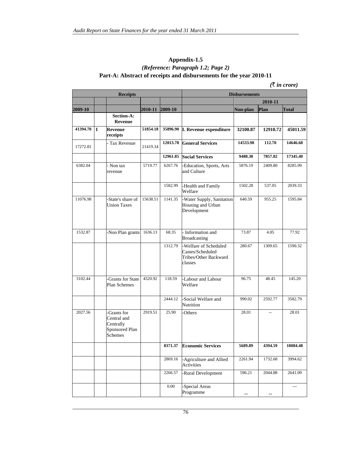# **Appendix-1.5** *(Reference: Paragraph 1.2; Page 2)*  **Part-A: Abstract of receipts and disbursements for the year 2010-11**

# $($  $\bar{\tau}$  *in crore* $)$

|          |             | <b>Receipts</b>                                                      |                 |         |                                                                               | <b>Disbursements</b> |          |              |
|----------|-------------|----------------------------------------------------------------------|-----------------|---------|-------------------------------------------------------------------------------|----------------------|----------|--------------|
|          |             |                                                                      |                 |         |                                                                               |                      | 2010-11  |              |
| 2009-10  |             |                                                                      | 2010-11 2009-10 |         |                                                                               | Non-plan             | Plan     | <b>Total</b> |
|          |             | Section-A:<br>Revenue                                                |                 |         |                                                                               |                      |          |              |
| 41394.70 | $\mathbf I$ | Revenue<br>receipts                                                  | 51854.18        |         | 35896.90 I. Revenue expenditure                                               | 32100.87             | 12910.72 | 45011.59     |
| 17272.81 |             | Tax Revenue                                                          | 21419.34        |         | 12013.78 General Services                                                     | 14533.98             | 112.70   | 14646.68     |
|          |             |                                                                      |                 |         | 12961.85 Social Services                                                      | 9488.38              | 7857.02  | 17345.40     |
| 6382.04  |             | - Non tax<br>revenue                                                 | 5719.77         | 6267.76 | -Education, Sports, Arts<br>and Culture                                       | 5876.19              | 2409.80  | 8285.99      |
|          |             |                                                                      |                 | 1582.99 | -Health and Family<br>Welfare                                                 | 1502.28              | 537.05   | 2039.33      |
| 11076.98 |             | -State's share of<br><b>Union Taxes</b>                              | 15638.51        | 1141.35 | -Water Supply, Sanitation<br>Housing and Urban<br>Development                 | 640.59               | 955.25   | 1595.84      |
| 1532.87  |             | -Non Plan grants                                                     | 1636.13         | 68.35   | - Information and<br>Broadcasting                                             | 73.87                | 4.05     | 77.92        |
|          |             |                                                                      |                 | 1312.79 | -Welfare of Scheduled<br>Castes/Scheduled<br>Tribes/Other Backward<br>classes | 280.67               | 1309.65  | 1590.32      |
| 3102.44  |             | -Grants for State<br>Plan Schemes                                    | 4520.92         | 118.59  | -Labour and Labour<br>Welfare                                                 | 96.75                | 48.45    | 145.20       |
|          |             |                                                                      |                 | 2444.12 | -Social Welfare and<br>Nutrition                                              | 990.02               | 2592.77  | 3582.79      |
| 2027.56  |             | -Grants for<br>Central and<br>Centrally<br>Sponsored Plan<br>Schemes | 2919.51         | 25.90   | -Others                                                                       | 28.01                | $-$      | 28.01        |
|          |             |                                                                      |                 | 8371.37 | <b>Economic Services</b>                                                      | 5689.89              | 4394.59  | 10084.48     |
|          |             |                                                                      |                 | 2869.16 | -Agriculture and Allied<br>Activities                                         | 2261.94              | 1732.68  | 3994.62      |
|          |             |                                                                      |                 | 2266.57 | -Rural Development                                                            | 596.21               | 2044.88  | 2641.09      |
|          |             |                                                                      |                 | 0.00    | Special Areas<br>Programme                                                    |                      |          |              |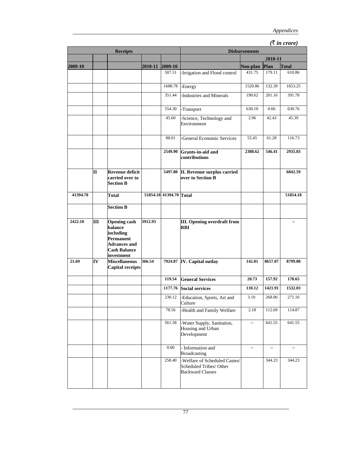# *(*` *in crore)*

|          |    | <b>Receipts</b>                                                                                                      |                 |                         |                                                                                     | <b>Disbursements</b>     |                                                                                              |                          |
|----------|----|----------------------------------------------------------------------------------------------------------------------|-----------------|-------------------------|-------------------------------------------------------------------------------------|--------------------------|----------------------------------------------------------------------------------------------|--------------------------|
|          |    |                                                                                                                      |                 |                         |                                                                                     |                          | 2010-11                                                                                      |                          |
| 2009-10  |    |                                                                                                                      | 2010-11 2009-10 |                         |                                                                                     | Non-plan                 | Plan                                                                                         | Total                    |
|          |    |                                                                                                                      |                 | 507.51                  | -Irrigation and Flood control                                                       | 431.75                   | 179.11                                                                                       | 610.86                   |
|          |    |                                                                                                                      |                 | 1688.78                 | -Energy                                                                             | 1520.86                  | 132.39<br>201.16<br>0.66<br>42.43<br>61.28<br>546.41<br>157.92<br>268.06<br>112.69<br>641.55 | 1653.25                  |
|          |    |                                                                                                                      |                 | 351.44                  | Industries and Minerals                                                             | 190.62                   |                                                                                              | 391.78                   |
|          |    |                                                                                                                      |                 | 554.30                  |                                                                                     | 630.10                   |                                                                                              | 630.76                   |
|          |    |                                                                                                                      |                 | 45.60                   | -Transport                                                                          | 2.96                     |                                                                                              | 45.39                    |
|          |    |                                                                                                                      |                 |                         | -Science, Technology and<br>Environment                                             |                          |                                                                                              |                          |
|          |    |                                                                                                                      |                 | 88.01                   | <b>General Economic Services</b>                                                    | 55.45                    |                                                                                              | 116.73                   |
|          |    |                                                                                                                      |                 | 2549.90                 | Grants-in-aid and<br>contributions                                                  | 2388.62                  |                                                                                              | 2935.03                  |
|          | П  | Revenue deficit<br>carried over to<br><b>Section B</b>                                                               |                 | 5497.80                 | II. Revenue surplus carried<br>over to Section B                                    |                          |                                                                                              | 6842.59                  |
| 41394.70 |    | Total                                                                                                                |                 | 51854.18 41394.70 Total |                                                                                     |                          |                                                                                              | 51854.18                 |
|          |    | <b>Section B</b>                                                                                                     |                 |                         |                                                                                     |                          |                                                                                              |                          |
| 2422.10  | Ш  | <b>Opening cash</b><br>balance<br>including<br>Permanent<br><b>Advances and</b><br><b>Cash Balance</b><br>investment | 3912.93         |                         | III. Opening overdraft from<br>RBI                                                  |                          |                                                                                              |                          |
| 21.69    | IV | <b>Miscellaneous</b><br><b>Capital receipts</b>                                                                      | 366.54          |                         | 7924.87 IV. Capital outlay                                                          | 142.81                   | 8657.07                                                                                      | 8799.88                  |
|          |    |                                                                                                                      |                 | 119.54                  | <b>General Services</b>                                                             | 20.73                    |                                                                                              | 178.65                   |
|          |    |                                                                                                                      |                 | 1177.76                 | Social services                                                                     | 110.12                   | 1421.91                                                                                      | 1532.03                  |
|          |    |                                                                                                                      |                 | 230.12                  | -Education, Sports, Art and<br>Culture                                              | 3.10                     |                                                                                              | 271.16                   |
|          |    |                                                                                                                      |                 | 78.56                   | -Health and Family Welfare                                                          | 2.18                     |                                                                                              | 114.87                   |
|          |    |                                                                                                                      |                 | 561.58                  | -Water Supply, Sanitation,<br>Housing and Urban<br>Development                      | --                       |                                                                                              | 641.55                   |
|          |    |                                                                                                                      |                 | $0.00\,$                | - Information and<br>Broadcasting                                                   | $\overline{\phantom{a}}$ | $\overline{\phantom{a}}$                                                                     | $\overline{\phantom{a}}$ |
|          |    |                                                                                                                      |                 | 258.40                  | -Welfare of Scheduled Castes/<br>Scheduled Tribes/ Other<br><b>Backward Classes</b> |                          | 344.23                                                                                       | 344.23                   |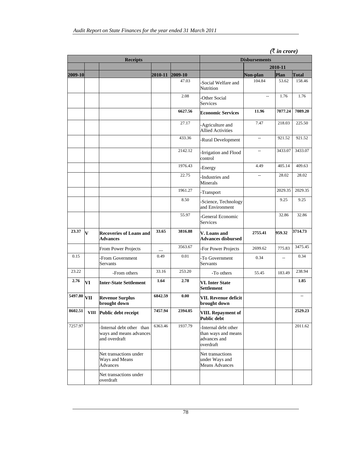|                          |                         | <b>Receipts</b>                                                       |         |            |                                                                         | <b>Disbursements</b>                                                              | $($ $\sqrt{u}$ $\sqrt{v}$ $\sqrt{v}$ |              |
|--------------------------|-------------------------|-----------------------------------------------------------------------|---------|------------|-------------------------------------------------------------------------|-----------------------------------------------------------------------------------|--------------------------------------|--------------|
|                          |                         |                                                                       |         |            | 2010-11                                                                 |                                                                                   |                                      |              |
| 2009-10                  |                         |                                                                       | 2010-11 | $ 2009-10$ |                                                                         | Non-plan                                                                          | Plan                                 | <b>Total</b> |
|                          |                         |                                                                       |         | 47.03      | Social Welfare and<br>Nutrition                                         | 104.84                                                                            | 53.62                                | 158.46       |
|                          |                         |                                                                       |         | 2.08       | Other Social<br>Services                                                |                                                                                   | 1.76                                 | 1.76         |
|                          |                         |                                                                       |         | 6627.56    | <b>Economic Services</b>                                                | 11.96                                                                             | 7077.24                              | 7089.20      |
|                          |                         |                                                                       |         | 27.17      | -Agriculture and<br><b>Allied Activities</b>                            | 7.47<br>218.03<br>921.52<br>$\overline{a}$<br>3433.07<br>$\overline{\phantom{a}}$ |                                      | 225.50       |
|                          |                         |                                                                       |         | 433.36     | -Rural Development                                                      |                                                                                   |                                      | 921.52       |
|                          |                         |                                                                       |         | 2142.12    | -Irrigation and Flood<br>control                                        |                                                                                   |                                      | 3433.07      |
|                          |                         |                                                                       |         | 1976.43    | -Energy                                                                 | 4.49                                                                              | 405.14                               | 409.63       |
|                          |                         |                                                                       |         | 22.75      | Industries and<br>Minerals                                              | 28.02<br>$\overline{a}$<br>2029.35                                                |                                      | 28.02        |
|                          |                         |                                                                       |         | 1961.27    | -Transport                                                              |                                                                                   |                                      | 2029.35      |
|                          |                         |                                                                       |         | 8.50       | Science, Technology<br>and Environment                                  |                                                                                   | 9.25                                 | 9.25         |
|                          |                         |                                                                       |         | 55.97      | General Economic<br>Services                                            |                                                                                   | 32.86                                | 32.86        |
| 23.37                    | $\overline{\mathbf{V}}$ | <b>Recoveries of Loans and</b><br><b>Advances</b>                     | 33.65   | 3816.88    | V. Loans and<br><b>Advances disbursed</b>                               | 2755.41                                                                           | 959.32                               | 3714.73      |
|                          |                         | From Power Projects                                                   |         | 3563.67    | For Power Projects                                                      | 2699.62                                                                           | 775.83                               | 3475.45      |
| 0.15                     |                         | -From Government<br>Servants                                          | 0.49    | 0.01       | To Government<br>Servants                                               | 0.34                                                                              | $\overline{a}$                       | 0.34         |
| 23.22                    |                         | -From others                                                          | 33.16   | 253.20     | -To others                                                              | 55.45                                                                             | 183.49                               | 238.94       |
| 2.76                     | VI                      | <b>Inter-State Settlement</b>                                         | 1.64    | 2.78       | <b>VI. Inter State</b><br>Settlement                                    |                                                                                   |                                      | 1.85         |
| $\overline{5497.80}$ VII |                         | <b>Revenue Surplus</b><br>brought down                                | 6842.59 | 0.00       | VII. Revenue deficit<br>brought down                                    |                                                                                   |                                      |              |
| 8602.51                  |                         | VIII Public debt receipt                                              | 7457.94 | 2394.05    | VIII. Repayment of<br>Public debt                                       |                                                                                   |                                      | 2529.23      |
| 7257.97                  |                         | -Internal debt other than<br>ways and means advances<br>and overdraft | 6363.46 | 1937.79    | Internal debt other<br>than ways and means<br>advances and<br>overdraft |                                                                                   |                                      | 2011.62      |
|                          |                         | Net transactions under<br>Ways and Means<br><b>Advances</b>           |         |            | Net transactions<br>under Ways and<br>Means Advances                    |                                                                                   |                                      |              |
|                          |                         | Net transactions under<br>overdraft                                   |         |            |                                                                         |                                                                                   |                                      |              |

*(*` *in crore)*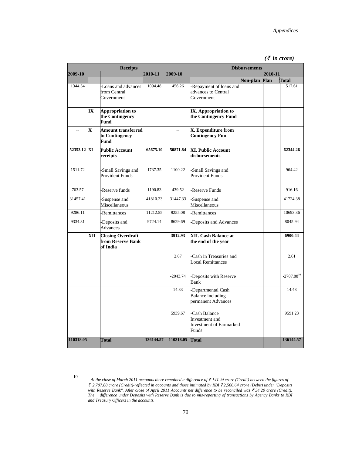|  | $(\bar{\tau}$ in crore) |
|--|-------------------------|
|  |                         |

|                          |     | <b>Receipts</b>                                           |                | <b>Disbursements</b>      |                                                                            |               |         |                 |
|--------------------------|-----|-----------------------------------------------------------|----------------|---------------------------|----------------------------------------------------------------------------|---------------|---------|-----------------|
| 2009-10                  |     |                                                           | $ 2010 - 11 $  | 2009-10                   |                                                                            |               | 2010-11 |                 |
|                          |     |                                                           |                |                           |                                                                            | Non-plan Plan |         | Total           |
| 1344.54                  |     | -Loans and advances<br>from Central<br>Government         | 1094.48        | 456.26                    | -Repayment of loans and<br>advances to Central<br>Government               |               |         | 517.61          |
| $\overline{\phantom{a}}$ | IX  | <b>Appropriation to</b><br>the Contingency<br>Fund        |                | $\mathbf{u} = \mathbf{v}$ | IX. Appropriation to<br>the Contingency Fund                               |               |         |                 |
| ÷.                       | lX. | <b>Amount transferred</b><br>to Contingency<br>Fund       |                | ÷.                        | X. Expenditure from<br><b>Contingency Fun</b>                              |               |         |                 |
| 52353.12 XI              |     | <b>Public Account</b><br>receipts                         | 65675.10       | 50871.84                  | <b>XI. Public Account</b><br>disbursements                                 |               |         | 62344.26        |
| 1511.72                  |     | Small Savings and<br><b>Provident Funds</b>               | 1737.35        | 1100.22                   | Small Savings and<br><b>Provident Funds</b>                                |               |         | 964.42          |
| 763.57                   |     | Reserve funds                                             | 1190.83        | 439.52                    | Reserve Funds                                                              |               |         | 916.16          |
| 31457.41                 |     | Suspense and<br>Miscellaneous                             | 41810.23       | 31447.33                  | -Suspense and<br>Miscellaneous                                             |               |         | 41724.38        |
| 9286.11                  |     | <b>Remittances</b>                                        | 11212.55       | 9255.08                   | <b>Remittances</b>                                                         |               |         | 10693.36        |
| 9334.31                  |     | Deposits and<br><b>Advances</b>                           | 9724.14        | 8629.69                   | -Deposits and Advances                                                     |               |         | 8045.94         |
|                          | XII | <b>Closing Overdraft</b><br>from Reserve Bank<br>of India | $\overline{a}$ | 3912.93                   | <b>XII. Cash Balance at</b><br>the end of the year                         |               |         | 6900.44         |
|                          |     |                                                           |                | 2.67                      | Cash in Treasuries and<br><b>Local Remittances</b>                         |               |         | 2.61            |
|                          |     |                                                           |                | $-2043.74$                | -Deposits with Reserve<br>Bank                                             |               |         | $-2707.88^{10}$ |
|                          |     |                                                           |                | 14.33                     | -Departmental Cash<br><b>Balance</b> including<br>permanent Advances       |               |         | 14.48           |
|                          |     |                                                           |                | 5939.67                   | -Cash Balance<br>Investment and<br><b>Investment of Earmarked</b><br>Funds |               |         | 9591.23         |
| 110318.05                |     | <b>Total</b>                                              | 136144.57      | 110318.05                 | Total                                                                      |               |         | 136144.57       |

<sup>10</sup> *At the close of March 2011 accounts there remained a difference of* ` 141.24 *crore (Credit) between the figures of*  ` *2,707.88 crore (Credit)-reflected in accounts and those intimated by RBI* ` *2,566.64 crore (Debit) under "Deposits with Reserve Bank". After close of April 2011 Accounts net difference to be reconciled was ₹ 34.20 crore (Credit). The difference under Deposits with Reserve Bank is due to mis-reporting of transactions by Agency Banks to RBI and Treasury Officers in the accounts.*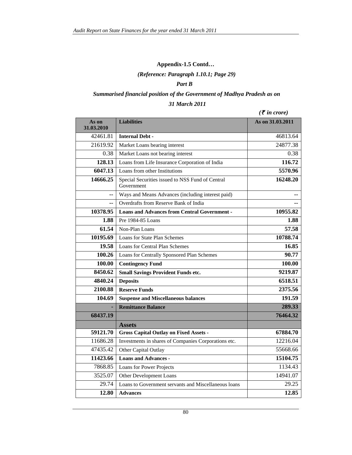# **Appendix-1.5 Contd…**

*(Reference: Paragraph 1.10.1; Page 29)* 

#### *Part B*

# *Summarised financial position of the Government of Madhya Pradesh as on*

#### *31 March 2011*

*(*` *in crore)*

| As on<br>31.03.2010 | <b>Liabilities</b>                                             | As on 31.03.2011 |
|---------------------|----------------------------------------------------------------|------------------|
| 42461.81            | <b>Internal Debt -</b>                                         | 46813.64         |
| 21619.92            | Market Loans bearing interest                                  | 24877.38         |
| 0.38                | Market Loans not bearing interest                              | 0.38             |
| 128.13              | Loans from Life Insurance Corporation of India                 | 116.72           |
| 6047.13             | Loans from other Institutions                                  | 5570.96          |
| 14666.25            | Special Securities issued to NSS Fund of Central<br>Government | 16248.20         |
| --                  | Ways and Means Advances (including interest paid)              |                  |
| --                  | Overdrafts from Reserve Bank of India                          |                  |
| 10378.95            | <b>Loans and Advances from Central Government -</b>            | 10955.82         |
| 1.88                | Pre 1984-85 Loans                                              | 1.88             |
| 61.54               | Non-Plan Loans                                                 | 57.58            |
| 10195.69            | Loans for State Plan Schemes                                   | 10788.74         |
| 19.58               | Loans for Central Plan Schemes                                 | 16.85            |
| 100.26              | Loans for Centrally Sponsored Plan Schemes                     | 90.77            |
| 100.00              | <b>Contingency Fund</b>                                        | 100.00           |
| 8450.62             | <b>Small Savings Provident Funds etc.</b>                      | 9219.87          |
| 4840.24             | <b>Deposits</b>                                                | 6518.51          |
| 2100.88             | <b>Reserve Funds</b>                                           | 2375.56          |
| 104.69              | <b>Suspense and Miscellaneous balances</b>                     | 191.59           |
|                     | <b>Remittance Balance</b>                                      | 289.33           |
| 68437.19            |                                                                | 76464.32         |
|                     | <b>Assets</b>                                                  |                  |
| 59121.70            | <b>Gross Capital Outlay on Fixed Assets -</b>                  | 67884.70         |
| 11686.28            | Investments in shares of Companies Corporations etc.           | 12216.04         |
| 47435.42            | Other Capital Outlay                                           | 55668.66         |
| 11423.66            | <b>Loans and Advances -</b>                                    | 15104.75         |
| 7868.85             | Loans for Power Projects                                       | 1134.43          |
| 3525.07             | Other Development Loans                                        | 14941.07         |
| 29.74               | Loans to Government servants and Miscellaneous loans           | 29.25            |
| 12.80               | <b>Advances</b>                                                | 12.85            |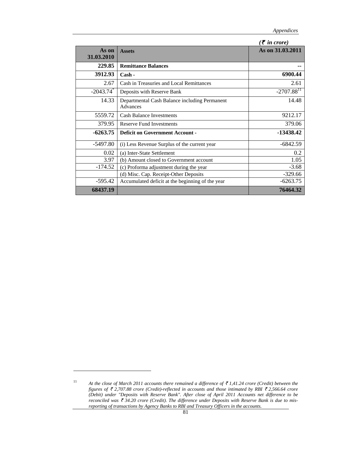|            |                                                  | $($ <b>₹</b> in crore)   |
|------------|--------------------------------------------------|--------------------------|
| As on      | <b>Assets</b>                                    | As on 31.03.2011         |
| 31.03.2010 |                                                  |                          |
| 229.85     | <b>Remittance Balances</b>                       |                          |
| 3912.93    | $\operatorname{Cash}$ -                          | 6900.44                  |
| 2.67       | Cash in Treasuries and Local Remittances         | 2.61                     |
| $-2043.74$ | Deposits with Reserve Bank                       | $-2707.88$ <sup>11</sup> |
| 14.33      | Departmental Cash Balance including Permanent    | 14.48                    |
|            | Advances                                         |                          |
| 5559.72    | <b>Cash Balance Investments</b>                  | 9212.17                  |
| 379.95     | <b>Reserve Fund Investments</b>                  | 379.06                   |
| $-6263.75$ | <b>Deficit on Government Account -</b>           | -13438.42                |
| $-5497.80$ | (i) Less Revenue Surplus of the current year     | -6842.59                 |
| 0.02       | (a) Inter-State Settlement                       | 0.2                      |
| 3.97       | (b) Amount closed to Government account          | 1.05                     |
| $-174.52$  | (c) Proforma adjustment during the year          | $-3.68$                  |
|            | (d) Misc. Cap. Receipt-Other Deposits            | $-329.66$                |
| $-595.42$  | Accumulated deficit at the beginning of the year | $-6263.75$               |
| 68437.19   |                                                  | 76464.32                 |

<sup>11</sup> *At the close of March 2011 accounts there remained a difference of* ` *1,41.24 crore (Credit) between the figures of ₹ 2,707.88 crore (Credit)-reflected in accounts and those intimated by RBI ₹ 2,566.64 crore (Debit) under "Deposits with Reserve Bank". After close of April 2011 Accounts net difference to be reconciled was* ₹ 34.20 crore (Credit). The difference under Deposits with Reserve Bank is due to mis*reporting of transactions by Agency Banks to RBI and Treasury Officers in the accounts.*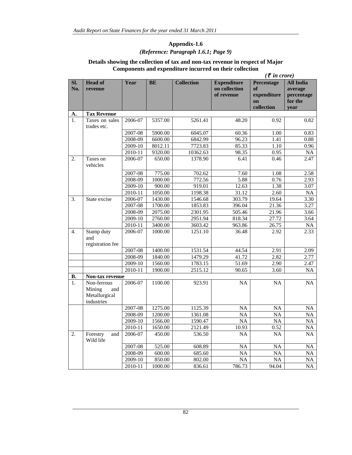# **Appendix-1.6** *(Reference: Paragraph 1.6.1; Page 9)*

#### **Details showing the collection of tax and non-tax revenue in respect of Major Components and expenditure incurred on their collection**

|                  |                                                             |             |           |                   |                                                   | $(\bar{\tau}$ in crore)                             |                                                              |
|------------------|-------------------------------------------------------------|-------------|-----------|-------------------|---------------------------------------------------|-----------------------------------------------------|--------------------------------------------------------------|
| Sl.<br>No.       | <b>Head of</b><br>revenue                                   | <b>Year</b> | <b>BE</b> | <b>Collection</b> | <b>Expenditure</b><br>on collection<br>of revenue | Percentage<br>of<br>expenditure<br>on<br>collection | <b>All India</b><br>average<br>percentage<br>for the<br>year |
| А.               | <b>Tax Revenue</b>                                          |             |           |                   |                                                   |                                                     |                                                              |
| 1.               | Taxes on sales<br>trades etc.                               | 2006-07     | 5357.00   | 5261.41           | 48.20                                             | 0.92                                                | 0.82                                                         |
|                  |                                                             | 2007-08     | 5900.00   | 6045.07           | 60.36                                             | 1.00                                                | 0.83                                                         |
|                  |                                                             | 2008-09     | 6600.00   | 6842.99           | 96.23                                             | 1.41                                                | 0.88                                                         |
|                  |                                                             | 2009-10     | 8012.11   | 7723.83           | 85.33                                             | 1.10                                                | 0.96                                                         |
|                  |                                                             | $2010 - 11$ | 9320.00   | 10362.63          | 98.35                                             | 0.95                                                | NA                                                           |
| 2.               | Taxes on<br>vehicles                                        | 2006-07     | 650.00    | 1378.90           | 6.41                                              | 0.46                                                | 2.47                                                         |
|                  |                                                             | 2007-08     | 775.00    | 702.62            | 7.60                                              | 1.08                                                | 2.58                                                         |
|                  |                                                             | 2008-09     | 1000.00   | 772.56            | 5.88                                              | 0.76                                                | 2.93                                                         |
|                  |                                                             | 2009-10     | 900.00    | 919.01            | 12.63                                             | 1.38                                                | 3.07                                                         |
|                  |                                                             | 2010-11     | 1050.00   | 1198.38           | 31.12                                             | 2.60                                                | <b>NA</b>                                                    |
| 3.               | State excise                                                | 2006-07     | 1430.00   | 1546.68           | 303.79                                            | 19.64                                               | 3.30                                                         |
|                  |                                                             | 2007-08     | 1700.00   | 1853.83           | 396.04                                            | 21.36                                               | 3.27                                                         |
|                  |                                                             | 2008-09     | 2075.00   | 2301.95           | 505.46                                            | 21.96                                               | 3.66                                                         |
|                  |                                                             | 2009-10     | 2760.00   | 2951.94           | 818.34                                            | 27.72                                               | 3.64                                                         |
|                  |                                                             | $2010 - 11$ | 3400.00   | 3603.42           | 963.86                                            | 26.75                                               | <b>NA</b>                                                    |
| $\overline{4}$ . | Stamp duty<br>and<br>registration fee                       | 2006-07     | 1000.00   | 1251.10           | 36.48                                             | 2.92                                                | 2.33                                                         |
|                  |                                                             | 2007-08     | 1400.00   | 1531.54           | 44.54                                             | 2.91                                                | 2.09                                                         |
|                  |                                                             | 2008-09     | 1840.00   | 1479.29           | 41.72                                             | 2.82                                                | 2.77                                                         |
|                  |                                                             | 2009-10     | 1560.00   | 1783.15           | 51.69                                             | 2.90                                                | 2.47                                                         |
|                  |                                                             | 2010-11     | 1900.00   | 2515.12           | 90.65                                             | 3.60                                                | <b>NA</b>                                                    |
| В.               | Non-tax revenue                                             |             |           |                   |                                                   |                                                     |                                                              |
| 1.               | Non-ferrous<br>Mining<br>and<br>Metallurgical<br>industries | 2006-07     | 1100.00   | 923.91            | <b>NA</b>                                         | <b>NA</b>                                           | NA                                                           |
|                  |                                                             | 2007-08     | 1275.00   | 1125.39           | NA                                                | <b>NA</b>                                           | <b>NA</b>                                                    |
|                  |                                                             | 2008-09     | 1200.00   | 1361.08           | NA                                                | <b>NA</b>                                           | <b>NA</b>                                                    |
|                  |                                                             | 2009-10     | 1566.00   | 1590.47           | <b>NA</b>                                         | <b>NA</b>                                           | <b>NA</b>                                                    |
|                  |                                                             | 2010-11     | 1650.00   | 2121.49           | 10.93                                             | 0.52                                                | NA                                                           |
| 2.               | Forestry<br>and<br>Wild life                                | 2006-07     | 450.00    | 536.50            | <b>NA</b>                                         | <b>NA</b>                                           | <b>NA</b>                                                    |
|                  |                                                             | 2007-08     | 525.00    | 608.89            | <b>NA</b>                                         | <b>NA</b>                                           | NA                                                           |
|                  |                                                             | 2008-09     | 600.00    | 685.60            | <b>NA</b>                                         | NA                                                  | <b>NA</b>                                                    |
|                  |                                                             | 2009-10     | 850.00    | 802.00            | <b>NA</b>                                         | <b>NA</b>                                           | NA                                                           |
|                  |                                                             | 2010-11     | 1000.00   | 836.61            | 786.73                                            | 94.04                                               | $\rm NA$                                                     |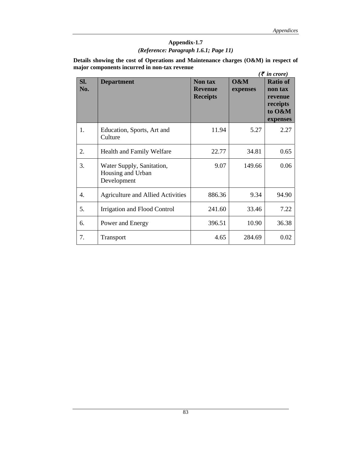# **Appendix-1.7** *(Reference: Paragraph 1.6.1; Page 11)*

**Details showing the cost of Operations and Maintenance charges (O&M) in respect of major components incurred in non-tax revenue**  *(₹* in crore)

|     |                                          |                 |          | $(5$ in crore)  |
|-----|------------------------------------------|-----------------|----------|-----------------|
| Sl. | <b>Department</b>                        | Non tax         | O&M      | <b>Ratio of</b> |
| No. |                                          | <b>Revenue</b>  | expenses | non tax         |
|     |                                          | <b>Receipts</b> |          | revenue         |
|     |                                          |                 |          | receipts        |
|     |                                          |                 |          | to O&M          |
|     |                                          |                 |          |                 |
|     |                                          |                 |          | expenses        |
| 1.  | Education, Sports, Art and               | 11.94           | 5.27     | 2.27            |
|     | Culture                                  |                 |          |                 |
|     |                                          |                 |          |                 |
|     |                                          |                 |          |                 |
| 2.  | Health and Family Welfare                | 22.77           | 34.81    | 0.65            |
| 3.  | Water Supply, Sanitation,                | 9.07            | 149.66   | 0.06            |
|     |                                          |                 |          |                 |
|     | Housing and Urban                        |                 |          |                 |
|     | Development                              |                 |          |                 |
|     |                                          |                 |          |                 |
| 4.  | <b>Agriculture and Allied Activities</b> | 886.36          | 9.34     | 94.90           |
| 5.  | Irrigation and Flood Control             | 241.60          | 33.46    | 7.22            |
|     |                                          |                 |          |                 |
| 6.  | Power and Energy                         | 396.51          | 10.90    | 36.38           |
|     |                                          |                 |          |                 |
| 7.  | Transport                                | 4.65            | 284.69   | 0.02            |
|     |                                          |                 |          |                 |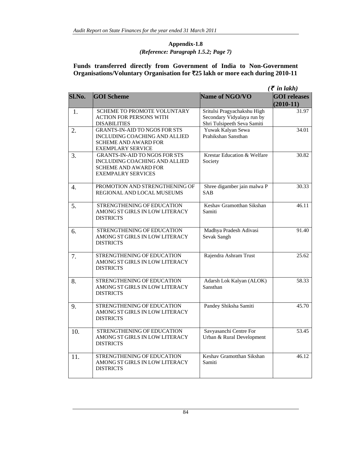#### **Appendix-1.8** *(Reference: Paragraph 1.5.2; Page 7)*

#### **Funds transferred directly from Government of India to Non-Government Organisations/Voluntary Organisation for** `**25 lakh or more each during 2010-11**

|        |                                                                                                                                   |                                                                                          | $(\bar{\tau}$ in lakh)             |
|--------|-----------------------------------------------------------------------------------------------------------------------------------|------------------------------------------------------------------------------------------|------------------------------------|
| Sl.No. | <b>GOI Scheme</b>                                                                                                                 | Name of NGO/VO                                                                           | <b>GOI</b> releases<br>$(2010-11)$ |
| 1.     | <b>SCHEME TO PROMOTE VOLUNTARY</b><br><b>ACTION FOR PERSONS WITH</b><br><b>DISABILITIES</b>                                       | Sritulsi Pragyachakshu High<br>Secondary Vidyalaya run by<br>Shri Tulsipeeth Seva Samiti | 31.97                              |
| 2.     | <b>GRANTS-IN-AID TO NGOS FOR STS</b><br>INCLUDING COACHING AND ALLIED<br><b>SCHEME AND AWARD FOR</b><br><b>EXEMPLARY SERVICE</b>  | Yuwak Kalyan Sewa<br>Prahikshan Sansthan                                                 | 34.01                              |
| 3.     | <b>GRANTS-IN-AID TO NGOS FOR STS</b><br>INCLUDING COACHING AND ALLIED<br><b>SCHEME AND AWARD FOR</b><br><b>EXEMPALRY SERVICES</b> | <b>Krestar Education &amp; Welfare</b><br>Society                                        | 30.82                              |
| 4.     | PROMOTION AND STRENGTHENING OF<br>REGIONAL AND LOCAL MUSEUMS                                                                      | Shree digamber jain malwa P<br><b>SAB</b>                                                | 30.33                              |
| 5.     | STRENGTHENING OF EDUCATION<br>AMONG ST GIRLS IN LOW LITERACY<br><b>DISTRICTS</b>                                                  | Keshav Gramotthan Sikshan<br>Samiti                                                      | 46.11                              |
| 6.     | STRENGTHENING OF EDUCATION<br>AMONG ST GIRLS IN LOW LITERACY<br><b>DISTRICTS</b>                                                  | Madhya Pradesh Adivasi<br>Sevak Sangh                                                    | 91.40                              |
| 7.     | STRENGTHENING OF EDUCATION<br>AMONG ST GIRLS IN LOW LITERACY<br><b>DISTRICTS</b>                                                  | Rajendra Ashram Trust                                                                    | 25.62                              |
| 8.     | STRENGTHENING OF EDUCATION<br>AMONG ST GIRLS IN LOW LITERACY<br><b>DISTRICTS</b>                                                  | Adarsh Lok Kalyan (ALOK)<br>Sansthan                                                     | 58.33                              |
| 9.     | STRENGTHENING OF EDUCATION<br>AMONG ST GIRLS IN LOW LITERACY<br><b>DISTRICTS</b>                                                  | Pandey Shiksha Samiti                                                                    | 45.70                              |
| 10.    | STRENGTHENING OF EDUCATION<br>AMONG ST GIRLS IN LOW LITERACY<br><b>DISTRICTS</b>                                                  | Savyasanchi Centre For<br>Urban & Rural Development                                      | 53.45                              |
| 11.    | STRENGTHENING OF EDUCATION<br>AMONG ST GIRLS IN LOW LITERACY<br><b>DISTRICTS</b>                                                  | Keshav Gramotthan Sikshan<br>Samiti                                                      | 46.12                              |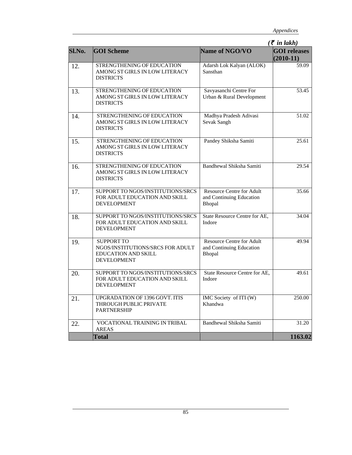|        |                                                                                                           |                                                                               | $(\bar{\tau}$ in lakh)             |
|--------|-----------------------------------------------------------------------------------------------------------|-------------------------------------------------------------------------------|------------------------------------|
| Sl.No. | <b>GOI Scheme</b>                                                                                         | Name of NGO/VO                                                                | <b>GOI</b> releases<br>$(2010-11)$ |
| 12.    | STRENGTHENING OF EDUCATION<br>AMONG ST GIRLS IN LOW LITERACY<br><b>DISTRICTS</b>                          | Adarsh Lok Kalyan (ALOK)<br>Sansthan                                          | 59.09                              |
| 13.    | STRENGTHENING OF EDUCATION<br>AMONG ST GIRLS IN LOW LITERACY<br><b>DISTRICTS</b>                          | Savyasanchi Centre For<br>Urban & Rural Development                           | 53.45                              |
| 14.    | STRENGTHENING OF EDUCATION<br>AMONG ST GIRLS IN LOW LITERACY<br><b>DISTRICTS</b>                          | Madhya Pradesh Adivasi<br>Sevak Sangh                                         | 51.02                              |
| 15.    | STRENGTHENING OF EDUCATION<br>AMONG ST GIRLS IN LOW LITERACY<br><b>DISTRICTS</b>                          | Pandey Shiksha Samiti                                                         | 25.61                              |
| 16.    | STRENGTHENING OF EDUCATION<br>AMONG ST GIRLS IN LOW LITERACY<br><b>DISTRICTS</b>                          | Bandhewal Shiksha Samiti                                                      | 29.54                              |
| 17.    | SUPPORT TO NGOS/INSTITUTIONS/SRCS<br>FOR ADULT EDUCATION AND SKILL<br><b>DEVELOPMENT</b>                  | <b>Resource Centre for Adult</b><br>and Continuing Education<br><b>Bhopal</b> | 35.66                              |
| 18.    | SUPPORT TO NGOS/INSTITUTIONS/SRCS<br>FOR ADULT EDUCATION AND SKILL<br><b>DEVELOPMENT</b>                  | State Resource Centre for AE,<br>Indore                                       | 34.04                              |
| 19.    | <b>SUPPORT TO</b><br>NGOS/INSTITUTIONS/SRCS FOR ADULT<br><b>EDUCATION AND SKILL</b><br><b>DEVELOPMENT</b> | <b>Resource Centre for Adult</b><br>and Continuing Education<br>Bhopal        | 49.94                              |
| 20.    | SUPPORT TO NGOS/INSTITUTIONS/SRCS<br>FOR ADULT EDUCATION AND SKILL<br><b>DEVELOPMENT</b>                  | State Resource Centre for AE,<br>Indore                                       | 49.61                              |
| 21.    | UPGRADATION OF 1396 GOVT. ITIS<br>THROUGH PUBLIC PRIVATE<br><b>PARTNERSHIP</b>                            | IMC Society of ITI (W)<br>Khandwa                                             | 250.00                             |
| 22.    | VOCATIONAL TRAINING IN TRIBAL<br><b>AREAS</b>                                                             | Bandhewal Shiksha Samiti                                                      | 31.20                              |
|        | <b>Total</b>                                                                                              |                                                                               | 1163.02                            |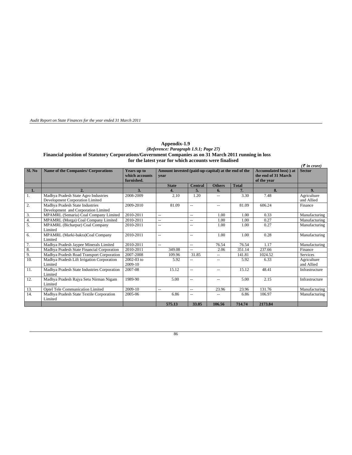*Audit Report on State Finances for the year ended 31 March 2011* 

#### **Appendix-1.9** *(Reference: Paragraph 1.9.1; Page 27)*  **Financial position of Statutory Corporations/Government Companies as on 31 March 2011 running in loss for the latest year for which accounts were finalised**

|                  |                                                                         |                                             |                                                             |                          |               |              |                                                                     | $\overline{\mathcal{F}}$ in crore) |
|------------------|-------------------------------------------------------------------------|---------------------------------------------|-------------------------------------------------------------|--------------------------|---------------|--------------|---------------------------------------------------------------------|------------------------------------|
| Sl. No           | <b>Name of the Companies/ Corporations</b>                              | Years up to<br>which accounts<br>furnished. | Amount invested (paid-up-capital) at the end of the<br>vear |                          |               |              | <b>Accumulated loss(-) at</b><br>the end of 31 March<br>of the year | <b>Sector</b>                      |
|                  |                                                                         |                                             | <b>State</b>                                                | <b>Central</b>           | <b>Others</b> | <b>Total</b> |                                                                     |                                    |
| 1.               | 2.                                                                      | 3.                                          | 4.                                                          | 5.                       | 6.            | 7.           | 8.                                                                  | 9.                                 |
| 1.               | Madhya Pradesh State Agro Industries<br>Development Corporation Limited | 2008-2009                                   | 2.10                                                        | 1.20                     |               | 3.30         | 7.48                                                                | Agriculture<br>and Allied          |
| 2.               | Madhya Pradesh State Industries<br>Development and Corporation Limited  | 2009-2010                                   | 81.09                                                       | $\overline{a}$           | --            | 81.09        | 606.24                                                              | Finance                            |
| 3.               | MPAMRL (Semaria) Coal Company Limited                                   | 2010-2011                                   | $\sim$ $\sim$                                               | $\overline{\phantom{a}}$ | 1.00          | 1.00         | 0.33                                                                | Manufacturing                      |
| $\overline{4}$ . | MPAMRL (Morga) Coal Company Limited                                     | 2010-2011                                   | $\sim$ $\sim$                                               | $\overline{a}$           | 1.00          | 1.00         | 0.27                                                                | Manufacturing                      |
| 5.               | MPAMRL (Bicharpur) Coal Company<br>Limited                              | 2010-2011                                   | $\sim$ $\sim$                                               | $\sim$                   | 1.00          | 1.00         | 0.27                                                                | Manufacturing                      |
| 6.               | MPAMRL (Marki-bakra)Coal Company<br>Limited                             | 2010-2011                                   | $\sim$ $\sim$                                               | $\overline{a}$           | 1.00          | 1.00         | 0.28                                                                | Manufacturing                      |
| 7.               | Madhya Pradesh Jaypee Minerals Limited                                  | 2010-2011                                   | $\sim$ $\sim$                                               | $\overline{a}$           | 76.54         | 76.54        | 1.17                                                                | Manufacturing                      |
| 8.               | Madhya Pradesh State Financial Corporation                              | 2010-2011                                   | 349.08                                                      | $\sim$                   | 2.06          | 351.14       | 237.66                                                              | Finance                            |
| 9.               | Madhya Pradesh Road Transport Corporation                               | 2007-2008                                   | 109.96                                                      | 31.85                    | --            | 141.81       | 1024.52                                                             | Services                           |
| 10.              | Madhya Pradesh Lift Irrigation Corporation<br>Limited                   | 2002-03 to<br>2009-10                       | 5.92                                                        | $-$                      | --            | 5.92         | 6.33                                                                | Agriculture<br>and Allied          |
| 11.              | Madhya Pradesh State Industries Corporation<br>Limited                  | 2007-08                                     | 15.12                                                       | $\overline{a}$           | --            | 15.12        | 48.41                                                               | Infrastructure                     |
| 12.              | Madhya Pradesh Rajya Setu Nirman Nigam<br>Limited                       | 1989-90                                     | 5.00                                                        | $\sim$                   | $-1$          | 5.00         | 2.15                                                                | Infrastructure                     |
| 13.              | Optel Tele Communication Limited                                        | 2009-10                                     | $\sim$ $\sim$                                               | $\sim$                   | 23.96         | 23.96        | 131.76                                                              | Manufacturing                      |
| 14.              | Madhya Pradesh State Textile Corporation<br>Limited                     | 2005-06                                     | 6.86                                                        | $\overline{a}$           | --            | 6.86         | 106.97                                                              | Manufacturing                      |
|                  |                                                                         |                                             | 575.13                                                      | 33.05                    | 106.56        | 714.74       | 2173.84                                                             |                                    |

86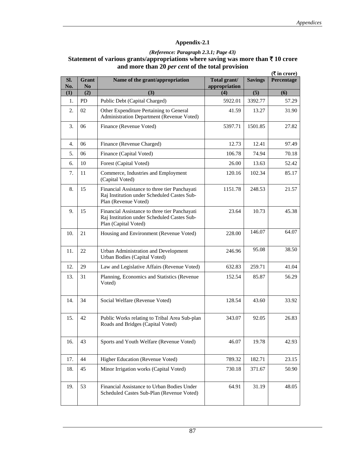# **Appendix-2.1**

# *(Reference: Paragraph 2.3.1; Page 43)*  **Statement of various grants/appropriations where saving was more than** ` **10 crore and more than 20** *per cent* **of the total provision**

|            | $(\overline{\mathbf{\mathsf{F}}}$ in crore)                                                                                |                                                                                                                      |                               |                |            |  |  |
|------------|----------------------------------------------------------------------------------------------------------------------------|----------------------------------------------------------------------------------------------------------------------|-------------------------------|----------------|------------|--|--|
| Sl.<br>No. | <b>Grant</b><br>N <sub>0</sub>                                                                                             | Name of the grant/appropriation                                                                                      | Total grant/<br>appropriation | <b>Savings</b> | Percentage |  |  |
| (1)        | (2)                                                                                                                        | (3)                                                                                                                  | (4)                           | (5)            | (6)        |  |  |
| 1.         | <b>PD</b>                                                                                                                  | Public Debt (Capital Charged)                                                                                        | 5922.01                       | 3392.77        | 57.29      |  |  |
| 2.         | 02                                                                                                                         | Other Expenditure Pertaining to General<br>Administration Department (Revenue Voted)                                 | 41.59                         | 13.27          | 31.90      |  |  |
| 3.         | 06                                                                                                                         | Finance (Revenue Voted)                                                                                              | 5397.71                       | 1501.85        | 27.82      |  |  |
| 4.         | 06                                                                                                                         | Finance (Revenue Charged)                                                                                            | 12.73                         | 12.41          | 97.49      |  |  |
| 5.         | 06                                                                                                                         | Finance (Capital Voted)                                                                                              | 106.78                        | 74.94          | 70.18      |  |  |
| 6.         | 10                                                                                                                         | Forest (Capital Voted)                                                                                               | 26.00                         | 13.63          | 52.42      |  |  |
| 7.         | 11                                                                                                                         | Commerce, Industries and Employment<br>(Capital Voted)                                                               | 120.16                        | 102.34         | 85.17      |  |  |
| 8.         | 15                                                                                                                         | Financial Assistance to three tier Panchayati<br>Raj Institution under Scheduled Castes Sub-<br>Plan (Revenue Voted) | 1151.78                       | 248.53         | 21.57      |  |  |
| 9.         | 15<br>Financial Assistance to three tier Panchayati<br>Raj Institution under Scheduled Castes Sub-<br>Plan (Capital Voted) |                                                                                                                      | 23.64                         | 10.73          | 45.38      |  |  |
| 10.        | 21                                                                                                                         | Housing and Environment (Revenue Voted)<br>228.00                                                                    |                               | 146.07         | 64.07      |  |  |
| 11.        | 22                                                                                                                         | Urban Administration and Development<br>Urban Bodies (Capital Voted)                                                 | 246.96                        | 95.08          | 38.50      |  |  |
| 12.        | 29                                                                                                                         | Law and Legislative Affairs (Revenue Voted)                                                                          | 632.83                        | 259.71         | 41.04      |  |  |
| 13.        | 31                                                                                                                         | Planning, Economics and Statistics (Revenue<br>Voted)                                                                | 152.54                        | 85.87          | 56.29      |  |  |
| 14.        | 34                                                                                                                         | Social Welfare (Revenue Voted)                                                                                       | 128.54                        | 43.60          | 33.92      |  |  |
| 15.        | 42                                                                                                                         | Public Works relating to Tribal Area Sub-plan<br>Roads and Bridges (Capital Voted)                                   | 343.07                        | 92.05          | 26.83      |  |  |
| 16.        | 43                                                                                                                         | Sports and Youth Welfare (Revenue Voted)                                                                             | 46.07                         | 19.78          | 42.93      |  |  |
| 17.        | 44                                                                                                                         | Higher Education (Revenue Voted)                                                                                     | 789.32                        | 182.71         | 23.15      |  |  |
| 18.        | 45                                                                                                                         | Minor Irrigation works (Capital Voted)                                                                               | 730.18                        | 371.67         | 50.90      |  |  |
| 19.        | 53                                                                                                                         | Financial Assistance to Urban Bodies Under<br>Scheduled Castes Sub-Plan (Revenue Voted)                              | 64.91                         | 31.19          | 48.05      |  |  |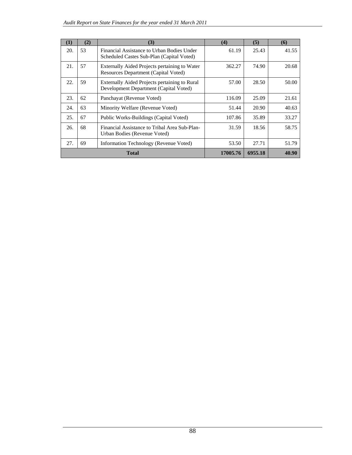| (1) | (2) | (3)                                                                                     | (4)      | (5)     | (6)   |
|-----|-----|-----------------------------------------------------------------------------------------|----------|---------|-------|
| 20. | 53  | Financial Assistance to Urban Bodies Under<br>Scheduled Castes Sub-Plan (Capital Voted) | 61.19    | 25.43   | 41.55 |
| 21. | 57  | Externally Aided Projects pertaining to Water<br>Resources Department (Capital Voted)   | 362.27   | 74.90   | 20.68 |
| 22. | 59  | Externally Aided Projects pertaining to Rural<br>Development Department (Capital Voted) | 57.00    | 28.50   | 50.00 |
| 23. | 62  | Panchayat (Revenue Voted)                                                               | 116.09   | 25.09   | 21.61 |
| 24. | 63  | Minority Welfare (Revenue Voted)                                                        | 51.44    | 20.90   | 40.63 |
| 25. | 67  | Public Works-Buildings (Capital Voted)                                                  | 107.86   | 35.89   | 33.27 |
| 26. | 68  | Financial Assistance to Tribal Area Sub-Plan-<br>Urban Bodies (Revenue Voted)           | 31.59    | 18.56   | 58.75 |
| 27. | 69  | Information Technology (Revenue Voted)                                                  | 53.50    | 27.71   | 51.79 |
|     |     | <b>Total</b>                                                                            | 17005.76 | 6955.18 | 40.90 |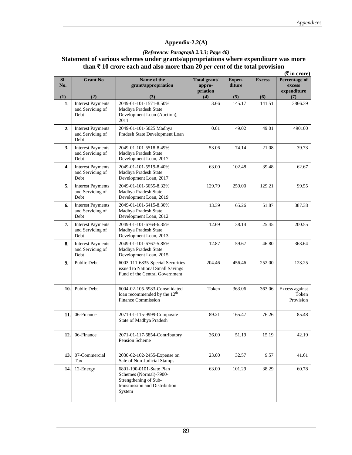# **Appendix-2.2(A)**

# *(Reference: Paragraph 2.3.3; Page 46)*

# **Statement of various schemes under grants/appropriations where expenditure was more than** ` **10 crore each and also more than 20** *per cent* **of the total provision**

|            |                                                      |                                                                                                                        |                                    |                         |               | $(\overline{\mathbf{\mathsf{F}}}$ in crore)   |
|------------|------------------------------------------------------|------------------------------------------------------------------------------------------------------------------------|------------------------------------|-------------------------|---------------|-----------------------------------------------|
| Sl.<br>No. | <b>Grant No</b>                                      | Name of the<br>grant/appropriation                                                                                     | Total grant/<br>appro-<br>priation | <b>Expen-</b><br>diture | <b>Excess</b> | <b>Percentage of</b><br>excess<br>expenditure |
| (1)        | (2)                                                  | (3)                                                                                                                    | (4)                                | (5)                     | (6)           | (7)                                           |
| 1.         | <b>Interest Payments</b><br>and Servicing of<br>Debt | 2049-01-101-1571-8.50%<br>Madhya Pradesh State<br>Development Loan (Auction),<br>2011                                  | 3.66                               | 145.17                  | 141.51        | 3866.39                                       |
| 2.         | <b>Interest Payments</b><br>and Servicing of<br>Debt | 2049-01-101-5025 Madhya<br>Pradesh State Development Loan                                                              | 0.01                               | 49.02                   | 49.01         | 490100                                        |
| 3.         | <b>Interest Payments</b><br>and Servicing of<br>Debt | 2049-01-101-5518-8.49%<br>Madhya Pradesh State<br>Development Loan, 2017                                               | 53.06                              | 74.14                   | 21.08         | 39.73                                         |
| 4.         | <b>Interest Payments</b><br>and Servicing of<br>Debt | 2049-01-101-5519-8.40%<br>Madhya Pradesh State<br>Development Loan, 2017                                               | 63.00                              | 102.48                  | 39.48         | 62.67                                         |
| 5.         | <b>Interest Payments</b><br>and Servicing of<br>Debt | 2049-01-101-6055-8.32%<br>Madhya Pradesh State<br>Development Loan, 2019                                               | 129.79                             | 259.00                  | 129.21        | 99.55                                         |
| 6.         | <b>Interest Payments</b><br>and Servicing of<br>Debt | 2049-01-101-6415-8.30%<br>Madhya Pradesh State<br>Development Loan, 2012                                               | 13.39                              | 65.26                   | 51.87         | 387.38                                        |
| 7.         | <b>Interest Payments</b><br>and Servicing of<br>Debt | 2049-01-101-6764-6.35%<br>Madhya Pradesh State<br>Development Loan, 2013                                               | 12.69                              | 38.14                   | 25.45         | 200.55                                        |
| 8.         | <b>Interest Payments</b><br>and Servicing of<br>Debt | 2049-01-101-6767-5.85%<br>Madhya Pradesh State<br>Development Loan, 2015                                               | 12.87                              | 59.67                   | 46.80         | 363.64                                        |
| 9.         | Public Debt                                          | 6003-111-6835-Special Securities<br>issued to National Small Savings<br>Fund of the Central Government                 | 204.46                             | 456.46                  | 252.00        | 123.25                                        |
| 10.        | Public Debt                                          | 6004-02-105-6983-Consolidated<br>loan recommended by the 12 <sup>th</sup><br><b>Finance Commission</b>                 | Token                              | 363.06                  | 363.06        | Excess against<br>Token<br>Provision          |
| 11.        | 06-Finance                                           | 2071-01-115-9999-Composite<br>State of Madhya Pradesh                                                                  | 89.21                              | 165.47                  | 76.26         | 85.48                                         |
| 12.        | 06-Finance                                           | 2071-01-117-6854-Contributory<br>Pension Scheme                                                                        | 36.00                              | 51.19                   | 15.19         | 42.19                                         |
| 13.        | 07-Commercial<br>Tax                                 | 2030-02-102-2455-Expense on<br>Sale of Non-Judicial Stamps                                                             | 23.00                              | 32.57                   | 9.57          | 41.61                                         |
| 14.        | 12-Energy                                            | 6801-190-0101-State Plan<br>Schemes (Normal)-7900-<br>Strengthening of Sub-<br>transmission and Distribution<br>System | 63.00                              | 101.29                  | 38.29         | 60.78                                         |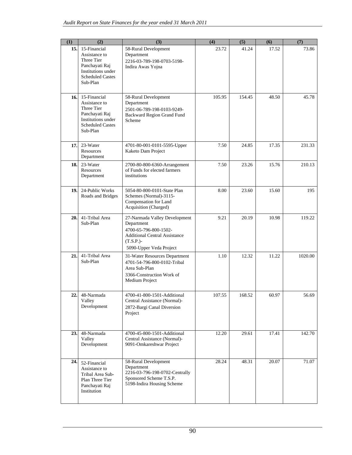| (1)        | (2)                                                                                                                        | (3)                                                                                                                                                    | (4)    | (5)    | (6)   | (7)     |
|------------|----------------------------------------------------------------------------------------------------------------------------|--------------------------------------------------------------------------------------------------------------------------------------------------------|--------|--------|-------|---------|
| 15.        | 15-Financial<br>Assistance to<br>Three Tier<br>Panchayati Raj<br>Institutions under<br><b>Scheduled Castes</b><br>Sub-Plan | 58-Rural Development<br>Department<br>2216-03-789-198-0703-5198-<br>Indira Awas Yojna                                                                  | 23.72  | 41.24  | 17.52 | 73.86   |
| 16.        | 15-Financial<br>Assistance to<br>Three Tier<br>Panchayati Raj<br>Institutions under<br><b>Scheduled Castes</b><br>Sub-Plan | 58-Rural Development<br>Department<br>2501-06-789-198-0103-9249-<br>Backward Region Grand Fund<br>Scheme                                               | 105.95 | 154.45 | 48.50 | 45.78   |
| 17.        | 23-Water<br>Resources<br>Department                                                                                        | 4701-80-001-0101-5595-Upper<br>Kaketo Dam Project                                                                                                      | 7.50   | 24.85  | 17.35 | 231.33  |
| <b>18.</b> | 23-Water<br>Resources<br>Department                                                                                        | 2700-80-800-6360-Arrangement<br>of Funds for elected farmers<br>institutions                                                                           | 7.50   | 23.26  | 15.76 | 210.13  |
| 19.        | 24-Public Works<br>Roads and Bridges                                                                                       | 5054-80-800-0101-State Plan<br>Schemes (Normal)-3115-<br>Compensation for Land<br>Acquisition (Charged)                                                | 8.00   | 23.60  | 15.60 | 195     |
| 20.        | 41-Tribal Area<br>Sub-Plan                                                                                                 | 27-Narmada Valley Development<br>Department<br>4700-65-796-800-1502-<br><b>Additional Central Assistance</b><br>$(T.S.P.)-$<br>5090-Upper Veda Project | 9.21   | 20.19  | 10.98 | 119.22  |
| 21.        | 41-Tribal Area<br>Sub-Plan                                                                                                 | 31-Water Resources Department<br>4701-54-796-800-0102-Tribal<br>Area Sub-Plan<br>3366-Construction Work of<br>Medium Project                           | 1.10   | 12.32  | 11.22 | 1020.00 |
| 22.        | $48\mbox{-} \mathrm{Narmada}$<br>Valley<br>Development                                                                     | 4700-41-800-1501-Additional<br>Central Assistance (Normal)-<br>2872-Bargi Canal Diversion<br>Project                                                   | 107.55 | 168.52 | 60.97 | 56.69   |
| 23.1       | 48-Narmada<br>Valley<br>Development                                                                                        | 4700-45-800-1501-Additional<br>Central Assistance (Normal)-<br>9091-Omkareshwar Project                                                                | 12.20  | 29.61  | 17.41 | 142.70  |
| 24.        | 52-Financial<br>Assistance to<br>Tribal Area Sub-<br>Plan Three Tier<br>Panchayati Raj<br>Institution                      | 58-Rural Development<br>Department<br>2216-03-796-198-0702-Centrally<br>Sponsored Scheme T.S.P.<br>5198-Indira Housing Scheme                          | 28.24  | 48.31  | 20.07 | 71.07   |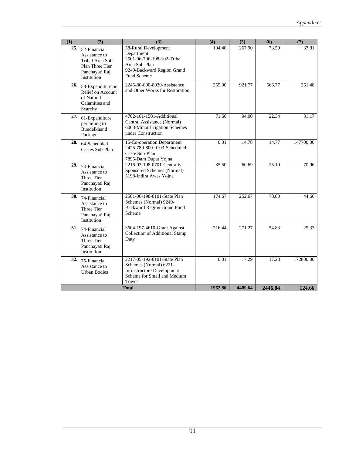| (1) | (2)                                                                                                   | (3)                                                                                                                                   | (4)     | (5)     | (6)     | (7)       |
|-----|-------------------------------------------------------------------------------------------------------|---------------------------------------------------------------------------------------------------------------------------------------|---------|---------|---------|-----------|
| 25. | 52-Financial<br>Assistance to<br>Tribal Area Sub-<br>Plan Three Tier<br>Panchayati Raj<br>Institution | 58-Rural Development<br>Department<br>2501-06-796-198-102-Tribal<br>Area Sub-Plan<br>9249-Backward Region Grand<br><b>Fund Scheme</b> | 194.40  | 267.90  | 73.50   | 37.81     |
| 26. | 58-Expenditure on<br>Relief on Account<br>of Natural<br>Calamities and<br>Scarcity                    | 2245-80-800-8030-Assistance<br>and Other Works for Restoration                                                                        | 255.00  | 921.77  | 666.77  | 261.48    |
| 27. | 61-Expenditure<br>pertaining to<br><b>Bundelkhand</b><br>Package                                      | 4702-101-1501-Additional<br>Central Assistance (Normal)<br>6068-Minor Irrigation Schemes<br>under Construction                        | 71.66   | 94.00   | 22.34   | 31.17     |
| 28. | 64-Scheduled<br>Castes Sub-Plan                                                                       | 15-Co-operation Department<br>2425-789-800-0103-Scheduled<br>Caste Sub-Plan<br>7895-Dam Dupat Yojna                                   | 0.01    | 14.78   | 14.77   | 147700.00 |
| 29. | 74-Financial<br>Assistance to<br>Three Tier<br>Panchayati Raj<br>Institution                          | 2216-03-198-0701-Centrally<br>Sponsored Schemes (Normal)<br>5198-Indira Awas Yojna                                                    | 35.50   | 60.69   | 25.19   | 70.96     |
| 30. | 74-Financial<br>Assistance to<br>Three Tier<br>Panchayati Raj<br>Institution                          | 2501-06-198-0101-State Plan<br>Schemes (Normal) 9249-<br>Backward Region Grand Fund<br>Scheme                                         | 174.67  | 252.67  | 78.00   | 44.66     |
| 31. | 74-Financial<br>Assistance to<br>Three Tier<br>Panchayati Raj<br>Institution                          | 3604-197-4610-Grant Against<br>Collection of Additional Stamp<br>Duty                                                                 | 216.44  | 271.27  | 54.83   | 25.33     |
| 32. | 75-Financial<br>Assistance to<br>Urban Bodies                                                         | 2217-05-192-0101-State Plan<br>Schemes (Normal) 6221-<br><b>Infrastructure Development</b><br>Scheme for Small and Medium<br>Towns    | 0.01    | 17.29   | 17.28   | 172800.00 |
|     |                                                                                                       | <b>Total</b>                                                                                                                          | 1962.80 | 4409.64 | 2446.84 | 124.66    |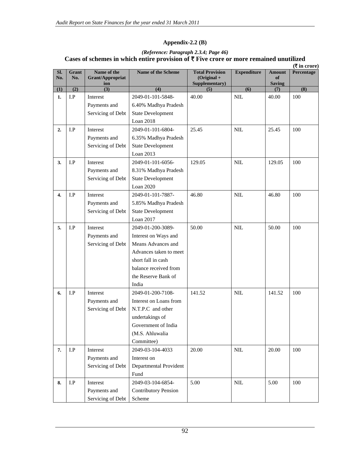# **Appendix-2.2 (B)**

#### *(Reference: Paragraph 2.3.4; Page 46)*  Cases of schemes in which entire provision of ₹ Five crore or more remained unutilized  $(\mathbf{F}$  in crore)

|                  |                         |                                               |                             |                                                           |                    |                                      | (v in crore) |
|------------------|-------------------------|-----------------------------------------------|-----------------------------|-----------------------------------------------------------|--------------------|--------------------------------------|--------------|
| Sl.<br>No.       | Grant<br>No.            | Name of the<br><b>Grant/Appropriat</b><br>ion | Name of the Scheme          | <b>Total Provision</b><br>$(Original +$<br>Supplementary) | <b>Expenditure</b> | <b>Amount</b><br>of<br><b>Saving</b> | Percentage   |
| (1)              | (2)                     | (3)                                           | (4)                         | (5)                                                       | (6)                | (7)                                  | (8)          |
| 1.               | I.P                     | Interest                                      | 2049-01-101-5848-           | 40.00                                                     | NIL                | 40.00                                | 100          |
|                  |                         | Payments and                                  | 6.40% Madhya Pradesh        |                                                           |                    |                                      |              |
|                  |                         | Servicing of Debt                             | <b>State Development</b>    |                                                           |                    |                                      |              |
|                  |                         |                                               | Loan 2018                   |                                                           |                    |                                      |              |
| 2.               | I.P                     | Interest                                      | 2049-01-101-6804-           | 25.45                                                     | NIL                | 25.45                                | 100          |
|                  |                         | Payments and                                  | 6.35% Madhya Pradesh        |                                                           |                    |                                      |              |
|                  |                         | Servicing of Debt                             | <b>State Development</b>    |                                                           |                    |                                      |              |
|                  |                         |                                               | Loan 2013                   |                                                           |                    |                                      |              |
| 3.               | I.P                     | Interest                                      | 2049-01-101-6056-           | 129.05                                                    | <b>NIL</b>         | 129.05                               | 100          |
|                  |                         | Payments and                                  | 8.31% Madhya Pradesh        |                                                           |                    |                                      |              |
|                  |                         | Servicing of Debt                             | <b>State Development</b>    |                                                           |                    |                                      |              |
|                  |                         |                                               | Loan 2020                   |                                                           |                    |                                      |              |
| $\overline{4}$ . | I.P                     | Interest                                      | 2049-01-101-7887-           | 46.80                                                     | <b>NIL</b>         | 46.80                                | 100          |
|                  |                         | Payments and                                  | 5.85% Madhya Pradesh        |                                                           |                    |                                      |              |
|                  |                         | Servicing of Debt                             | <b>State Development</b>    |                                                           |                    |                                      |              |
|                  |                         |                                               | Loan 2017                   |                                                           |                    |                                      |              |
| 5.               | I.P                     | Interest                                      | 2049-01-200-3089-           | 50.00                                                     | <b>NIL</b>         | 50.00                                | 100          |
|                  |                         | Payments and                                  | Interest on Ways and        |                                                           |                    |                                      |              |
|                  |                         | Servicing of Debt                             | Means Advances and          |                                                           |                    |                                      |              |
|                  |                         |                                               | Advances taken to meet      |                                                           |                    |                                      |              |
|                  |                         |                                               | short fall in cash          |                                                           |                    |                                      |              |
|                  |                         |                                               | balance received from       |                                                           |                    |                                      |              |
|                  |                         |                                               | the Reserve Bank of         |                                                           |                    |                                      |              |
|                  |                         |                                               | India                       |                                                           |                    |                                      |              |
| 6.               | I.P                     | Interest                                      | 2049-01-200-7108-           | 141.52                                                    | $\mbox{NIL}$       | 141.52                               | 100          |
|                  |                         | Payments and                                  | Interest on Loans from      |                                                           |                    |                                      |              |
|                  |                         | Servicing of Debt                             | N.T.P.C and other           |                                                           |                    |                                      |              |
|                  |                         |                                               | undertakings of             |                                                           |                    |                                      |              |
|                  |                         |                                               | Government of India         |                                                           |                    |                                      |              |
|                  |                         |                                               | (M.S. Ahluwalia             |                                                           |                    |                                      |              |
|                  |                         |                                               | Committee)                  |                                                           |                    |                                      |              |
| 7.               | $\mathbf{I}.\mathbf{P}$ | Interest                                      | 2049-03-104-4033            | 20.00                                                     | $\mbox{NIL}$       | 20.00                                | 100          |
|                  |                         | Payments and                                  | Interest on                 |                                                           |                    |                                      |              |
|                  |                         | Servicing of Debt                             | Departmental Provident      |                                                           |                    |                                      |              |
|                  |                         |                                               | Fund                        |                                                           |                    |                                      |              |
| 8.               | I.P                     | Interest                                      | 2049-03-104-6854-           | 5.00                                                      | $\mbox{NIL}$       | 5.00                                 | 100          |
|                  |                         | Payments and                                  | <b>Contributory Pension</b> |                                                           |                    |                                      |              |
|                  |                         | Servicing of Debt                             | Scheme                      |                                                           |                    |                                      |              |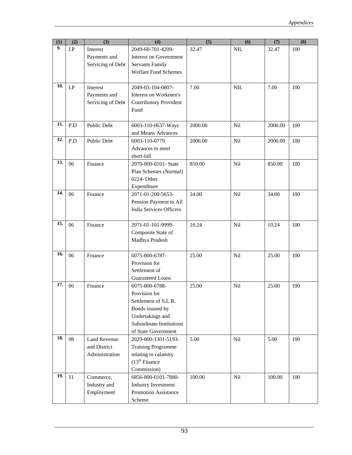| (1) | (2) | (3)                 | $\overline{(4)}$               | (5)     | (6)        | (7)     | (8) |
|-----|-----|---------------------|--------------------------------|---------|------------|---------|-----|
| 9.  | I.P | Interest            | 2049-60-701-4209-              | 32.47   | <b>NIL</b> | 32.47   | 100 |
|     |     | Payments and        | <b>Interest on Government</b>  |         |            |         |     |
|     |     | Servicing of Debt   | <b>Servants Family</b>         |         |            |         |     |
|     |     |                     | <b>Welfare Fund Schemes</b>    |         |            |         |     |
|     |     |                     |                                |         |            |         |     |
| 10. | I.P | Interest            | 2049-03-104-0807-              | 7.00    | NIL        | 7.00    | 100 |
|     |     | Payments and        | Interest on Workmen's          |         |            |         |     |
|     |     | Servicing of Debt   | <b>Contributory Provident</b>  |         |            |         |     |
|     |     |                     | Fund                           |         |            |         |     |
|     |     |                     |                                |         |            |         |     |
| 11. | P.D | Public Debt         | 6003-110-0637-Ways             | 2000.00 | Nil        | 2000.00 | 100 |
|     |     |                     | and Means Advances             |         |            |         |     |
| 12. | P.D | Public Debt         | 6003-110-0779                  | 2000.00 | Nil        | 2000.00 | 100 |
|     |     |                     | Advances to meet               |         |            |         |     |
|     |     |                     | short-fall                     |         |            |         |     |
| 13. | 06  | Finance             | 2070-800-0101- State           | 850.00  | Nil        | 850.00  | 100 |
|     |     |                     | Plan Schemes (Normal)          |         |            |         |     |
|     |     |                     | 0224- Other                    |         |            |         |     |
|     |     |                     | Expenditure                    |         |            |         |     |
| 14. | 06  | Finance             | 2071-01-200-5653-              | 34.00   | Nil        | 34.00   | 100 |
|     |     |                     | Pension Payment to All         |         |            |         |     |
|     |     |                     | <b>India Services Officers</b> |         |            |         |     |
|     |     |                     |                                |         |            |         |     |
| 15. | 06  | Finance             | 2071-01-101-9999-              | 10.24   | Nil        | 10.24   | 100 |
|     |     |                     | Composite State of             |         |            |         |     |
|     |     |                     | Madhya Pradesh                 |         |            |         |     |
|     |     |                     |                                |         |            |         |     |
| 16. | 06  | Finance             | 6075-800-6787-                 | 25.00   | Nil        | 25.00   | 100 |
|     |     |                     | Provision for                  |         |            |         |     |
|     |     |                     | Settlement of                  |         |            |         |     |
|     |     |                     | Guaranteed Loans               |         |            |         |     |
| 17. | 06  | Finance             | 6075-800-6788-                 | 25.00   | Nil        | 25.00   | 100 |
|     |     |                     | Provision for                  |         |            |         |     |
|     |     |                     | Settlement of S.L.R.           |         |            |         |     |
|     |     |                     | Bonds issused by               |         |            |         |     |
|     |     |                     | Undertakings and               |         |            |         |     |
|     |     |                     | Subordinate Institutions       |         |            |         |     |
|     |     |                     | of State Government            |         |            |         |     |
| 18. | 08  | <b>Land Revenue</b> | 2029-800-1301-5193-            | 5.00    | Nil        | 5.00    | 100 |
|     |     | and District        | <b>Training Programme</b>      |         |            |         |     |
|     |     | Administration      | relating to calamity           |         |            |         |     |
|     |     |                     | (13 <sup>th</sup> Finance)     |         |            |         |     |
|     |     |                     | Commission)                    |         |            |         |     |
| 19. | 11  | Commerce,           | 6856-800-0101-7880-            | 100.00  | Nil        | 100.00  | 100 |
|     |     | Industry and        | <b>Industry Investment</b>     |         |            |         |     |
|     |     | Employment          | Promotion Assistance           |         |            |         |     |
|     |     |                     | Scheme                         |         |            |         |     |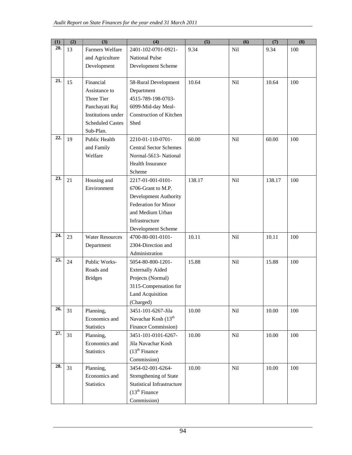| (1) | (2) | $\overline{(3)}$        | $\overline{(4)}$                  | (5)    | $\overline{\mathbf{6}}$ | (7)    | (8) |
|-----|-----|-------------------------|-----------------------------------|--------|-------------------------|--------|-----|
| 20. | 13  | Farmers Welfare         | 2401-102-0701-0921-               | 9.34   | Nil                     | 9.34   | 100 |
|     |     | and Agriculture         | <b>National Pulse</b>             |        |                         |        |     |
|     |     | Development             | Development Scheme                |        |                         |        |     |
|     |     |                         |                                   |        |                         |        |     |
| 21. | 15  | Financial               | 58-Rural Development              | 10.64  | Nil                     | 10.64  | 100 |
|     |     | Assistance to           | Department                        |        |                         |        |     |
|     |     | Three Tier              | 4515-789-198-0703-                |        |                         |        |     |
|     |     | Panchayati Raj          | 6099-Mid-day Meal-                |        |                         |        |     |
|     |     | Institutions under      | <b>Construction of Kitchen</b>    |        |                         |        |     |
|     |     | <b>Scheduled Castes</b> | Shed                              |        |                         |        |     |
|     |     | Sub-Plan.               |                                   |        |                         |        |     |
| 22. | 19  | Public Health           | 2210-01-110-0701-                 | 60.00  | Nil                     | 60.00  | 100 |
|     |     | and Family              | <b>Central Sector Schemes</b>     |        |                         |        |     |
|     |     | Welfare                 | Normal-5613- National             |        |                         |        |     |
|     |     |                         | Health Insurance                  |        |                         |        |     |
|     |     |                         | Scheme                            |        |                         |        |     |
| 23. | 21  | Housing and             | 2217-01-001-0101-                 | 138.17 | <b>Nil</b>              | 138.17 | 100 |
|     |     | Environment             | 6706-Grant to M.P.                |        |                         |        |     |
|     |     |                         | <b>Development Authority</b>      |        |                         |        |     |
|     |     |                         | Federation for Minor              |        |                         |        |     |
|     |     |                         | and Medium Urban                  |        |                         |        |     |
|     |     |                         | Infrastructure                    |        |                         |        |     |
| 24. |     |                         | Development Scheme                |        |                         |        |     |
|     | 23  | <b>Water Resources</b>  | 4700-80-001-0101-                 | 10.11  | Nil                     | 10.11  | 100 |
|     |     | Department              | 2304-Direction and                |        |                         |        |     |
| 25. |     |                         | Administration                    |        |                         |        |     |
|     | 24  | Public Works-           | 5054-80-800-1201-                 | 15.88  | <b>Nil</b>              | 15.88  | 100 |
|     |     | Roads and               | <b>Externally Aided</b>           |        |                         |        |     |
|     |     | <b>Bridges</b>          | Projects (Normal)                 |        |                         |        |     |
|     |     |                         | 3115-Compensation for             |        |                         |        |     |
|     |     |                         | Land Acquisition<br>(Charged)     |        |                         |        |     |
| 26. | 31  | Planning,               | 3451-101-6267-Jila                | 10.00  | Nil                     | 10.00  | 100 |
|     |     | Economics and           | Navachar Kosh (13 <sup>th</sup>   |        |                         |        |     |
|     |     | <b>Statistics</b>       | Finance Commission)               |        |                         |        |     |
| 27. | 31  | Planning,               | 3451-101-0101-6267-               | 10.00  | Nil                     | 10.00  | 100 |
|     |     | Economics and           | Jila Navachar Kosh                |        |                         |        |     |
|     |     | <b>Statistics</b>       | (13 <sup>th</sup> Finance)        |        |                         |        |     |
|     |     |                         | Commission)                       |        |                         |        |     |
| 28. | 31  | Planning,               | 3454-02-001-6264-                 | 10.00  | Nil                     | 10.00  | 100 |
|     |     | Economics and           | Strengthening of State            |        |                         |        |     |
|     |     | <b>Statistics</b>       | <b>Statistical Infrastructure</b> |        |                         |        |     |
|     |     |                         | (13 <sup>th</sup> Finance)        |        |                         |        |     |
|     |     |                         | Commission)                       |        |                         |        |     |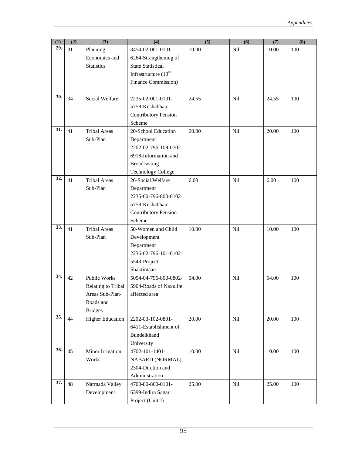| (1) | (2) | (3)                     | (4)                         | (5)   | (6)             | (7)   | (8) |
|-----|-----|-------------------------|-----------------------------|-------|-----------------|-------|-----|
| 29. | 31  | Planning,               | 3454-02-001-0101-           | 10.00 | Nil             | 10.00 | 100 |
|     |     | Economics and           | 6264-Strengthening of       |       |                 |       |     |
|     |     | <b>Statistics</b>       | <b>State Statistical</b>    |       |                 |       |     |
|     |     |                         | Infrastructure $(13th$      |       |                 |       |     |
|     |     |                         | Finance Commission)         |       |                 |       |     |
|     |     |                         |                             |       |                 |       |     |
| 30. | 34  | Social Welfare          | 2235-02-001-0101-           | 24.55 | Nil             | 24.55 | 100 |
|     |     |                         | 5758-Kushabhau              |       |                 |       |     |
|     |     |                         | <b>Contributory Pension</b> |       |                 |       |     |
|     |     |                         | Scheme                      |       |                 |       |     |
| 31. | 41  | <b>Tribal Areas</b>     | 20-School Education         | 20.00 | Nil             | 20.00 | 100 |
|     |     | Sub-Plan                | Department                  |       |                 |       |     |
|     |     |                         | 2202-02-796-109-0702-       |       |                 |       |     |
|     |     |                         | 6918-Information and        |       |                 |       |     |
|     |     |                         | <b>Broadcasting</b>         |       |                 |       |     |
|     |     |                         | <b>Technology College</b>   |       |                 |       |     |
| 32. | 41  | <b>Tribal Areas</b>     | 26-Social Welfare           | 6.00  | N <sub>il</sub> | 6.00  | 100 |
|     |     | Sub-Plan                | Department                  |       |                 |       |     |
|     |     |                         | 2235-60-796-800-0102-       |       |                 |       |     |
|     |     |                         | 5758-Kushabhau              |       |                 |       |     |
|     |     |                         | <b>Contributory Pension</b> |       |                 |       |     |
|     |     |                         | Scheme                      |       |                 |       |     |
| 33. | 41  | <b>Tribal Areas</b>     | 50-Women and Child          | 10.00 | Nil             | 10.00 | 100 |
|     |     | Sub-Plan                | Development                 |       |                 |       |     |
|     |     |                         | Department                  |       |                 |       |     |
|     |     |                         | 2236-02-796-101-0102-       |       |                 |       |     |
|     |     |                         | 5548-Project                |       |                 |       |     |
|     |     |                         | Shaktimaan                  |       |                 |       |     |
| 34. | 42  | Public Works            | 5054-04-796-800-0802-       | 54.00 | Nil             | 54.00 | 100 |
|     |     | Relating to Tribal      | 5904-Roads of Naxulite      |       |                 |       |     |
|     |     | Areas Sub-Plan-         | affected area               |       |                 |       |     |
|     |     | Roads and               |                             |       |                 |       |     |
|     |     | <b>Bridges</b>          |                             |       |                 |       |     |
| 35. | 44  | <b>Higher Education</b> | 2202-03-102-0801-           | 20.00 | Nil             | 20.00 | 100 |
|     |     |                         | 6411-Establishment of       |       |                 |       |     |
|     |     |                         | <b>Bundelkhand</b>          |       |                 |       |     |
|     |     |                         | University                  |       |                 |       |     |
| 36. | 45  | Minor Irrigation        | 4702-101-1401-              | 10.00 | Nil             | 10.00 | 100 |
|     |     | Works                   | <b>NABARD (NORMAL)</b>      |       |                 |       |     |
|     |     |                         | 2304-Dirction and           |       |                 |       |     |
|     |     |                         | Administration              |       |                 |       |     |
| 37. | 48  | Narmada Valley          | 4700-80-800-0101-           | 25.00 | Nil             | 25.00 | 100 |
|     |     | Development             | 6399-Indira Sagar           |       |                 |       |     |
|     |     |                         | Project (Unit-I)            |       |                 |       |     |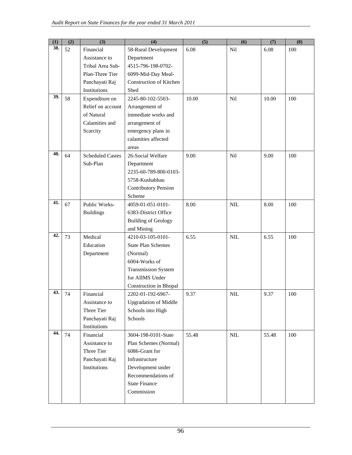| (1) | (2) | (3)                     | (4)                            | (5)   | (6)          | (7)   | (8) |
|-----|-----|-------------------------|--------------------------------|-------|--------------|-------|-----|
| 38. | 52  | Financial               | 58-Rural Development           | 6.08  | Nil          | 6.08  | 100 |
|     |     | Assistance to           | Department                     |       |              |       |     |
|     |     | Tribal Area Sub-        | 4515-796-198-0702-             |       |              |       |     |
|     |     | Plan-Three Tier         | 6099-Mid-Day Meal-             |       |              |       |     |
|     |     | Panchayati Raj          | <b>Construction of Kitchen</b> |       |              |       |     |
|     |     | Institutions            | Shed                           |       |              |       |     |
| 39. | 58  | Expenditure on          | 2245-80-102-5503-              | 10.00 | Nil          | 10.00 | 100 |
|     |     | Relief on account       | Arrangement of                 |       |              |       |     |
|     |     | of Natural              | immediate works and            |       |              |       |     |
|     |     | Calamities and          | arrangement of                 |       |              |       |     |
|     |     | Scarcity                | emergency plans in             |       |              |       |     |
|     |     |                         | calamities affected            |       |              |       |     |
|     |     |                         | areas                          |       |              |       |     |
| 40. | 64  | <b>Scheduled Castes</b> | 26-Social Welfare              | 9.00  | Nil          | 9.00  | 100 |
|     |     | Sub-Plan                | Department                     |       |              |       |     |
|     |     |                         | 2235-60-789-800-0103-          |       |              |       |     |
|     |     |                         | 5758-Kushabhau                 |       |              |       |     |
|     |     |                         | <b>Contributory Pension</b>    |       |              |       |     |
|     |     |                         | Scheme                         |       |              |       |     |
| 41. | 67  | Public Works-           | 4059-01-051-0101-              | 8.00  | <b>NIL</b>   | 8.00  | 100 |
|     |     | <b>Buildings</b>        | 6383-District Office           |       |              |       |     |
|     |     |                         | <b>Building of Geology</b>     |       |              |       |     |
|     |     |                         | and Mining                     |       |              |       |     |
| 42. | 73  | Medical                 | 4210-03-105-0101-              | 6.55  | <b>NIL</b>   | 6.55  | 100 |
|     |     | Education               | <b>State Plan Schemes</b>      |       |              |       |     |
|     |     | Department              | (Normal)                       |       |              |       |     |
|     |     |                         | 6004-Works of                  |       |              |       |     |
|     |     |                         | <b>Transmission System</b>     |       |              |       |     |
|     |     |                         | for AIIMS Under                |       |              |       |     |
|     |     |                         | Construction in Bhopal         |       |              |       |     |
| 43. | 74  | Financial               | 2202-01-192-6967-              | 9.37  | <b>NIL</b>   | 9.37  | 100 |
|     |     | Assistance to           | <b>Upgradation of Middle</b>   |       |              |       |     |
|     |     | Three Tier              | Schools into High              |       |              |       |     |
|     |     | Panchayati Raj          | Schools                        |       |              |       |     |
|     |     | Institutions            |                                |       |              |       |     |
| 44. | 74  | Financial               | 3604-198-0101-State            | 55.48 | $\mbox{NIL}$ | 55.48 | 100 |
|     |     | Assistance to           | Plan Schemes (Normal)          |       |              |       |     |
|     |     | Three Tier              | 6086-Grant for                 |       |              |       |     |
|     |     | Panchayati Raj          | Infrastructure                 |       |              |       |     |
|     |     | Institutions            | Development under              |       |              |       |     |
|     |     |                         | Recommendations of             |       |              |       |     |
|     |     |                         | <b>State Finance</b>           |       |              |       |     |
|     |     |                         | Commission                     |       |              |       |     |
|     |     |                         |                                |       |              |       |     |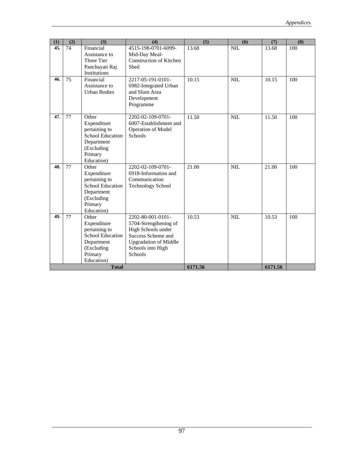| (1) | (2) | (3)                               | (4)                                             | (5)     | (6)        | (7)     | (8) |
|-----|-----|-----------------------------------|-------------------------------------------------|---------|------------|---------|-----|
| 45. | 74  | Financial                         | 4515-198-0701-6099-                             | 13.68   | <b>NIL</b> | 13.68   | 100 |
|     |     | Assistance to<br>Three Tier       | Mid-Day Meal-<br><b>Construction of Kitchen</b> |         |            |         |     |
|     |     | Panchayati Raj                    | Shed                                            |         |            |         |     |
|     |     | Institutions                      |                                                 |         |            |         |     |
| 46. | 75  | Financial                         | 2217-05-191-0101-                               | 10.15   | <b>NIL</b> | 10.15   | 100 |
|     |     | Assistance to                     | 6982-Integrated Urban                           |         |            |         |     |
|     |     | <b>Urban Bodies</b>               | and Slum Area                                   |         |            |         |     |
|     |     |                                   | Development                                     |         |            |         |     |
|     |     |                                   | Programme                                       |         |            |         |     |
| 47. | 77  | Other                             | 2202-02-109-0701-                               | 11.50   | NIL        | 11.50   | 100 |
|     |     | Expenditure                       | 6007-Establishment and                          |         |            |         |     |
|     |     | pertaining to                     | <b>Operation of Model</b>                       |         |            |         |     |
|     |     | School Education                  | <b>Schools</b>                                  |         |            |         |     |
|     |     | Department                        |                                                 |         |            |         |     |
|     |     | (Excluding                        |                                                 |         |            |         |     |
|     |     | Primary                           |                                                 |         |            |         |     |
|     |     | Education)                        |                                                 |         |            |         |     |
| 48. | 77  | Other                             | 2202-02-109-0701-                               | 21.00   | <b>NIL</b> | 21.00   | 100 |
|     |     | Expenditure                       | 6918-Information and                            |         |            |         |     |
|     |     | pertaining to<br>School Education | Communication                                   |         |            |         |     |
|     |     | Department                        | <b>Technology School</b>                        |         |            |         |     |
|     |     | (Excluding                        |                                                 |         |            |         |     |
|     |     | Primary                           |                                                 |         |            |         |     |
|     |     | Education)                        |                                                 |         |            |         |     |
| 49. | 77  | Other                             | 2202-80-001-0101-                               | 10.53   | <b>NIL</b> | 10.53   | 100 |
|     |     | Expenditure                       | 5704-Strengthening of                           |         |            |         |     |
|     |     | pertaining to                     | High Schools under                              |         |            |         |     |
|     |     | School Education                  | Success Scheme and                              |         |            |         |     |
|     |     | Department                        | <b>Upgradation of Middle</b>                    |         |            |         |     |
|     |     | (Excluding                        | Schools into High<br><b>Schools</b>             |         |            |         |     |
|     |     | Primary<br>Education)             |                                                 |         |            |         |     |
|     |     | <b>Total</b>                      |                                                 | 6171.56 |            | 6171.56 |     |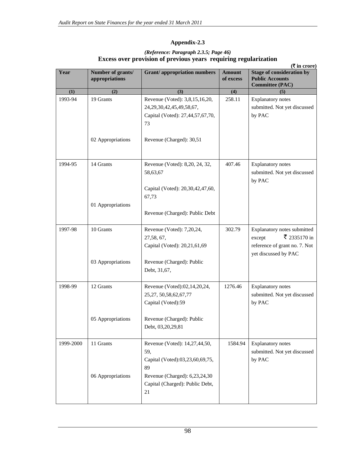# **Appendix-2.3**

| (Reference: Paragraph 2.3.5; Page 46)<br>Excess over provision of previous years requiring regularization |                                     |                            |                                                                               |  |  |  |
|-----------------------------------------------------------------------------------------------------------|-------------------------------------|----------------------------|-------------------------------------------------------------------------------|--|--|--|
| $(\bar{\mathbf{\mathsf{Z}}}$ in crore)                                                                    |                                     |                            |                                                                               |  |  |  |
| Number of grants/<br>appropriations                                                                       | <b>Grant</b> /appropriation numbers | <b>Amount</b><br>of excess | <b>Stage of consideration by</b><br><b>Public Accounts</b><br>Committo (DA C) |  |  |  |
|                                                                                                           |                                     |                            |                                                                               |  |  |  |

| Year      | Number of grants/<br>appropriations | <b>Grant/appropriation numbers</b>                                                                          | <b>Amount</b><br>of excess | <b>Stage of consideration by</b><br><b>Public Accounts</b><br><b>Committee (PAC)</b>                           |
|-----------|-------------------------------------|-------------------------------------------------------------------------------------------------------------|----------------------------|----------------------------------------------------------------------------------------------------------------|
| (1)       | (2)                                 | (3)                                                                                                         | (4)                        | (5)                                                                                                            |
| 1993-94   | 19 Grants                           | Revenue (Voted): 3,8,15,16,20,<br>24, 29, 30, 42, 45, 49, 58, 67,<br>Capital (Voted): 27,44,57,67,70,<br>73 | 258.11                     | <b>Explanatory notes</b><br>submitted. Not yet discussed<br>by PAC                                             |
|           | 02 Appropriations                   | Revenue (Charged): 30,51                                                                                    |                            |                                                                                                                |
| 1994-95   | 14 Grants                           | Revenue (Voted): 8,20, 24, 32,<br>58,63,67                                                                  | 407.46                     | <b>Explanatory notes</b><br>submitted. Not yet discussed<br>by PAC                                             |
|           |                                     | Capital (Voted): 20,30,42,47,60,<br>67,73                                                                   |                            |                                                                                                                |
|           | 01 Appropriations                   | Revenue (Charged): Public Debt                                                                              |                            |                                                                                                                |
| 1997-98   | 10 Grants                           | Revenue (Voted): 7,20,24,<br>27,58, 67,<br>Capital (Voted): 20,21,61,69                                     | 302.79                     | Explanatory notes submitted<br>₹ 2335170 in<br>except<br>reference of grant no. 7. Not<br>yet discussed by PAC |
|           | 03 Appropriations                   | Revenue (Charged): Public<br>Debt, 31,67,                                                                   |                            |                                                                                                                |
| 1998-99   | 12 Grants                           | Revenue (Voted):02,14,20,24,<br>25, 27, 50, 58, 62, 67, 77<br>Capital (Voted):59                            | 1276.46                    | <b>Explanatory notes</b><br>submitted. Not yet discussed<br>by PAC                                             |
|           | 05 Appropriations                   | Revenue (Charged): Public<br>Debt, 03,20,29,81                                                              |                            |                                                                                                                |
| 1999-2000 | 11 Grants                           | Revenue (Voted): 14,27,44,50,<br>59,<br>Capital (Voted):03,23,60,69,75,<br>89                               | 1584.94                    | <b>Explanatory</b> notes<br>submitted. Not yet discussed<br>by PAC                                             |
|           | 06 Appropriations                   | Revenue (Charged): 6,23,24,30<br>Capital (Charged): Public Debt,<br>21                                      |                            |                                                                                                                |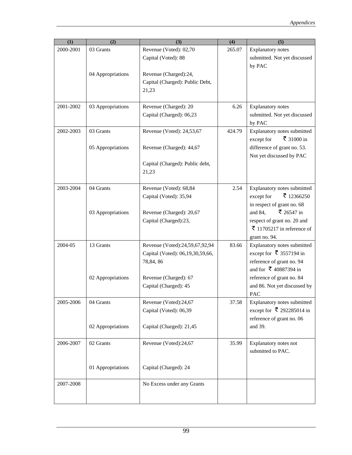| (1)       | (2)               | (3)                                                                            | (4)    | (5)                                                                                                          |
|-----------|-------------------|--------------------------------------------------------------------------------|--------|--------------------------------------------------------------------------------------------------------------|
| 2000-2001 | 03 Grants         | Revenue (Voted): 02,70<br>Capital (Voted): 88                                  | 265.07 | <b>Explanatory</b> notes<br>submitted. Not yet discussed<br>by PAC                                           |
|           | 04 Appropriations | Revenue (Charged):24,<br>Capital (Charged): Public Debt,<br>21,23              |        |                                                                                                              |
| 2001-2002 | 03 Appropriations | Revenue (Charged): 20<br>Capital (Charged): 06,23                              | 6.26   | <b>Explanatory notes</b><br>submitted. Not yet discussed<br>by PAC                                           |
| 2002-2003 | 03 Grants         | Revenue (Voted): 24,53,67                                                      | 424.79 | Explanatory notes submitted<br>₹ 31000 in<br>except for                                                      |
|           | 05 Appropriations | Revenue (Charged): 44,67                                                       |        | difference of grant no. 53.<br>Not yet discussed by PAC                                                      |
|           |                   | Capital (Charged): Public debt,<br>21,23                                       |        |                                                                                                              |
| 2003-2004 | 04 Grants         | Revenue (Voted): 68,84<br>Capital (Voted): 35,94                               | 2.54   | Explanatory notes submitted<br>₹ 12366250<br>except for                                                      |
|           | 03 Appropriations | Revenue (Charged): 20,67                                                       |        | in respect of grant no. 68<br>₹ 26547 in<br>and 84,                                                          |
|           |                   | Capital (Charged):23,                                                          |        | respect of grant no. 20 and<br>₹ 11705217 in reference of<br>grant no. 94.                                   |
| 2004-05   | 13 Grants         | Revenue (Voted):24,59,67,92,94<br>Capital (Voted): 06,19,30,59,66,<br>78,84,86 | 83.66  | Explanatory notes submitted<br>except for ₹ 3557194 in<br>reference of grant no. 94<br>and for ₹ 40887394 in |
|           | 02 Appropriations | Revenue (Charged): 67<br>Capital (Charged): 45                                 |        | reference of grant no. 84<br>and 86. Not yet discussed by<br><b>PAC</b>                                      |
| 2005-2006 | 04 Grants         | Revenue (Voted):24,67<br>Capital (Voted): 06,39                                | 37.58  | Explanatory notes submitted<br>except for ₹ 292285014 in<br>reference of grant no. 06                        |
|           | 02 Appropriations | Capital (Charged): 21,45                                                       |        | and 39.                                                                                                      |
| 2006-2007 | 02 Grants         | Revenue (Voted):24,67                                                          | 35.99  | Explanatory notes not<br>submitted to PAC.                                                                   |
|           | 01 Appropriations | Capital (Charged): 24                                                          |        |                                                                                                              |
| 2007-2008 |                   | No Excess under any Grants                                                     |        |                                                                                                              |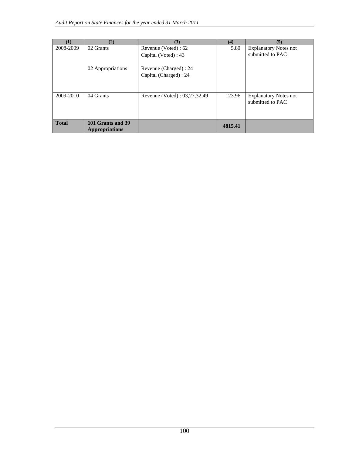| 11           | (2)                                        | (3)                          | (4)     | (5)                                              |
|--------------|--------------------------------------------|------------------------------|---------|--------------------------------------------------|
| 2008-2009    | 02 Grants                                  | Revenue (Voted) : 62         | 5.80    | <b>Explanatory Notes not</b>                     |
|              |                                            | Capital (Voted) : 43         |         | submitted to PAC                                 |
|              | 02 Appropriations                          | Revenue (Charged) : 24       |         |                                                  |
|              |                                            | Capital (Charged) : 24       |         |                                                  |
|              |                                            |                              |         |                                                  |
| 2009-2010    | 04 Grants                                  | Revenue (Voted): 03,27,32,49 | 123.96  | <b>Explanatory Notes not</b><br>submitted to PAC |
| <b>Total</b> | 101 Grants and 39<br><b>Appropriations</b> |                              | 4815.41 |                                                  |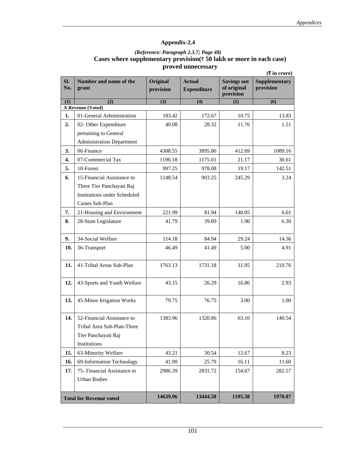## *(Reference: Paragraph 2.3.7; Page 48)*  **Cases where supplementary provision(**` **50 lakh or more in each case) proved unnecessary**

|                    |                                                                                                 |                              |                                     |                                                | ( ₹ in error)                     |
|--------------------|-------------------------------------------------------------------------------------------------|------------------------------|-------------------------------------|------------------------------------------------|-----------------------------------|
| Sl.<br>No.         | Number and name of the<br>grant                                                                 | <b>Original</b><br>provision | <b>Actual</b><br><b>Expenditure</b> | <b>Savings out</b><br>of original<br>provision | <b>Supplementary</b><br>provision |
| (1)                | (2)<br>A Revenue (Voted)                                                                        | (3)                          | (4)                                 | (5)                                            | (6)                               |
| 1.                 | 01-General Administration                                                                       | 183.42                       | 172.67                              | 10.75                                          | 13.83                             |
| 2.                 | 02- Other Expenditure                                                                           | 40.08                        | 28.32                               | 11.76                                          | 1.51                              |
|                    | pertaining to General                                                                           |                              |                                     |                                                |                                   |
|                    | <b>Administration Department</b>                                                                |                              |                                     |                                                |                                   |
| 3.                 | 06-Finance                                                                                      | 4308.55                      | 3895.86                             | 412.69                                         | 1089.16                           |
| $\boldsymbol{4}$ . | 07-Commercial Tax                                                                               | 1196.18                      | 1175.01                             | 21.17                                          | 30.61                             |
| 5.                 | 10-Forest                                                                                       | 997.25                       | 978.08                              | 19.17                                          | 142.51                            |
| 6.                 | 15-Financial Assistance to                                                                      | 1148.54                      | 903.25                              | 245.29                                         | 3.24                              |
|                    | Three Tier Panchayati Raj                                                                       |                              |                                     |                                                |                                   |
|                    | <b>Institutions under Scheduled</b>                                                             |                              |                                     |                                                |                                   |
|                    | Castes Sub-Plan                                                                                 |                              |                                     |                                                |                                   |
| 7.                 | 21-Housing and Environment                                                                      | 221.99                       | 81.94                               | 140.05                                         | 6.01                              |
| 8.                 | 28-State Legislature                                                                            | 41.79                        | 39.89                               | 1.90                                           | 6.30                              |
| 9.                 | 34-Social Welfare                                                                               | 114.18                       | 84.94                               | 29.24                                          | 14.36                             |
| 10.                | 36-Transport                                                                                    | 46.49                        | 41.49                               | 5.00                                           | 4.91                              |
| 11.                | 41-Tribal Areas Sub-Plan                                                                        | 1763.13                      | 1731.18                             | 31.95                                          | 210.76                            |
| 12.                | 43-Sports and Youth Welfare                                                                     | 43.15                        | 26.29                               | 16.86                                          | 2.93                              |
| 13.                | 45-Minor Irrigation Works                                                                       | 79.75                        | 76.75                               | 3.00                                           | 1.00                              |
| 14.                | 52-Financial Assistance to<br>Tribal Area Sub-Plan-Three<br>Tier Panchayati Raj<br>Institutions | 1383.96                      | 1320.86                             | 63.10                                          | 140.54                            |
| 15.                | 63-Minority Welfare                                                                             | 43.21                        | 30.54                               | 12.67                                          | 8.23                              |
| 16.                | 69-Information Technology                                                                       | 41.90                        | 25.79                               | 16.11                                          | 11.60                             |
| 17.                | 75- Financial Assistance to<br><b>Urban Bodies</b>                                              | 2986.39                      | 2831.72                             | 154.67                                         | 282.57                            |
|                    | <b>Total for Revenue voted</b>                                                                  | 14639.96                     | 13444.58                            | 1195.38                                        | 1970.07                           |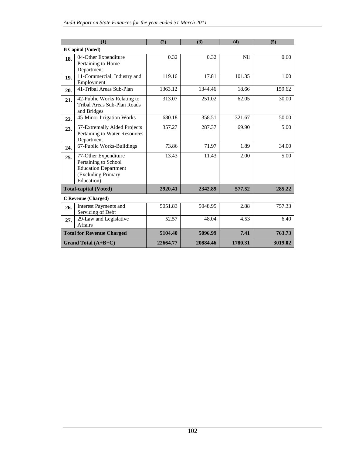|     | (1)                                                                                                             | (2)      | (3)      | (4)              | (5)     |
|-----|-----------------------------------------------------------------------------------------------------------------|----------|----------|------------------|---------|
|     | <b>B</b> Capital (Voted)                                                                                        |          |          |                  |         |
| 18. | 04-Other Expenditure<br>Pertaining to Home<br>Department                                                        | 0.32     | 0.32     | N <sub>i</sub> l | 0.60    |
| 19. | 11-Commercial, Industry and<br>Employment                                                                       | 119.16   | 17.81    | 101.35           | 1.00    |
| 20. | 41-Tribal Areas Sub-Plan                                                                                        | 1363.12  | 1344.46  | 18.66            | 159.62  |
| 21. | 42-Public Works Relating to<br>Tribal Areas Sub-Plan Roads<br>and Bridges                                       | 313.07   | 251.02   | 62.05            | 30.00   |
| 22. | 45-Minor Irrigation Works                                                                                       | 680.18   | 358.51   | 321.67           | 50.00   |
| 23. | 57-Extremally Aided Projects<br>Pertaining to Water Resources<br>Department                                     | 357.27   | 287.37   | 69.90            | 5.00    |
| 24. | 67-Public Works-Buildings                                                                                       | 73.86    | 71.97    | 1.89             | 34.00   |
| 25. | 77-Other Expenditure<br>Pertaining to School<br><b>Education Department</b><br>(Excluding Primary<br>Education) | 13.43    | 11.43    | 2.00             | 5.00    |
|     | <b>Total-capital (Voted)</b>                                                                                    | 2920.41  | 2342.89  | 577.52           | 285.22  |
|     | <b>C</b> Revenue (Charged)                                                                                      |          |          |                  |         |
| 26. | <b>Interest Payments and</b><br>Servicing of Debt                                                               | 5051.83  | 5048.95  | 2.88             | 757.33  |
| 27. | 29-Law and Legislative<br>Affairs                                                                               | 52.57    | 48.04    | 4.53             | 6.40    |
|     | <b>Total for Revenue Charged</b>                                                                                | 5104.40  | 5096.99  | 7.41             | 763.73  |
|     | Grand Total $(A+B+C)$                                                                                           | 22664.77 | 20884.46 | 1780.31          | 3019.02 |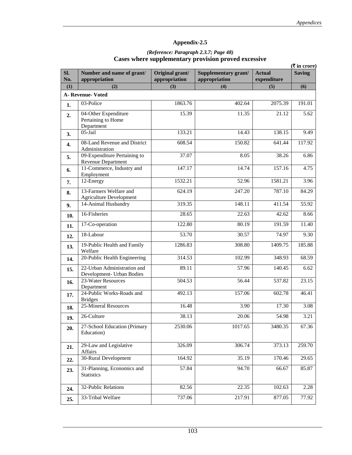#### *(Reference: Paragraph 2.3.7; Page 48)*  **Cases where supplementary provision proved excessive**

|            |                                                          |                                  |                                       |                              | $(\overline{\mathbf{\mathsf{F}}}$ in crore) |
|------------|----------------------------------------------------------|----------------------------------|---------------------------------------|------------------------------|---------------------------------------------|
| Sl.<br>No. | Number and name of grant/<br>appropriation               | Original grant/<br>appropriation | Supplementary grant/<br>appropriation | <b>Actual</b><br>expenditure | <b>Saving</b>                               |
| (1)        | (2)                                                      | (3)                              | (4)                                   | (5)                          | (6)                                         |
|            | A-Revenue-Voted                                          |                                  |                                       |                              |                                             |
| 1.         | 03-Police                                                | 1863.76                          | 402.64                                | 2075.39                      | 191.01                                      |
| 2.         | 04-Other Expenditure<br>Pertaining to Home<br>Department | 15.39                            | 11.35                                 | 21.12                        | 5.62                                        |
| 3.         | 05-Jail                                                  | 133.21                           | 14.43                                 | 138.15                       | 9.49                                        |
| 4.         | 08-Land Revenue and District<br>Administration           | 608.54                           | 150.82                                | 641.44                       | 117.92                                      |
| 5.         | 09-Expenditure Pertaining to<br>Revenue Department       | 37.07                            | 8.05                                  | 38.26                        | 6.86                                        |
| 6.         | 11-Commerce, Industry and<br>Employment                  | 147.17                           | 14.74                                 | 157.16                       | 4.75                                        |
| 7.         | 12-Energy                                                | 1532.21                          | 52.96                                 | 1581.21                      | 3.96                                        |
| 8.         | 13-Farmers Welfare and<br><b>Agriculture Development</b> | 624.19                           | 247.20                                | 787.10                       | 84.29                                       |
| 9.         | 14-Animal Husbandry                                      | 319.35                           | 148.11                                | 411.54                       | 55.92                                       |
| 10.        | 16-Fisheries                                             | 28.65                            | 22.63                                 | 42.62                        | 8.66                                        |
| 11.        | 17-Co-operation                                          | 122.80                           | 80.19                                 | 191.59                       | 11.40                                       |
| 12.        | 18-Labour                                                | 53.70                            | 30.57                                 | 74.97                        | 9.30                                        |
| 13.        | 19-Public Health and Family<br>Welfare                   | 1286.83                          | 308.80                                | 1409.75                      | 185.88                                      |
| 14.        | 20-Public Health Engineering                             | 314.53                           | 102.99                                | 348.93                       | 68.59                                       |
| 15.        | 22-Urban Administration and<br>Development- Urban Bodies | 89.11                            | 57.96                                 | 140.45                       | 6.62                                        |
| 16.        | 23-Water Resources<br>Department                         | 504.53                           | 56.44                                 | 537.82                       | 23.15                                       |
| 17.        | 24-Public Works-Roads and<br><b>Bridges</b>              | 492.13                           | 157.06                                | 602.78                       | 46.41                                       |
| 18.        | 25-Mineral Resources                                     | 16.48                            | 3.90                                  | 17.30                        | 3.08                                        |
| 19.        | 26-Culture                                               | 38.13                            | 20.06                                 | 54.98                        | 3.21                                        |
| 20.        | 27-School Education (Primary<br>Education)               | 2530.06                          | 1017.65                               | 3480.35                      | 67.36                                       |
| 21.        | 29-Law and Legislative<br>Affairs                        | 326.09                           | 306.74                                | 373.13                       | 259.70                                      |
| 22.        | 30-Rural Development                                     | 164.92                           | 35.19                                 | 170.46                       | 29.65                                       |
| 23.        | 31-Planning, Economics and<br><b>Statistics</b>          | 57.84                            | 94.70                                 | 66.67                        | 85.87                                       |
| 24.        | 32-Public Relations                                      | 82.56                            | 22.35                                 | 102.63                       | 2.28                                        |
| 25.        | 33-Tribal Welfare                                        | 737.06                           | 217.91                                | 877.05                       | 77.92                                       |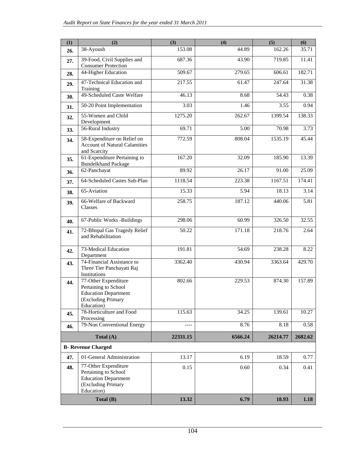| (1)                                                                                                                    | (2)                                                                                                             | (3)      | (4)     | (5)      | (6)     |
|------------------------------------------------------------------------------------------------------------------------|-----------------------------------------------------------------------------------------------------------------|----------|---------|----------|---------|
| 26.                                                                                                                    | 38-Ayoush                                                                                                       | 153.08   | 44.89   | 162.26   | 35.71   |
| 27.                                                                                                                    | 39-Food, Civil Supplies and<br><b>Consumer Protection</b>                                                       | 687.36   | 43.90   | 719.85   | 11.41   |
| 28.                                                                                                                    | 44-Higher Education                                                                                             | 509.67   | 279.65  | 606.61   | 182.71  |
| 29.                                                                                                                    | 47-Technical Education and<br>Training                                                                          | 217.55   | 61.47   | 247.64   | 31.38   |
| 30.                                                                                                                    | 49-Scheduled Caste Welfare                                                                                      | 46.13    | 8.68    | 54.43    | 0.38    |
| 31.                                                                                                                    | 50-20 Point Implementation                                                                                      | 3.03     | 1.46    | 3.55     | 0.94    |
| 32.                                                                                                                    | 55-Women and Child<br>Development                                                                               | 1275.20  | 262.67  | 1399.54  | 138.33  |
| 33.                                                                                                                    | 56-Rural Industry                                                                                               | 69.71    | 5.00    | 70.98    | 3.73    |
| 34.                                                                                                                    | 58-Expenditure on Relief on<br><b>Account of Natural Calamities</b><br>and Scarcity                             | 772.59   | 808.04  | 1535.19  | 45.44   |
| 35.                                                                                                                    | 61-Expenditure Pertaining to<br><b>Bundelkhand Package</b>                                                      | 167.20   | 32.09   | 185.90   | 13.39   |
| 36.                                                                                                                    | 62-Panchayat                                                                                                    | 89.92    | 26.17   | 91.00    | 25.09   |
| 37.                                                                                                                    | 64-Scheduled Castes Sub-Plan                                                                                    | 1118.54  | 223.38  | 1167.51  | 174.41  |
| 38.                                                                                                                    | 65-Aviation                                                                                                     | 15.33    | 5.94    | 18.13    | 3.14    |
| 39.                                                                                                                    | 66-Welfare of Backward<br>Classes                                                                               | 258.75   | 187.12  | 440.06   | 5.81    |
| 40.                                                                                                                    | 67-Public Works -Buildings                                                                                      | 298.06   | 60.99   | 326.50   | 32.55   |
| 41.                                                                                                                    | 72-Bhopal Gas Tragedy Relief<br>and Rehabilitation                                                              | 50.22    | 171.18  | 218.76   | 2.64    |
| 42.                                                                                                                    | 73-Medical Education<br>Department                                                                              | 191.81   | 54.69   | 238.28   | 8.22    |
| 43.                                                                                                                    | 74-Financial Assistance to<br>Three Tier Panchayati Raj<br>Institutions                                         | 3362.40  | 430.94  | 3363.64  | 429.70  |
| 44.                                                                                                                    | 77-Other Expenditure<br>Pertaining to School<br><b>Education Department</b><br>(Excluding Primary<br>Education) | 802.66   | 229.53  | 874.30   | 157.89  |
| 45.                                                                                                                    | 78-Horticulture and Food<br>Processing                                                                          | 115.63   | 34.25   | 139.61   | 10.27   |
| 46.                                                                                                                    | 79-Non Conventional Energy                                                                                      | ----     | 8.76    | 8.18     | 0.58    |
| Total (A)                                                                                                              |                                                                                                                 | 22331.15 | 6566.24 | 26214.77 | 2682.62 |
|                                                                                                                        | <b>B- Revenue Charged</b>                                                                                       |          |         |          |         |
| 47.                                                                                                                    | 01-General Administration                                                                                       | 13.17    | 6.19    | 18.59    | 0.77    |
| 77-Other Expenditure<br>48.<br>Pertaining to School<br><b>Education Department</b><br>(Excluding Primary<br>Education) |                                                                                                                 | 0.15     | 0.60    | 0.34     | 0.41    |
|                                                                                                                        | Total (B)                                                                                                       | 13.32    | 6.79    | 18.93    | 1.18    |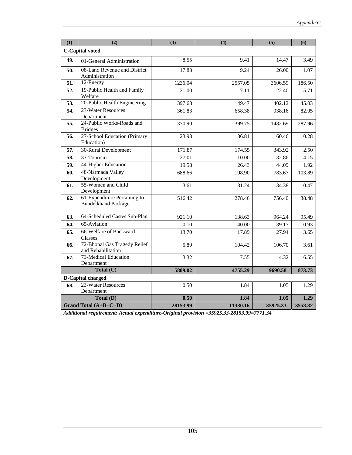| (1) | (2)                                                        | (3)      | (4)      | (5)      | (6)     |
|-----|------------------------------------------------------------|----------|----------|----------|---------|
|     | <b>C-Capital voted</b>                                     |          |          |          |         |
| 49. | 01-General Administration                                  | 8.55     | 9.41     | 14.47    | 3.49    |
| 50. | 08-Land Revenue and District<br>Administration             | 17.83    | 9.24     | 26.00    | 1.07    |
| 51. | 12-Energy                                                  | 1236.04  | 2557.05  | 3606.59  | 186.50  |
| 52. | 19-Public Health and Family<br>Welfare                     | 21.00    | 7.11     | 22.40    | 5.71    |
| 53. | 20-Public Health Engineering                               | 397.68   | 49.47    | 402.12   | 45.03   |
| 54. | 23-Water Resources<br>Department                           | 361.83   | 658.38   | 938.16   | 82.05   |
| 55. | 24-Public Works-Roads and<br><b>Bridges</b>                | 1370.90  | 399.75   | 1482.69  | 287.96  |
| 56. | 27-School Education (Primary<br>Education)                 | 23.93    | 36.81    | 60.46    | 0.28    |
| 57. | 30-Rural Development                                       | 171.87   | 174.55   | 343.92   | 2.50    |
| 58. | 37-Tourism                                                 | 27.01    | 10.00    | 32.86    | 4.15    |
| 59. | 44-Higher Education                                        | 19.58    | 26.43    | 44.09    | 1.92    |
| 60. | 48-Narmada Valley<br>Development                           | 688.66   | 198.90   | 783.67   | 103.89  |
| 61. | 55-Women and Child<br>Development                          | 3.61     | 31.24    | 34.38    | 0.47    |
| 62. | 61-Expenditure Pertaining to<br><b>Bundelkhand Package</b> | 516.42   | 278.46   | 756.40   | 38.48   |
| 63. | 64-Scheduled Castes Sub-Plan                               | 921.10   | 138.63   | 964.24   | 95.49   |
| 64. | $65$ -Aviation                                             | 0.10     | 40.00    | 39.17    | 0.93    |
| 65. | 66-Welfare of Backward<br>Classes                          | 13.70    | 17.89    | 27.94    | 3.65    |
| 66. | 72-Bhopal Gas Tragedy Relief<br>and Rehabilitation         | 5.89     | 104.42   | 106.70   | 3.61    |
| 67. | 73-Medical Education<br>Department                         | 3.32     | 7.55     | 4.32     | 6.55    |
|     | Total $(C)$                                                | 5809.02  | 4755.29  | 9690.58  | 873.73  |
|     | <b>D-Capital charged</b>                                   |          |          |          |         |
| 68. | 23-Water Resources<br>Department                           | 0.50     | 1.84     | 1.05     | 1.29    |
|     | Total (D)                                                  | 0.50     | 1.84     | 1.05     | 1.29    |
|     | Grand Total (A+B+C+D)                                      | 28153.99 | 11330.16 | 35925.33 | 3558.82 |

*Additional requirement: Actual expenditure-Original provision =35925.33-28153.99=7771.34*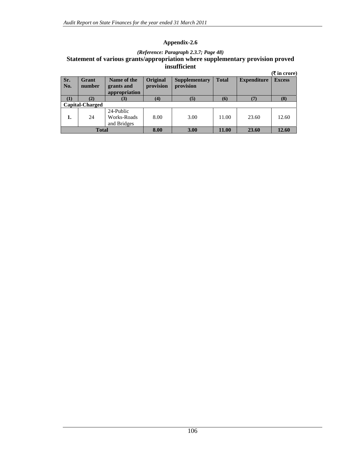### *(Reference: Paragraph 2.3.7; Page 48)*  **Statement of various grants/appropriation where supplementary provision proved insufficient**

|              |                        |                                            |                       |                            |              |                    | $(\overline{\mathbf{\mathsf{F}}}$ in crore) |
|--------------|------------------------|--------------------------------------------|-----------------------|----------------------------|--------------|--------------------|---------------------------------------------|
| Sr.<br>  No. | Grant<br>number        | Name of the<br>grants and<br>appropriation | Original<br>provision | Supplementary<br>provision | <b>Total</b> | <b>Expenditure</b> | <b>Excess</b>                               |
| (1)          | (2)                    | (3)                                        | (4)                   | (5)                        | (6)          | (7)                | (8)                                         |
|              | <b>Capital-Charged</b> |                                            |                       |                            |              |                    |                                             |
| 1.           | 24                     | 24-Public<br>Works-Roads<br>and Bridges    | 8.00                  | 3.00                       | 11.00        | 23.60              | 12.60                                       |
| <b>Total</b> |                        |                                            | 8.00                  | 3.00                       | 11.00        | 23.60              | 12.60                                       |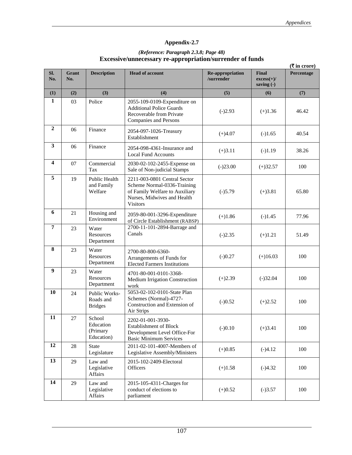## *(Reference: Paragraph 2.3.8; Page 48)*  **Excessive/unnecessary re-appropriation/surrender of funds**

|                         |                     |                                               |                                                                                                                                                 |                                |                                     | $(\overline{\mathbf{\mathsf{F}}}$ in crore) |
|-------------------------|---------------------|-----------------------------------------------|-------------------------------------------------------------------------------------------------------------------------------------------------|--------------------------------|-------------------------------------|---------------------------------------------|
| SI.<br>No.              | <b>Grant</b><br>No. | <b>Description</b>                            | <b>Head of account</b>                                                                                                                          | Re-appropriation<br>/surrender | Final<br>$excess(+)/$<br>saving (-) | Percentage                                  |
| (1)                     | (2)                 | (3)                                           | (4)                                                                                                                                             | (5)                            | (6)                                 | (7)                                         |
| 1                       | 03                  | Police                                        | 2055-109-0109-Expenditure on<br><b>Additional Police Guards</b><br>Recoverable from Private<br><b>Companies and Persons</b>                     | $(-)2.93$                      | $(+)1.36$                           | 46.42                                       |
| $\boldsymbol{2}$        | 06                  | Finance                                       | 2054-097-1026-Treasury<br>Establishment                                                                                                         | $(+)4.07$                      | $(-)1.65$                           | 40.54                                       |
| 3                       | 06                  | Finance                                       | 2054-098-4361-Insurance and<br><b>Local Fund Accounts</b>                                                                                       | $(+)3.11$                      | $(-)1.19$                           | 38.26                                       |
| $\overline{\mathbf{4}}$ | 07                  | Commercial<br>Tax                             | 2030-02-102-2455-Expense on<br>Sale of Non-judicial Stamps                                                                                      | $(-)23.00$                     | $(+)32.57$                          | 100                                         |
| $\overline{5}$          | 19                  | Public Health<br>and Family<br>Welfare        | 2211-003-0801 Central Sector<br>Scheme Normal-0336-Training<br>of Family Welfare to Auxiliary<br>Nurses, Midwives and Health<br><b>Visitors</b> | $(-)5.79$                      | $(+)3.81$                           | 65.80                                       |
| 6                       | 21                  | Housing and<br>Environment                    | 2059-80-001-3296-Expenditure<br>of Circle Establishment (RABSP)                                                                                 | $(+)1.86$                      | $(-)1.45$                           | 77.96                                       |
| 7                       | 23                  | Water<br>Resources<br>Department              | 2700-11-101-2894-Barrage and<br>Canals                                                                                                          | $(-)2.35$                      | $(+)1.21$                           | 51.49                                       |
| 8                       | 23                  | Water<br>Resources<br>Department              | 2700-80-800-6360-<br>Arrangements of Funds for<br><b>Elected Farmers Institutions</b>                                                           | $(-)0.27$                      | $(+)16.03$                          | 100                                         |
| 9                       | 23                  | Water<br>Resources<br>Department              | 4701-80-001-0101-3368-<br>Medium Irrigation Construction<br>work                                                                                | $(+)2.39$                      | $(-)32.04$                          | 100                                         |
| 10                      | 24                  | Public Works-<br>Roads and<br><b>Bridges</b>  | 5053-02-102-0101-State Plan<br>Schemes (Normal)-4727-<br>Construction and Extension of<br>Air Strips                                            | $(-)0.52$                      | $(+)2.52$                           | 100                                         |
| 11                      | 27                  | School<br>Education<br>(Primary<br>Education) | 2202-01-001-3930-<br><b>Establishment of Block</b><br>Development Level Office-For<br><b>Basic Minimum Services</b>                             | $(-)0.10$                      | $(+)3.41$                           | 100                                         |
| 12                      | 28                  | <b>State</b><br>Legislature                   | 2011-02-101-4007-Members of<br>Legislative Assembly/Ministers                                                                                   | $(+)0.85$                      | $(-)4.12$                           | 100                                         |
| 13                      | 29                  | Law and<br>Legislative<br>Affairs             | 2015-102-2409-Electoral<br>Officers                                                                                                             | $(+)1.58$                      | $(-)4.32$                           | 100                                         |
| 14                      | 29                  | Law and<br>Legislative<br>Affairs             | 2015-105-4311-Charges for<br>conduct of elections to<br>parliament                                                                              | $(+)0.52$                      | $(-)3.57$                           | 100                                         |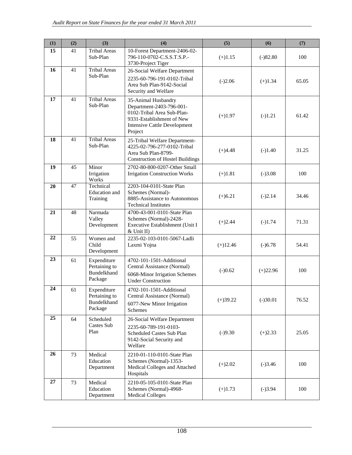| (1) | (2) | (3)                                                    | (4)                                                                                                                                                          | (5)        | (6)        | (7)   |
|-----|-----|--------------------------------------------------------|--------------------------------------------------------------------------------------------------------------------------------------------------------------|------------|------------|-------|
| 15  | 41  | <b>Tribal Areas</b><br>Sub-Plan                        | 10-Forest Department-2406-02-<br>796-110-0702-C.S.S.T.S.P.-<br>3730-Project Tiger                                                                            | $(+)1.15$  | $(-)82.80$ | 100   |
| 16  | 41  | <b>Tribal Areas</b><br>Sub-Plan                        | 26-Social Welfare Department<br>2235-60-796-191-0102-Tribal<br>Area Sub Plan-9142-Social<br>Security and Welfare                                             | $(-)2.06$  | $(+)1.34$  | 65.05 |
| 17  | 41  | <b>Tribal Areas</b><br>Sub-Plan                        | 35-Animal Husbandry<br>Department-2403-796-001-<br>0102-Tribal Area Sub-Plan-<br>9331-Establishment of New<br><b>Intensive Cattle Development</b><br>Project | $(+)1.97$  | $(-)1.21$  | 61.42 |
| 18  | 41  | <b>Tribal Areas</b><br>Sub-Plan                        | 25-Tribal Welfare Department-<br>4225-02-796-277-0102-Tribal<br>Area Sub Plan-8799-<br><b>Construction of Hostel Buildings</b>                               | $(+)4.48$  | $(-)1.40$  | 31.25 |
| 19  | 45  | Minor<br>Irrigation<br>Works                           | 2702-80-800-0207-Other Small<br>Irrigation Construction Works                                                                                                | $(+)1.81$  | $(-)3.08$  | 100   |
| 20  | 47  | Technical<br>Education and<br>Training                 | 2203-104-0101-State Plan<br>Schemes (Normal)-<br>8885-Assistance to Autonomous<br><b>Technical Institutes</b>                                                | $(+)6.21$  | $(-)2.14$  | 34.46 |
| 21  | 48  | Narmada<br>Valley<br>Development                       | 4700-43-001-0101-State Plan<br>Schemes (Normal)-2428-<br>Executive Establishment (Unit I<br>$&$ Unit II)                                                     | $(+)2.44$  | $(-)1.74$  | 71.31 |
| 22  | 55  | Women and<br>Child<br>Development                      | 2235-02-103-0101-5067-Ladli<br>Laxmi Yojna                                                                                                                   | $(+)12.46$ | $(-)6.78$  | 54.41 |
| 23  | 61  | Expenditure<br>Pertaining to<br>Bundelkhand<br>Package | 4702-101-1501-Additional<br>Central Assistance (Normal)<br>6068-Minor Irrigation Schemes<br><b>Under Construction</b>                                        | $(-)0.62$  | $(+)22.96$ | 100   |
| 24  | 61  | Expenditure<br>Pertaining to<br>Bundelkhand<br>Package | 4702-101-1501-Additional<br>Central Assistance (Normal)<br>6077-New Minor Irrigation<br>Schemes                                                              | $(+)39.22$ | $(-)30.01$ | 76.52 |
| 25  | 64  | Scheduled<br>Castes Sub<br>Plan                        | 26-Social Welfare Department<br>2235-60-789-191-0103-<br>Scheduled Castes Sub Plan<br>9142-Social Security and<br>Welfare                                    | $(-)9.30$  | $(+)2.33$  | 25.05 |
| 26  | 73  | Medical<br>Education<br>Department                     | 2210-01-110-0101-State Plan<br>Schemes (Normal)-1353-<br>Medical Colleges and Attached<br>Hospitals                                                          | $(+)2.02$  | $(-)3.46$  | 100   |
| 27  | 73  | Medical<br>Education<br>Department                     | 2210-05-105-0101-State Plan<br>Schemes (Normal)-4968-<br><b>Medical Colleges</b>                                                                             | $(+)1.73$  | $(-)3.94$  | 100   |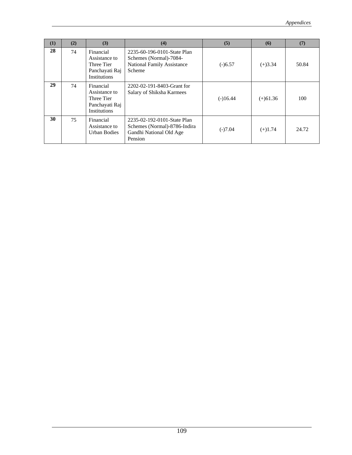| (1) | (2) | (3)                                                                               | (4)                                                                                                  | (5)        | (6)        | (7)   |
|-----|-----|-----------------------------------------------------------------------------------|------------------------------------------------------------------------------------------------------|------------|------------|-------|
| 28  | 74  | Financial<br>Assistance to<br>Three Tier<br>Panchayati Raj<br><b>Institutions</b> | 2235-60-196-0101-State Plan<br>Schemes (Normal)-7084-<br><b>National Family Assistance</b><br>Scheme | $(-)6.57$  | $(+)3.34$  | 50.84 |
| 29  | 74  | Financial<br>Assistance to<br>Three Tier<br>Panchayati Raj<br><b>Institutions</b> | 2202-02-191-8403-Grant for<br>Salary of Shiksha Karmees                                              | $(-)16.44$ | $(+)61.36$ | 100   |
| 30  | 75  | Financial<br>Assistance to<br>Urban Bodies                                        | 2235-02-192-0101-State Plan<br>Schemes (Normal)-8786-Indira<br>Gandhi National Old Age<br>Pension    | $(-)7.04$  | $(+)1.74$  | 24.72 |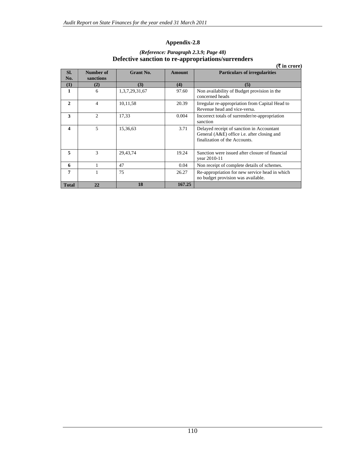|                         |                        |                  |               | Detective sanction to re-appropriations/surrenders<br>(₹ in crore)                                                        |
|-------------------------|------------------------|------------------|---------------|---------------------------------------------------------------------------------------------------------------------------|
| SI.<br>No.              | Number of<br>sanctions | <b>Grant No.</b> | <b>Amount</b> | <b>Particulars of irregularities</b>                                                                                      |
| (1)                     | (2)                    | (3)              | (4)           | (5)                                                                                                                       |
| 1                       | 6                      | 1,3,7,29,31,67   | 97.60         | Non availability of Budget provision in the<br>concerned heads                                                            |
| $\mathbf{2}$            | 4                      | 10,11,58         | 20.39         | Irregular re-appropriation from Capital Head to<br>Revenue head and vice-versa.                                           |
| 3                       | $\mathcal{D}$          | 17,33            | 0.004         | Incorrect totals of surrender/re-appropriation<br>sanction                                                                |
| $\overline{\mathbf{4}}$ | 5                      | 15,36,63         | 3.71          | Delayed receipt of sanction in Accountant<br>General (A&E) office i.e. after closing and<br>finalization of the Accounts. |
| 5                       | 3                      | 29,43,74         | 19.24         | Sanction were issued after closure of financial<br>year 2010-11                                                           |
| 6                       |                        | 47               | 0.04          | Non receipt of complete details of schemes.                                                                               |
| 7                       |                        | 75               | 26.27         | Re-appropriation for new service head in which<br>no budget provision was available.                                      |
| <b>Total</b>            | 22                     | 18               | 167.25        |                                                                                                                           |

### *(Reference: Paragraph 2.3.9; Page 48)*  **Defective sanction to re-appropriations/surrenders**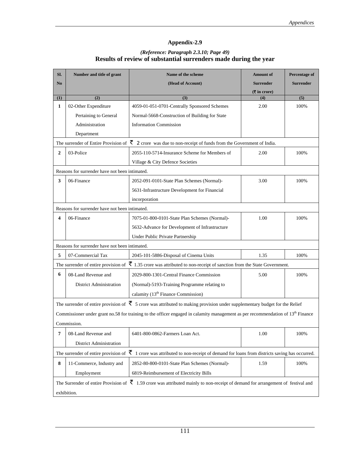#### *(Reference: Paragraph 2.3.10; Page 49)*  **Results of review of substantial surrenders made during the year**

| SI.                     | Number and title of grant                                 | Name of the scheme                                                                                                                                  | <b>Amount</b> of                                  | Percentage of    |
|-------------------------|-----------------------------------------------------------|-----------------------------------------------------------------------------------------------------------------------------------------------------|---------------------------------------------------|------------------|
| N <sub>0</sub>          |                                                           | (Head of Account)                                                                                                                                   | <b>Surrender</b>                                  | <b>Surrender</b> |
|                         |                                                           |                                                                                                                                                     | $(\overline{\mathbf{\overline{\zeta}}}$ in crore) |                  |
| (1)                     | (2)                                                       | (3)                                                                                                                                                 | (4)                                               | (5)              |
| 1                       | 02-Other Expenditure                                      | 4059-01-051-0701-Centrally Sponsored Schemes                                                                                                        | 2.00                                              | 100%             |
|                         | Pertaining to General                                     | Normal-5668-Construction of Building for State                                                                                                      |                                                   |                  |
|                         | Administration                                            | <b>Information Commission</b>                                                                                                                       |                                                   |                  |
|                         | Department                                                |                                                                                                                                                     |                                                   |                  |
|                         | The surrender of Entire Provision of $\bar{\mathfrak{F}}$ | 2 crore was due to non-receipt of funds from the Government of India.                                                                               |                                                   |                  |
| $\mathbf{2}$            | 03-Police                                                 | 2055-110-5714-Insurance Scheme for Members of                                                                                                       | 2.00                                              | 100%             |
|                         |                                                           | Village & City Defence Societies                                                                                                                    |                                                   |                  |
|                         | Reasons for surrender have not been intimated.            |                                                                                                                                                     |                                                   |                  |
| 3                       | 06-Finance                                                | 2052-091-0101-State Plan Schemes (Normal)-                                                                                                          | 3.00                                              | 100%             |
|                         |                                                           | 5631-Infrastructure Development for Financial                                                                                                       |                                                   |                  |
|                         |                                                           | incorporation                                                                                                                                       |                                                   |                  |
|                         | Reasons for surrender have not been intimated.            |                                                                                                                                                     |                                                   |                  |
| $\overline{\mathbf{4}}$ | 06-Finance                                                | 7075-01-800-0101-State Plan Schemes (Normal)-                                                                                                       | 1.00                                              | 100%             |
|                         |                                                           | 5632-Advance for Development of Infrastructure                                                                                                      |                                                   |                  |
|                         |                                                           | Under Public Private Partnership                                                                                                                    |                                                   |                  |
|                         | Reasons for surrender have not been intimated.            |                                                                                                                                                     |                                                   |                  |
| 5                       | 07-Commercial Tax                                         | 2045-101-5886-Disposal of Cinema Units                                                                                                              | 1.35                                              | 100%             |
|                         |                                                           | The surrender of entire provision of $\bar{\mathfrak{F}}$ 1.35 crore was attributed to non-receipt of sanction from the State Government.           |                                                   |                  |
| 6                       | 08-Land Revenue and                                       | 2029-800-1301-Central Finance Commission                                                                                                            | 5.00                                              | 100%             |
|                         | <b>District Administration</b>                            | (Normal)-5193-Training Programme relating to                                                                                                        |                                                   |                  |
|                         |                                                           | calamity (13 <sup>th</sup> Finance Commission)                                                                                                      |                                                   |                  |
|                         |                                                           |                                                                                                                                                     |                                                   |                  |
|                         |                                                           | The surrender of entire provision of $\bar{\zeta}$ 5 crore was attributed to making provision under supplementary budget for the Relief             |                                                   |                  |
|                         |                                                           | Commissioner under grant no.58 for training to the officer engaged in calamity management as per recommendation of 13 <sup>th</sup> Finance         |                                                   |                  |
|                         | Commission.                                               |                                                                                                                                                     |                                                   |                  |
| 7                       | 08-Land Revenue and                                       | 6401-800-0862-Farmers Loan Act.                                                                                                                     | 1.00                                              | 100%             |
|                         | <b>District Administration</b>                            |                                                                                                                                                     |                                                   |                  |
|                         | The surrender of entire provision of $\bar{\zeta}$        | 1 crore was attributed to non-receipt of demand for loans from districts saving has occurred.                                                       |                                                   |                  |
| 8                       | 11-Commerce, Industry and                                 | 2852-80-800-0101-State Plan Schemes (Normal)-                                                                                                       | 1.59                                              | 100%             |
|                         | Employment                                                | 6819-Reimbursement of Electricity Bills                                                                                                             |                                                   |                  |
|                         |                                                           | The Surrender of entire Provision of $\bar{\mathfrak{F}}$ 1.59 crore was attributed mainly to non-receipt of demand for arrangement of festival and |                                                   |                  |
|                         | exhibition.                                               |                                                                                                                                                     |                                                   |                  |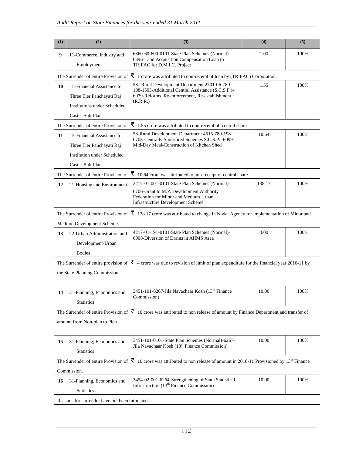| (1) | (2)                                                                                                                                                                      | (3)                                                                                                                                                                            | (4)    | (5)  |  |  |
|-----|--------------------------------------------------------------------------------------------------------------------------------------------------------------------------|--------------------------------------------------------------------------------------------------------------------------------------------------------------------------------|--------|------|--|--|
| 9   | 11-Commerce, Industry and<br>Employment                                                                                                                                  | 6860-60-600-0101-State Plan Schemes (Normal)-<br>6396-Land Acquisition Compensation Loan to<br>TRIFAC for D.M.I.C. Project                                                     | 1.00   | 100% |  |  |
|     | The Surrender of entire Provision of                                                                                                                                     | $\overline{\xi}$ 1 crore was attributed to non-receipt of loan by (TRIFAC) Corporation.                                                                                        |        |      |  |  |
| 10  | 15-Financial Assistance to<br>Three Tier Panchayati Raj<br><b>Institutions under Scheduled</b><br>Castes Sub-Plan                                                        | 58--Rural Development Department 2501-06-789-<br>198-1503-Additional Central Assistance (S.C.S.P.)-<br>6079-Reforms, Re-enforcement, Re-establishment<br>(R.R.R.)              | 1.55   | 100% |  |  |
|     | The Surrender of entire Provision of                                                                                                                                     | $\bar{z}$ 1.55 crore was attributed to non-receipt of central share.                                                                                                           |        |      |  |  |
| 11  | 15-Financial Assistance to<br>Three Tier Panchayati Raj<br><b>Institution under Scheduled</b><br>Castes Sub-Plan                                                         | 58-Rural Development Department 4515-789-198-<br>0703-Centrally Sponsored Schemes S.C.S.P. -6099-<br>Mid-Day Meal-Construction of Kitchen Shed                                 | 10.64  | 100% |  |  |
|     |                                                                                                                                                                          | The Surrender of entire Provision of $\bar{\mathfrak{F}}$ 10.64 crore was attributed to non-receipt of central share.                                                          |        |      |  |  |
| 12  | 21-Housing and Environment                                                                                                                                               | 2217-01-001-0101-State Plan Schemes (Normal)-<br>6706-Grant to M.P. Development Authority<br>Federation for Minor and Medium Urban<br><b>Infrastructure Development Scheme</b> | 138.17 | 100% |  |  |
|     |                                                                                                                                                                          | The Surrender of entire Provision of $\bar{\mathfrak{F}}$ 138.17 crore was attributed to change in Nodal Agency for implementation of Minor and                                |        |      |  |  |
|     | Medium Development Scheme.                                                                                                                                               |                                                                                                                                                                                |        |      |  |  |
| 13  | 22-Urban Administration and<br>Development-Urban<br><b>Bodies</b>                                                                                                        | 4217-01-191-0101-State Plan Schemes (Normal)-<br>6008-Diversion of Drains in AIIMS Area                                                                                        | 4.00   | 100% |  |  |
|     |                                                                                                                                                                          | The Surrender of entire provision of $\bar{\mathfrak{F}}$ 4 crore was due to revision of limit of plan expenditure for the financial year 2010-11 by                           |        |      |  |  |
|     | the State Planning Commission.                                                                                                                                           |                                                                                                                                                                                |        |      |  |  |
| 14  | 31-Planning, Economics and<br><b>Statistics</b>                                                                                                                          | 3451-101-6267-Jila Navachaar Kosh (13 <sup>th</sup> Finance<br>Commission)                                                                                                     | 10.00  | 100% |  |  |
|     | The Surrender of entire Provision of $\bar{\xi}$ 10 crore was attributed to non release of amount by Finance Department and transfer of<br>amount from Non-plan to Plan. |                                                                                                                                                                                |        |      |  |  |
| 15  | 31-Planning, Economics and<br><b>Statistics</b>                                                                                                                          | 3451-101-0101-State Plan Schemes (Normal)-6267-<br>Jila Navachaar Kosh (13 <sup>th</sup> Finance Commission)                                                                   | 10.00  | 100% |  |  |
|     | Commission.                                                                                                                                                              | The Surrender of entire Provision of $\bar{\mathfrak{F}}$ 10 crore was attributed to non release of amount in 2010-11 Provisioned by 13 <sup>th</sup> Finance                  |        |      |  |  |
| 16  | 31-Planning, Economics and<br><b>Statistics</b>                                                                                                                          | 3454-02-001-6264-Strengthening of State Statistical<br>Infrastructure (13 <sup>th</sup> Finance Commission)                                                                    | 10.00  | 100% |  |  |
|     | Reasons for surrender have not been intimated.                                                                                                                           |                                                                                                                                                                                |        |      |  |  |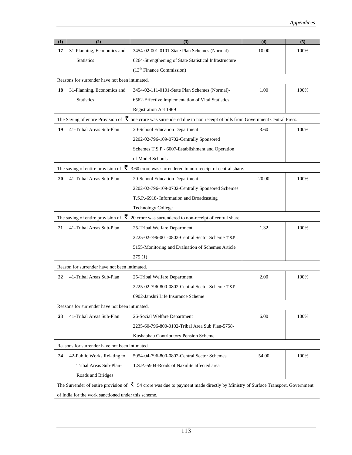| (1) | (2)                                                 | (3)                                                                                                                                              | (4)   | (5)  |  |  |  |
|-----|-----------------------------------------------------|--------------------------------------------------------------------------------------------------------------------------------------------------|-------|------|--|--|--|
| 17  | 31-Planning, Economics and                          | 3454-02-001-0101-State Plan Schemes (Normal)-                                                                                                    | 10.00 | 100% |  |  |  |
|     | <b>Statistics</b>                                   | 6264-Strengthening of State Statistical Infrastructure                                                                                           |       |      |  |  |  |
|     |                                                     | $(13th$ Finance Commission)                                                                                                                      |       |      |  |  |  |
|     | Reasons for surrender have not been intimated.      |                                                                                                                                                  |       |      |  |  |  |
| 18  | 31-Planning, Economics and                          | 3454-02-111-0101-State Plan Schemes (Normal)-                                                                                                    | 1.00  | 100% |  |  |  |
|     | <b>Statistics</b>                                   | 6562-Effective Implementation of Vital Statistics                                                                                                |       |      |  |  |  |
|     |                                                     | Registration Act 1969                                                                                                                            |       |      |  |  |  |
|     |                                                     | The Saving of entire Provision of $\vec{\xi}$ one crore was surrendered due to non receipt of bills from Government Central Press.               |       |      |  |  |  |
| 19  | 41-Tribal Areas Sub-Plan                            | 20-School Education Department                                                                                                                   | 3.60  | 100% |  |  |  |
|     |                                                     | 2202-02-796-109-0702-Centrally Sponsored                                                                                                         |       |      |  |  |  |
|     |                                                     | Schemes T.S.P.- 6007-Establishment and Operation                                                                                                 |       |      |  |  |  |
|     |                                                     | of Model Schools                                                                                                                                 |       |      |  |  |  |
|     |                                                     | The saving of entire provision of $\bar{\mathfrak{F}}$ 3.60 crore was surrendered to non-receipt of central share.                               |       |      |  |  |  |
| 20  | 41-Tribal Areas Sub-Plan                            | 20-School Education Department                                                                                                                   | 20.00 | 100% |  |  |  |
|     |                                                     | 2202-02-796-109-0702-Centrally Sponsored Schemes                                                                                                 |       |      |  |  |  |
|     |                                                     | T.S.P.-6918- Information and Broadcasting                                                                                                        |       |      |  |  |  |
|     |                                                     | <b>Technology College</b>                                                                                                                        |       |      |  |  |  |
|     |                                                     | The saving of entire provision of $\bar{\mathfrak{F}}$ 20 crore was surrendered to non-receipt of central share.                                 |       |      |  |  |  |
| 21  | 41-Tribal Areas Sub-Plan                            | 25-Tribal Welfare Department                                                                                                                     | 1.32  | 100% |  |  |  |
|     |                                                     | 2225-02-796-001-0802-Central Sector Scheme T.S.P.-                                                                                               |       |      |  |  |  |
|     |                                                     | 5155-Monitoring and Evaluation of Schemes Article                                                                                                |       |      |  |  |  |
|     |                                                     | 275(1)                                                                                                                                           |       |      |  |  |  |
|     | Reason for surrender have not been intimated.       |                                                                                                                                                  |       |      |  |  |  |
| 22  | 41-Tribal Areas Sub-Plan                            | 25-Tribal Welfare Department                                                                                                                     | 2.00  | 100% |  |  |  |
|     |                                                     | 2225-02-796-800-0802-Central Sector Scheme T.S.P.-                                                                                               |       |      |  |  |  |
|     |                                                     | 6902-Janshri Life Insurance Scheme                                                                                                               |       |      |  |  |  |
|     | Reasons for surrender have not been intimated.      |                                                                                                                                                  |       |      |  |  |  |
| 23  | 41-Tribal Areas Sub-Plan                            | 26-Social Welfare Department                                                                                                                     | 6.00  | 100% |  |  |  |
|     |                                                     | 2235-60-796-800-0102-Tribal Area Sub Plan-5758-                                                                                                  |       |      |  |  |  |
|     |                                                     | Kushabhau Contributory Pension Scheme                                                                                                            |       |      |  |  |  |
|     | Reasons for surrender have not been intimated.      |                                                                                                                                                  |       |      |  |  |  |
| 24  | 42-Public Works Relating to                         | 5054-04-796-800-0802-Central Sector Schemes                                                                                                      | 54.00 | 100% |  |  |  |
|     | Tribal Areas Sub-Plan-                              | T.S.P.-5904-Roads of Naxulite affected area                                                                                                      |       |      |  |  |  |
|     | Roads and Bridges                                   |                                                                                                                                                  |       |      |  |  |  |
|     |                                                     | The Surrender of entire provision of $\bar{\mathfrak{F}}$ 54 crore was due to payment made directly by Ministry of Surface Transport, Government |       |      |  |  |  |
|     | of India for the work sanctioned under this scheme. |                                                                                                                                                  |       |      |  |  |  |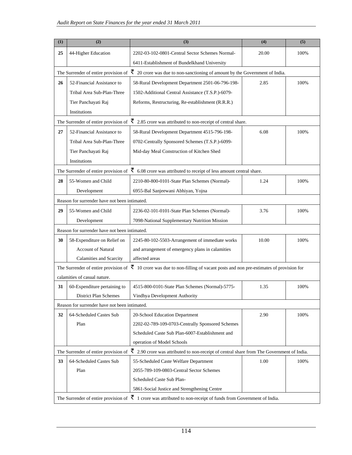| (1) | (2)                                                                                                                        | (3)                                                                                                                                     | (4)   | (5)  |  |  |  |
|-----|----------------------------------------------------------------------------------------------------------------------------|-----------------------------------------------------------------------------------------------------------------------------------------|-------|------|--|--|--|
| 25  | 44-Higher Education                                                                                                        | 2202-03-102-0801-Central Sector Schemes Normal-                                                                                         | 20.00 | 100% |  |  |  |
|     |                                                                                                                            | 6411-Establishment of Bundelkhand University                                                                                            |       |      |  |  |  |
|     | The Surrender of entire provision of                                                                                       | $\bar{\xi}$ 20 crore was due to non-sanctioning of amount by the Government of India.                                                   |       |      |  |  |  |
| 26  | 52-Financial Assistance to                                                                                                 | 58-Rural Development Department 2501-06-796-198-                                                                                        | 2.85  | 100% |  |  |  |
|     | Tribal Area Sub-Plan-Three                                                                                                 | 1502-Additional Central Assistance (T.S.P.)-6079-                                                                                       |       |      |  |  |  |
|     | Tier Panchayati Raj                                                                                                        | Reforms, Restructuring, Re-establishment (R.R.R.)                                                                                       |       |      |  |  |  |
|     | Institutions                                                                                                               |                                                                                                                                         |       |      |  |  |  |
|     | The Surrender of entire provision of                                                                                       | $\bar{\xi}$ 2.85 crore was attributed to non-receipt of central share.                                                                  |       |      |  |  |  |
| 27  | 52-Financial Assistance to                                                                                                 | 58-Rural Development Department 4515-796-198-                                                                                           | 6.08  | 100% |  |  |  |
|     | Tribal Area Sub-Plan-Three                                                                                                 | 0702-Centrally Sponsored Schemes (T.S.P.)-6099-                                                                                         |       |      |  |  |  |
|     | Tier Panchayati Raj                                                                                                        | Mid-day Meal Construction of Kitchen Shed                                                                                               |       |      |  |  |  |
|     | Institutions                                                                                                               |                                                                                                                                         |       |      |  |  |  |
|     |                                                                                                                            | The Surrender of entire provision of $\bar{\mathfrak{F}}$ 6.08 crore was attributed to receipt of less amount central share.            |       |      |  |  |  |
| 28  | 55-Women and Child                                                                                                         | 2210-80-800-0101-State Plan Schemes (Normal)-                                                                                           | 1.24  | 100% |  |  |  |
|     | Development                                                                                                                | 6955-Bal Sanjeewani Abhiyan, Yojna                                                                                                      |       |      |  |  |  |
|     | Reason for surrender have not been intimated.                                                                              |                                                                                                                                         |       |      |  |  |  |
| 29  | 55-Women and Child                                                                                                         | 2236-02-101-0101-State Plan Schemes (Normal)-                                                                                           | 3.76  | 100% |  |  |  |
|     | Development                                                                                                                | 7098-National Supplementary Nutrition Mission                                                                                           |       |      |  |  |  |
|     | Reason for surrender have not been intimated.                                                                              |                                                                                                                                         |       |      |  |  |  |
| 30  | 58-Expenditure on Relief on                                                                                                | 2245-80-102-5503-Arrangement of immediate works                                                                                         | 10.00 | 100% |  |  |  |
|     | <b>Account of Natural</b>                                                                                                  | and arrangement of emergency plans in calamities                                                                                        |       |      |  |  |  |
|     | Calamities and Scarcity                                                                                                    | affected areas                                                                                                                          |       |      |  |  |  |
|     |                                                                                                                            | The Surrender of entire provision of $\bar{\xi}$ 10 crore was due to non-filling of vacant posts and non pre-estimates of provision for |       |      |  |  |  |
|     | calamities of casual nature.                                                                                               |                                                                                                                                         |       |      |  |  |  |
| 31  | 60-Expenditure pertaining to                                                                                               | 4515-800-0101-State Plan Schemes (Normal)-5775-                                                                                         | 1.35  | 100% |  |  |  |
|     | District Plan Schemes                                                                                                      | Vindhya Development Authority                                                                                                           |       |      |  |  |  |
|     | Reason for surrender have not been intimated.                                                                              |                                                                                                                                         |       |      |  |  |  |
| 32  | 64-Scheduled Castes Sub                                                                                                    | 20-School Education Department                                                                                                          | 2.90  | 100% |  |  |  |
|     | Plan                                                                                                                       | 2202-02-789-109-0703-Centrally Sponsored Schemes                                                                                        |       |      |  |  |  |
|     |                                                                                                                            | Scheduled Caste Sub Plan-6007-Establishment and                                                                                         |       |      |  |  |  |
|     |                                                                                                                            | operation of Model Schools                                                                                                              |       |      |  |  |  |
|     | The Surrender of entire provision of                                                                                       | $\bar{\xi}$ 2.90 crore was attributed to non-receipt of central share from The Government of India.                                     |       |      |  |  |  |
| 33  | 64-Scheduled Castes Sub                                                                                                    | 55-Scheduled Caste Welfare Department                                                                                                   | 1.00  | 100% |  |  |  |
|     | Plan                                                                                                                       | 2055-789-109-0803-Central Sector Schemes                                                                                                |       |      |  |  |  |
|     |                                                                                                                            | Scheduled Caste Sub Plan-                                                                                                               |       |      |  |  |  |
|     |                                                                                                                            | 5861-Social Justice and Strengthening Centre                                                                                            |       |      |  |  |  |
|     | The Surrender of entire provision of $\bar{\tau}$ 1 crore was attributed to non-receipt of funds from Government of India. |                                                                                                                                         |       |      |  |  |  |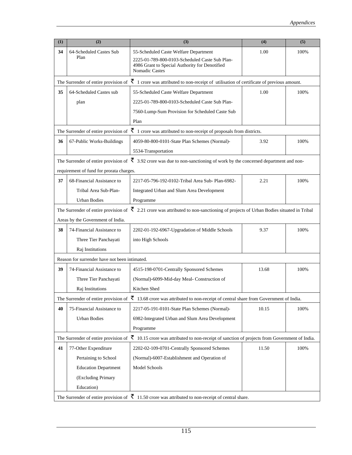| (1) | (2)                                           | (3)                                                                                                                                                   | (4)   | (5)  |
|-----|-----------------------------------------------|-------------------------------------------------------------------------------------------------------------------------------------------------------|-------|------|
| 34  | 64-Scheduled Castes Sub                       | 55-Scheduled Caste Welfare Department                                                                                                                 | 1.00  | 100% |
|     | Plan                                          | 2225-01-789-800-0103-Scheduled Caste Sub Plan-<br>4986 Grant to Special Authority for Denotified<br><b>Nomadic Castes</b>                             |       |      |
|     |                                               | The Surrender of entire provision of $\bar{\mathfrak{F}}$ 1 crore was attributed to non-receipt of utilisation of certificate of previous amount.     |       |      |
| 35  | 64-Scheduled Castes sub                       | 55-Scheduled Caste Welfare Department                                                                                                                 | 1.00  | 100% |
|     | plan                                          | 2225-01-789-800-0103-Scheduled Caste Sub Plan-                                                                                                        |       |      |
|     |                                               | 7560-Lump-Sum Provision for Scheduled Caste Sub                                                                                                       |       |      |
|     |                                               | Plan                                                                                                                                                  |       |      |
|     |                                               | The Surrender of entire provision of $\bar{\mathfrak{F}}$ 1 crore was attributed to non-receipt of proposals from districts.                          |       |      |
| 36  | 67-Public Works-Buildings                     | 4059-80-800-0101-State Plan Schemes (Normal)-                                                                                                         | 3.92  | 100% |
|     |                                               | 5534-Transportation                                                                                                                                   |       |      |
|     |                                               | The Surrender of entire provision of $\bar{\mathfrak{F}}$ 3.92 crore was due to non-sanctioning of work by the concerned department and non-          |       |      |
|     | requirement of fund for prorata charges.      |                                                                                                                                                       |       |      |
| 37  | 68-Financial Assistance to                    | 2217-05-796-192-0102-Tribal Area Sub- Plan-6982-                                                                                                      | 2.21  | 100% |
|     | Tribal Area Sub-Plan-                         | Integrated Urban and Slum Area Development                                                                                                            |       |      |
|     | <b>Urban Bodies</b>                           | Programme                                                                                                                                             |       |      |
|     |                                               | The Surrender of entire provision of $\bar{\mathfrak{F}}$ 2.21 crore was attributed to non-sanctioning of projects of Urban Bodies situated in Tribal |       |      |
|     | Areas by the Government of India.             |                                                                                                                                                       |       |      |
| 38  | 74-Financial Assistance to                    | 2202-01-192-6967-Upgradation of Middle Schools                                                                                                        | 9.37  | 100% |
|     | Three Tier Panchayati                         | into High Schools                                                                                                                                     |       |      |
|     | Raj Institutions                              |                                                                                                                                                       |       |      |
|     | Reason for surrender have not been intimated. |                                                                                                                                                       |       |      |
| 39  | 74-Financial Assistance to                    | 4515-198-0701-Centrally Sponsored Schemes                                                                                                             | 13.68 | 100% |
|     | Three Tier Panchayati                         | (Normal)-6099-Mid-day Meal- Construction of                                                                                                           |       |      |
|     | Raj Institutions                              | Kitchen Shed                                                                                                                                          |       |      |
|     |                                               | The Surrender of entire provision of $\bar{\mathfrak{F}}$ 13.68 crore was attributed to non-receipt of central share from Government of India.        |       |      |
| 40  | 75-Financial Assistance to                    | 2217-05-191-0101-State Plan Schemes (Normal)-                                                                                                         | 10.15 | 100% |
|     | <b>Urban Bodies</b>                           | 6982-Integrated Urban and Slum Area Development                                                                                                       |       |      |
|     |                                               | Programme                                                                                                                                             |       |      |
|     |                                               | The Surrender of entire provision of $\bar{\mathfrak{F}}$ 10.15 crore was attributed to non-receipt of sanction of projects from Government of India. |       |      |
| 41  | 77-Other Expenditure                          | 2202-02-109-0701-Centrally Sponsored Schemes                                                                                                          | 11.50 | 100% |
|     | Pertaining to School                          | (Normal)-6007-Establishment and Operation of                                                                                                          |       |      |
|     | <b>Education Department</b>                   | Model Schools                                                                                                                                         |       |      |
|     | (Excluding Primary                            |                                                                                                                                                       |       |      |
|     | Education)                                    |                                                                                                                                                       |       |      |
|     |                                               | The Surrender of entire provision of $\bar{\mathfrak{F}}$ 11.50 crore was attributed to non-receipt of central share.                                 |       |      |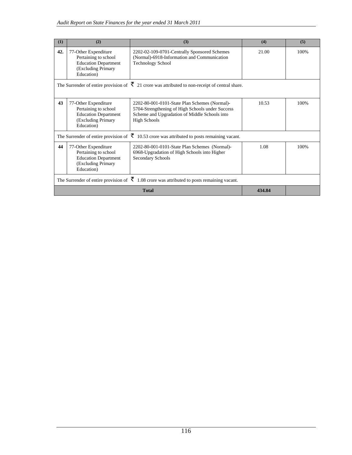| (1) | (2)                                                                                                                                                                                                                                   | (3)                                                                                                                                                                       | (4)    | (5)  |  |  |  |
|-----|---------------------------------------------------------------------------------------------------------------------------------------------------------------------------------------------------------------------------------------|---------------------------------------------------------------------------------------------------------------------------------------------------------------------------|--------|------|--|--|--|
| 42. | 77-Other Expenditure<br>Pertaining to school<br><b>Education Department</b><br>(Excluding Primary<br>Education)                                                                                                                       | 2202-02-109-0701-Centrally Sponsored Schemes<br>(Normal)-6918-Information and Communication<br><b>Technology School</b>                                                   | 21.00  | 100% |  |  |  |
|     | The Surrender of entire provision of $\vec{\xi}$ 21 crore was attributed to non-receipt of central share.                                                                                                                             |                                                                                                                                                                           |        |      |  |  |  |
| 43  | 77-Other Expenditure<br>Pertaining to school<br><b>Education Department</b><br>(Excluding Primary<br>Education)                                                                                                                       | 2202-80-001-0101-State Plan Schemes (Normal)-<br>5704-Strengthening of High Schools under Success<br>Scheme and Upgradation of Middle Schools into<br><b>High Schools</b> | 10.53  | 100% |  |  |  |
|     |                                                                                                                                                                                                                                       | The Surrender of entire provision of $\bar{\xi}$ 10.53 crore was attributed to posts remaining vacant.                                                                    |        |      |  |  |  |
| 44  | 77-Other Expenditure<br>2202-80-001-0101-State Plan Schemes (Normal)-<br>Pertaining to school<br>6968-Upgradation of High Schools into Higher<br><b>Education Department</b><br>Secondary Schools<br>(Excluding Primary<br>Education) |                                                                                                                                                                           | 1.08   | 100% |  |  |  |
|     | The Surrender of entire provision of $\bar{\mathfrak{F}}$ 1.08 crore was attributed to posts remaining vacant.                                                                                                                        |                                                                                                                                                                           |        |      |  |  |  |
|     |                                                                                                                                                                                                                                       | <b>Total</b>                                                                                                                                                              | 434.84 |      |  |  |  |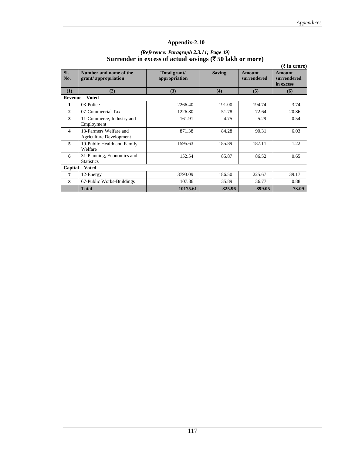#### *(Reference: Paragraph 2.3.11; Page 49)*  **Surrender in excess of actual savings (**` **50 lakh or more)**

|                         |                                                          |                               |               |                       | $(\bar{\mathbf{\mathsf{I}}})$ in crore)   |  |
|-------------------------|----------------------------------------------------------|-------------------------------|---------------|-----------------------|-------------------------------------------|--|
| Sl.<br>No.              | Number and name of the<br>grant/appropriation            | Total grant/<br>appropriation | <b>Saving</b> | Amount<br>surrendered | <b>Amount</b><br>surrendered<br>in excess |  |
| (1)                     | (2)                                                      | (3)                           | (4)           | (5)                   | (6)                                       |  |
| <b>Revenue - Voted</b>  |                                                          |                               |               |                       |                                           |  |
| 1                       | 03-Police                                                | 2266.40                       | 191.00        | 194.74                | 3.74                                      |  |
| $\mathbf{2}$            | 07-Commercial Tax                                        | 1226.80                       | 51.78         | 72.64                 | 20.86                                     |  |
| 3                       | 11-Commerce, Industry and<br>Employment                  | 161.91                        | 4.75          | 5.29                  | 0.54                                      |  |
| $\overline{\mathbf{4}}$ | 13-Farmers Welfare and<br><b>Agriculture Development</b> | 871.38                        | 84.28         | 90.31                 | 6.03                                      |  |
| 5                       | 19-Public Health and Family<br>Welfare                   | 1595.63                       | 185.89        | 187.11                | 1.22                                      |  |
| 6                       | 31-Planning, Economics and<br><b>Statistics</b>          | 152.54                        | 85.87         | 86.52                 | 0.65                                      |  |
|                         | Capital - Voted                                          |                               |               |                       |                                           |  |
| 7                       | 12-Energy                                                | 3793.09                       | 186.50        | 225.67                | 39.17                                     |  |
| 8                       | 67-Public Works-Buildings                                | 107.86                        | 35.89         | 36.77                 | 0.88                                      |  |
|                         | <b>Total</b>                                             | 10175.61                      | 825.96        | 899.05                | 73.09                                     |  |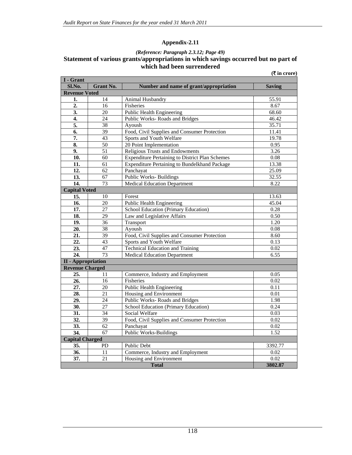#### *(Reference: Paragraph 2.3.12; Page 49)*

#### **Statement of various grants/appropriations in which savings occurred but no part of which had been surrendered (**` **in crore)**

| I - Grant                 |                  |                                                        |                   |
|---------------------------|------------------|--------------------------------------------------------|-------------------|
| Sl.No.                    | <b>Grant No.</b> | Number and name of grant/appropriation                 | <b>Saving</b>     |
| <b>Revenue Voted</b>      |                  |                                                        |                   |
| 1.                        | 14               | Animal Husbandry                                       | 55.91             |
| $\overline{2}$ .          | $\overline{16}$  | Fisheries                                              | 8.67              |
| 3.                        | 20               | Public Health Engineering                              | 68.60             |
| 4.                        | 24               | Public Works-Roads and Bridges                         | 46.42             |
| $\overline{5}$ .          | $\overline{38}$  | Ayoush                                                 | 35.71             |
| 6.                        | 39               | Food, Civil Supplies and Consumer Protection           | 11.41             |
| 7.                        | 43               | Sports and Youth Welfare                               | 19.78             |
| 8.                        | 50               | 20 Point Implementation                                | 0.95              |
| 9.                        | 51               | Religious Trusts and Endowments                        | 3.26              |
| 10.                       | 60               | <b>Expenditure Pertaining to District Plan Schemes</b> | 0.08              |
| 11.                       | $\overline{61}$  | <b>Expenditure Pertaining to Bundelkhand Package</b>   | 13.38             |
| 12.                       | 62               | Panchayat                                              | 25.09             |
| 13.                       | 67               | <b>Public Works-Buildings</b>                          | 32.55             |
| 14.                       | 73               | <b>Medical Education Department</b>                    | 8.22              |
| <b>Capital Voted</b>      |                  |                                                        |                   |
| $\overline{15}$ .         | 10               | Forest                                                 | 13.63             |
| $\overline{16}$ .         | $\overline{20}$  | Public Health Engineering                              | 45.04             |
| 17.                       | 27               | School Education (Primary Education)                   | 0.28              |
| 18.                       | 29               | Law and Legislative Affairs                            | 0.50              |
| 19.                       | 36               | Transport                                              | 1.20              |
| 20.                       | 38               | Ayoush                                                 | 0.08              |
| 21.                       | $\overline{39}$  | Food, Civil Supplies and Consumer Protection           | 8.60              |
| 22.                       | $\overline{43}$  | Sports and Youth Welfare                               | 0.13              |
| 23.                       | 47               | <b>Technical Education and Training</b>                | 0.02              |
| 24.                       | $\overline{73}$  | <b>Medical Education Department</b>                    | 6.55              |
| <b>II</b> - Appropriation |                  |                                                        |                   |
| <b>Revenue Charged</b>    |                  |                                                        |                   |
| 25.                       | 11               | Commerce, Industry and Employment                      | 0.05              |
| 26.                       | 16               | Fisheries                                              | 0.02              |
| $\overline{27}$ .         | $\overline{20}$  | <b>Public Health Engineering</b>                       | 0.11              |
| 28.                       | $\overline{21}$  | Housing and Environment                                | $\overline{0.01}$ |
| 29.                       | $\overline{24}$  | Public Works-Roads and Bridges                         | 1.98              |
| 30.                       | $\overline{27}$  | School Education (Primary Education)                   | 0.24              |
| 31.                       | 34               | Social Welfare                                         | 0.03              |
| 32.                       | 39               | Food, Civil Supplies and Consumer Protection           | 0.02              |
| 33.                       | 62               | Panchayat                                              | 0.02              |
| 34.                       | 67               | <b>Public Works-Buildings</b>                          | 1.52              |
| <b>Capital Charged</b>    |                  |                                                        |                   |
| 35.                       | PD               | <b>Public Debt</b>                                     | 3392.77           |
| 36.                       | 11               | Commerce, Industry and Employment                      | 0.02              |
| 37.                       | 21               | Housing and Environment                                | 0.02              |
|                           |                  | <b>Total</b>                                           | 3802.87           |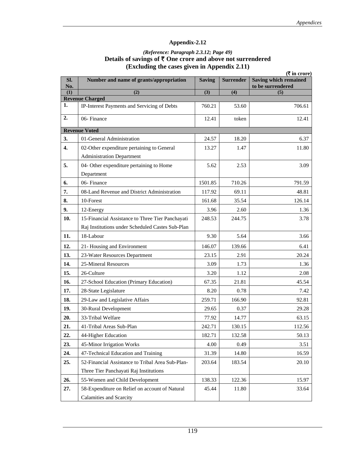## *(Reference: Paragraph 2.3.12; Page 49)*  Details of savings of ₹ One crore and above not surrendered **(Excluding the cases given in Appendix 2.11)**

|            |                                                                       |               |                  | $(\overline{\tau}$ in crore)                      |
|------------|-----------------------------------------------------------------------|---------------|------------------|---------------------------------------------------|
| Sl.<br>No. | Number and name of grants/appropriation                               | <b>Saving</b> | <b>Surrender</b> | <b>Saving which remained</b><br>to be surrendered |
| (1)        | $\overline{(2)}$                                                      | (3)           | $\overline{(4)}$ | (5)                                               |
| 1.         | <b>Revenue Charged</b><br>IP-Interest Payments and Servicing of Debts | 760.21        | 53.60            | 706.61                                            |
|            |                                                                       |               |                  |                                                   |
| 2.         | 06-Finance                                                            | 12.41         | token            | 12.41                                             |
|            | <b>Revenue Voted</b>                                                  |               |                  |                                                   |
| 3.         | 01-General Administration                                             | 24.57         | 18.20            | 6.37                                              |
| 4.         | 02-Other expenditure pertaining to General                            | 13.27         | 1.47             | 11.80                                             |
|            | <b>Administration Department</b>                                      |               |                  |                                                   |
| 5.         | 04- Other expenditure pertaining to Home                              | 5.62          | 2.53             | 3.09                                              |
|            | Department                                                            |               |                  |                                                   |
| 6.         | 06-Finance                                                            | 1501.85       | 710.26           | 791.59                                            |
| 7.         | 08-Land Revenue and District Administration                           | 117.92        | 69.11            | 48.81                                             |
| 8.         | 10-Forest                                                             | 161.68        | 35.54            | 126.14                                            |
| 9.         | 12-Energy                                                             | 3.96          | 2.60             | 1.36                                              |
| 10.        | 15-Financial Assistance to Three Tier Panchayati                      | 248.53        | 244.75           | 3.78                                              |
|            | Raj Institutions under Scheduled Castes Sub-Plan                      |               |                  |                                                   |
| 11.        | 18-Labour                                                             | 9.30          | 5.64             | 3.66                                              |
| 12.        | 21- Housing and Environment                                           | 146.07        | 139.66           | 6.41                                              |
| 13.        | 23-Water Resources Department                                         | 23.15         | 2.91             | 20.24                                             |
| 14.        | 25-Mineral Resources                                                  | 3.09          | 1.73             | 1.36                                              |
| 15.        | 26-Culture                                                            | 3.20          | 1.12             | 2.08                                              |
| 16.        | 27-School Education (Primary Education)                               | 67.35         | 21.81            | 45.54                                             |
| 17.        | 28-State Legislature                                                  | 8.20          | 0.78             | 7.42                                              |
| 18.        | 29-Law and Legislative Affairs                                        | 259.71        | 166.90           | 92.81                                             |
| 19.        | 30-Rural Development                                                  | 29.65         | 0.37             | 29.28                                             |
| 20.        | 33-Tribal Welfare                                                     | 77.92         | 14.77            | 63.15                                             |
| 21.        | 41-Tribal Areas Sub-Plan                                              | 242.71        | 130.15           | 112.56                                            |
| 22.        | 44-Higher Education                                                   | 182.71        | 132.58           | 50.13                                             |
| 23.        | 45-Minor Irrigation Works                                             | 4.00          | 0.49             | 3.51                                              |
| 24.        | 47-Technical Education and Training                                   | 31.39         | 14.80            | 16.59                                             |
| 25.        | 52-Financial Assistance to Tribal Area Sub-Plan-                      | 203.64        | 183.54           | 20.10                                             |
|            | Three Tier Panchayati Raj Institutions                                |               |                  |                                                   |
| 26.        | 55-Women and Child Development                                        | 138.33        | 122.36           | 15.97                                             |
| 27.        | 58-Expenditure on Relief on account of Natural                        | 45.44         | 11.80            | 33.64                                             |
|            | Calamities and Scarcity                                               |               |                  |                                                   |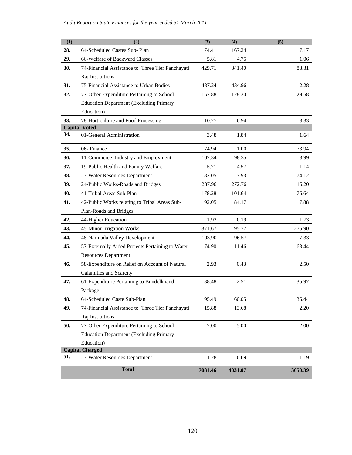| (1) | (2)                                              | (3)     | (4)     | (5)     |
|-----|--------------------------------------------------|---------|---------|---------|
| 28. | 64-Scheduled Castes Sub-Plan                     | 174.41  | 167.24  | 7.17    |
| 29. | 66-Welfare of Backward Classes                   | 5.81    | 4.75    | 1.06    |
| 30. | 74-Financial Assistance to Three Tier Panchayati | 429.71  | 341.40  | 88.31   |
|     | Raj Institutions                                 |         |         |         |
| 31. | 75-Financial Assistance to Urban Bodies          | 437.24  | 434.96  | 2.28    |
| 32. | 77-Other Expenditure Pertaining to School        | 157.88  | 128.30  | 29.58   |
|     | <b>Education Department (Excluding Primary</b>   |         |         |         |
|     | Education)                                       |         |         |         |
| 33. | 78-Horticulture and Food Processing              | 10.27   | 6.94    | 3.33    |
|     | <b>Capital Voted</b>                             |         |         |         |
| 34. | 01-General Administration                        | 3.48    | 1.84    | 1.64    |
| 35. | 06-Finance                                       | 74.94   | 1.00    | 73.94   |
| 36. | 11-Commerce, Industry and Employment             | 102.34  | 98.35   | 3.99    |
| 37. | 19-Public Health and Family Welfare              | 5.71    | 4.57    | 1.14    |
| 38. | 23-Water Resources Department                    | 82.05   | 7.93    | 74.12   |
| 39. | 24-Public Works-Roads and Bridges                | 287.96  | 272.76  | 15.20   |
| 40. | 41-Tribal Areas Sub-Plan                         | 178.28  | 101.64  | 76.64   |
| 41. | 42-Public Works relating to Tribal Areas Sub-    | 92.05   | 84.17   | 7.88    |
|     | Plan-Roads and Bridges                           |         |         |         |
| 42. | 44-Higher Education                              | 1.92    | 0.19    | 1.73    |
| 43. | 45-Minor Irrigation Works                        | 371.67  | 95.77   | 275.90  |
| 44. | 48-Narmada Valley Development                    | 103.90  | 96.57   | 7.33    |
| 45. | 57-Externally Aided Projects Pertaining to Water | 74.90   | 11.46   | 63.44   |
|     | <b>Resources Department</b>                      |         |         |         |
| 46. | 58-Expenditure on Relief on Account of Natural   | 2.93    | 0.43    | 2.50    |
|     | Calamities and Scarcity                          |         |         |         |
| 47. | 61-Expenditure Pertaining to Bundelkhand         | 38.48   | 2.51    | 35.97   |
|     | Package                                          |         |         |         |
| 48. | 64-Scheduled Caste Sub-Plan                      | 95.49   | 60.05   | 35.44   |
| 49. | 74-Financial Assistance to Three Tier Panchayati | 15.88   | 13.68   | 2.20    |
|     | Raj Institutions                                 |         |         |         |
| 50. | 77-Other Expenditure Pertaining to School        | 7.00    | 5.00    | 2.00    |
|     | <b>Education Department (Excluding Primary</b>   |         |         |         |
|     | Education)                                       |         |         |         |
|     | <b>Capital Charged</b>                           |         |         |         |
| 51. | 23-Water Resources Department                    | 1.28    | 0.09    | 1.19    |
|     | <b>Total</b>                                     | 7081.46 | 4031.07 | 3050.39 |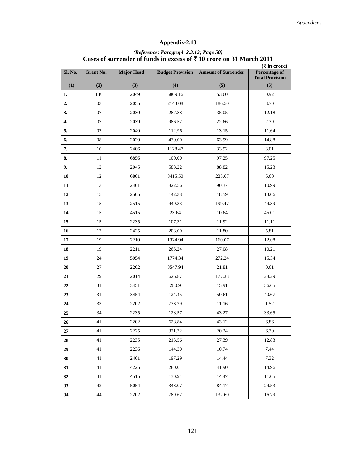| Sl. No. | <b>Grant No.</b> | <b>Major Head</b> | <b>Budget Provision</b> | <b>Amount of Surrender</b> | $(\overline{\mathbf{\mathsf{F}}}$ in crore)<br><b>Percentage of</b><br><b>Total Provision</b> |
|---------|------------------|-------------------|-------------------------|----------------------------|-----------------------------------------------------------------------------------------------|
| (1)     | (2)              | (3)               | (4)                     | (5)                        | (6)                                                                                           |
| 1.      | I.P.             | 2049              | 5809.16                 | 53.60                      | 0.92                                                                                          |
| 2.      | 03               | 2055              | 2143.08                 | 186.50                     | 8.70                                                                                          |
| 3.      | 07               | 2030              | 287.88                  | 35.05                      | 12.18                                                                                         |
| 4.      | 07               | 2039              | 986.52                  | 22.66                      | 2.39                                                                                          |
| 5.      | 07               | 2040              | 112.96                  | 13.15                      | 11.64                                                                                         |
| 6.      | 08               | 2029              | 430.00                  | 63.99                      | 14.88                                                                                         |
| 7.      | 10               | 2406              | 1128.47                 | 33.92                      | 3.01                                                                                          |
| 8.      | 11               | 6856              | 100.00                  | 97.25                      | 97.25                                                                                         |
| 9.      | 12               | 2045              | 583.22                  | 88.82                      | 15.23                                                                                         |
| 10.     | 12               | 6801              | 3415.50                 | 225.67                     | 6.60                                                                                          |
| 11.     | 13               | 2401              | 822.56                  | 90.37                      | 10.99                                                                                         |
| 12.     | 15               | 2505              | 142.38                  | 18.59                      | 13.06                                                                                         |
| 13.     | 15               | 2515              | 449.33                  | 199.47                     | 44.39                                                                                         |
| 14.     | 15               | 4515              | 23.64                   | 10.64                      | 45.01                                                                                         |
| 15.     | 15               | 2235              | 107.31                  | 11.92                      | 11.11                                                                                         |
| 16.     | 17               | 2425              | 203.00                  | 11.80                      | 5.81                                                                                          |
| 17.     | 19               | 2210              | 1324.94                 | 160.07                     | 12.08                                                                                         |
| 18.     | 19               | 2211              | 265.24                  | 27.08                      | 10.21                                                                                         |
| 19.     | 24               | 5054              | 1774.34                 | 272.24                     | 15.34                                                                                         |
| 20.     | 27               | 2202              | 3547.94                 | 21.81                      | 0.61                                                                                          |
| 21.     | 29               | 2014              | 626.87                  | 177.33                     | 28.29                                                                                         |
| 22.     | 31               | 3451              | 28.09                   | 15.91                      | 56.65                                                                                         |
| 23.     | 31               | 3454              | 124.45                  | 50.61                      | 40.67                                                                                         |
| 24.     | 33               | 2202              | 733.29                  | 11.16                      | 1.52                                                                                          |
| 25.     | 34               | 2235              | 128.57                  | 43.27                      | 33.65                                                                                         |
| 26.     | 41               | 2202              | 628.84                  | 43.12                      | 6.86                                                                                          |
| 27.     | 41               | 2225              | 321.32                  | 20.24                      | 6.30                                                                                          |
| 28.     | 41               | 2235              | 213.56                  | 27.39                      | 12.83                                                                                         |
| 29.     | 41               | 2236              | 144.30                  | 10.74                      | 7.44                                                                                          |
| 30.     | 41               | 2401              | 197.29                  | 14.44                      | 7.32                                                                                          |
| 31.     | 41               | 4225              | 280.01                  | 41.90                      | 14.96                                                                                         |
| 32.     | 41               | 4515              | 130.91                  | 14.47                      | 11.05                                                                                         |
| 33.     | 42               | 5054              | 343.07                  | 84.17                      | 24.53                                                                                         |
| 34.     | 44               | 2202              | 789.62                  | 132.60                     | 16.79                                                                                         |

#### *(Reference: Paragraph 2.3.12; Page 50)*  **Cases of surrender of funds in excess of** ` **10 crore on 31 March 2011**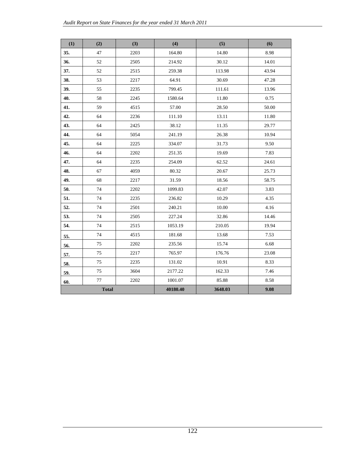| (1)          | (2) | (3)      | (4)     | (5)    | (6)   |
|--------------|-----|----------|---------|--------|-------|
| 35.          | 47  | 2203     | 164.80  | 14.80  | 8.98  |
| 36.          | 52  | 2505     | 214.92  | 30.12  | 14.01 |
| 37.          | 52  | 2515     | 259.38  | 113.98 | 43.94 |
| 38.          | 53  | 2217     | 64.91   | 30.69  | 47.28 |
| 39.          | 55  | 2235     | 799.45  | 111.61 | 13.96 |
| 40.          | 58  | 2245     | 1580.64 | 11.80  | 0.75  |
| 41.          | 59  | 4515     | 57.00   | 28.50  | 50.00 |
| 42.          | 64  | 2236     | 111.10  | 13.11  | 11.80 |
| 43.          | 64  | 2425     | 38.12   | 11.35  | 29.77 |
| 44.          | 64  | 5054     | 241.19  | 26.38  | 10.94 |
| 45.          | 64  | 2225     | 334.07  | 31.73  | 9.50  |
| 46.          | 64  | 2202     | 251.35  | 19.69  | 7.83  |
| 47.          | 64  | 2235     | 254.09  | 62.52  | 24.61 |
| 48.          | 67  | 4059     | 80.32   | 20.67  | 25.73 |
| 49.          | 68  | 2217     | 31.59   | 18.56  | 58.75 |
| 50.          | 74  | 2202     | 1099.83 | 42.07  | 3.83  |
| 51.          | 74  | 2235     | 236.82  | 10.29  | 4.35  |
| 52.          | 74  | 2501     | 240.21  | 10.00  | 4.16  |
| 53.          | 74  | 2505     | 227.24  | 32.86  | 14.46 |
| 54.          | 74  | 2515     | 1053.19 | 210.05 | 19.94 |
| 55.          | 74  | 4515     | 181.68  | 13.68  | 7.53  |
| 56.          | 75  | 2202     | 235.56  | 15.74  | 6.68  |
| 57.          | 75  | 2217     | 765.97  | 176.76 | 23.08 |
| 58.          | 75  | 2235     | 131.02  | 10.91  | 8.33  |
| 59.          | 75  | 3604     | 2177.22 | 162.33 | 7.46  |
| 60.          | 77  | 2202     | 1001.07 | 85.88  | 8.58  |
| <b>Total</b> |     | 40180.40 | 3648.03 | 9.08   |       |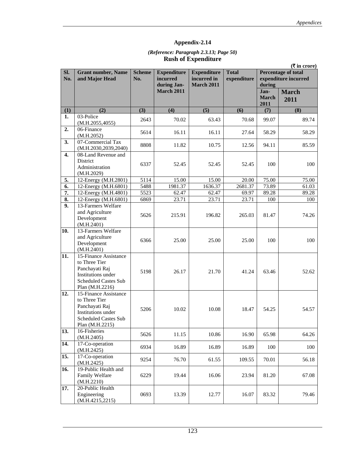#### *(Reference: Paragraph 2.3.13; Page 50)*  **Rush of Expenditure**

|            |                                                                                                                                  |                      |                                               |                                                        | $(\overline{\mathbf{\mathsf{F}}}$ in crore) |                              |                                                    |
|------------|----------------------------------------------------------------------------------------------------------------------------------|----------------------|-----------------------------------------------|--------------------------------------------------------|---------------------------------------------|------------------------------|----------------------------------------------------|
| SI.<br>No. | <b>Grant number, Name</b><br>and Major Head                                                                                      | <b>Scheme</b><br>No. | <b>Expenditure</b><br>incurred<br>during Jan- | <b>Expenditure</b><br>incurred in<br><b>March 2011</b> | <b>Total</b><br>expenditure                 | during                       | <b>Percentage of total</b><br>expenditure incurred |
|            |                                                                                                                                  |                      | <b>March 2011</b>                             |                                                        |                                             | Jan-<br><b>March</b><br>2011 | <b>March</b><br>2011                               |
| (1)        | (2)                                                                                                                              | (3)                  | (4)                                           | (5)                                                    | (6)                                         | (7)                          | (8)                                                |
| 1.         | 03-Police<br>(M.H.2055,4055)                                                                                                     | 2643                 | 70.02                                         | 63.43                                                  | 70.68                                       | 99.07                        | 89.74                                              |
| 2.         | 06-Finance<br>(M.H.2052)                                                                                                         | 5614                 | 16.11                                         | 16.11                                                  | 27.64                                       | 58.29                        | 58.29                                              |
| 3.         | 07-Commercial Tax<br>(M.H.2030, 2039, 2040)                                                                                      | 8808                 | 11.82                                         | 10.75                                                  | 12.56                                       | 94.11                        | 85.59                                              |
| 4.         | 08-Land Revenue and<br><b>District</b><br>Administration<br>(M.H.2029)                                                           | 6337                 | 52.45                                         | 52.45                                                  | 52.45                                       | 100                          | 100                                                |
| 5.         | 12-Energy (M.H.2801)                                                                                                             | 5114                 | 15.00                                         | 15.00                                                  | 20.00                                       | 75.00                        | 75.00                                              |
| 6.         | 12-Energy (M.H.6801)                                                                                                             | 5488                 | 1981.37                                       | 1636.37                                                | 2681.37                                     | 73.89                        | 61.03                                              |
| 7.         | 12-Energy (M.H.4801)                                                                                                             | 5523                 | 62.47                                         | 62.47                                                  | 69.97                                       | 89.28                        | 89.28                                              |
| 8.         | 12-Energy (M.H.6801)                                                                                                             | 6869                 | 23.71                                         | 23.71                                                  | 23.71                                       | 100                          | 100                                                |
| 9.         | 13-Farmers Welfare<br>and Agriculture<br>Development<br>(M.H.2401)                                                               | 5626                 | 215.91                                        | 196.82                                                 | 265.03                                      | 81.47                        | 74.26                                              |
| 10.        | 13-Farmers Welfare<br>and Agriculture<br>Development<br>(M.H.2401)                                                               | 6366                 | 25.00                                         | 25.00                                                  | 25.00                                       | 100                          | 100                                                |
| 11.        | 15-Finance Assistance<br>to Three Tier<br>Panchayati Raj<br>Institutions under<br>Scheduled Castes Sub<br>Plan (M.H.2216)        | 5198                 | 26.17                                         | 21.70                                                  | 41.24                                       | 63.46                        | 52.62                                              |
| 12.        | 15-Finance Assistance<br>to Three Tier<br>Panchayati Raj<br>Institutions under<br><b>Scheduled Castes Sub</b><br>Plan (M.H.2215) | 5206                 | 10.02                                         | 10.08                                                  | 18.47                                       | 54.25                        | 54.57                                              |
| 13.        | 16-Fisheries<br>(M.H.2405)                                                                                                       | 5626                 | 11.15                                         | 10.86                                                  | 16.90                                       | 65.98                        | 64.26                                              |
| 14.        | 17-Co-operation<br>(M.H.2425)                                                                                                    | 6934                 | 16.89                                         | 16.89                                                  | 16.89                                       | 100                          | 100                                                |
| 15.        | 17-Co-operation<br>(M.H.2425)                                                                                                    | 9254                 | 76.70                                         | 61.55                                                  | 109.55                                      | 70.01                        | 56.18                                              |
| 16.        | 19-Public Health and<br>Family Welfare<br>(M.H.2210)                                                                             | 6229                 | 19.44                                         | 16.06                                                  | 23.94                                       | 81.20                        | 67.08                                              |
| 17.        | 20-Public Health<br>Engineering<br>(M.H.4215, 2215)                                                                              | 0693                 | 13.39                                         | 12.77                                                  | 16.07                                       | 83.32                        | 79.46                                              |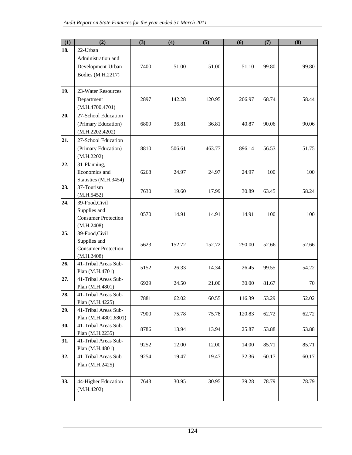| (1)                                                         | (2)                                                                                                                                                                                                                                                                                                                                                                                                                                                   | (3)                                          | (4)                                       | (5)                                                | (6)                                                 | (7)                                                | (8)                                             |
|-------------------------------------------------------------|-------------------------------------------------------------------------------------------------------------------------------------------------------------------------------------------------------------------------------------------------------------------------------------------------------------------------------------------------------------------------------------------------------------------------------------------------------|----------------------------------------------|-------------------------------------------|----------------------------------------------------|-----------------------------------------------------|----------------------------------------------------|-------------------------------------------------|
| 18.                                                         | 22-Urban                                                                                                                                                                                                                                                                                                                                                                                                                                              |                                              |                                           |                                                    |                                                     |                                                    |                                                 |
|                                                             | Administration and                                                                                                                                                                                                                                                                                                                                                                                                                                    |                                              |                                           |                                                    |                                                     |                                                    |                                                 |
|                                                             | Development-Urban                                                                                                                                                                                                                                                                                                                                                                                                                                     | 7400                                         | 51.00                                     | 51.00                                              | 51.10                                               | 99.80                                              | 99.80                                           |
|                                                             | Bodies (M.H.2217)                                                                                                                                                                                                                                                                                                                                                                                                                                     |                                              |                                           |                                                    |                                                     |                                                    |                                                 |
|                                                             |                                                                                                                                                                                                                                                                                                                                                                                                                                                       |                                              |                                           |                                                    |                                                     |                                                    |                                                 |
| 19.                                                         | 23-Water Resources                                                                                                                                                                                                                                                                                                                                                                                                                                    |                                              |                                           |                                                    |                                                     |                                                    |                                                 |
|                                                             | Department                                                                                                                                                                                                                                                                                                                                                                                                                                            | 2897                                         | 142.28                                    | 120.95                                             | 206.97                                              | 68.74                                              | 58.44                                           |
|                                                             | (M.H.4700, 4701)                                                                                                                                                                                                                                                                                                                                                                                                                                      |                                              |                                           |                                                    |                                                     |                                                    |                                                 |
| 20.                                                         | 27-School Education                                                                                                                                                                                                                                                                                                                                                                                                                                   |                                              |                                           |                                                    |                                                     |                                                    |                                                 |
|                                                             | (Primary Education)                                                                                                                                                                                                                                                                                                                                                                                                                                   | 6809                                         | 36.81                                     | 36.81                                              | 40.87                                               | 90.06                                              | 90.06                                           |
|                                                             | (M.H.2202, 4202)                                                                                                                                                                                                                                                                                                                                                                                                                                      |                                              |                                           |                                                    |                                                     |                                                    |                                                 |
| 21.                                                         | 27-School Education                                                                                                                                                                                                                                                                                                                                                                                                                                   |                                              |                                           |                                                    |                                                     |                                                    |                                                 |
|                                                             | (Primary Education)                                                                                                                                                                                                                                                                                                                                                                                                                                   | 8810                                         | 506.61                                    | 463.77                                             | 896.14                                              | 56.53                                              | 51.75                                           |
|                                                             | (M.H.2202)                                                                                                                                                                                                                                                                                                                                                                                                                                            |                                              |                                           |                                                    |                                                     |                                                    |                                                 |
| 22.                                                         | 31-Planning,                                                                                                                                                                                                                                                                                                                                                                                                                                          |                                              |                                           |                                                    |                                                     |                                                    |                                                 |
|                                                             | Economics and                                                                                                                                                                                                                                                                                                                                                                                                                                         | 6268                                         | 24.97                                     | 24.97                                              | 24.97                                               | 100                                                | 100                                             |
|                                                             | Statistics (M.H.3454)                                                                                                                                                                                                                                                                                                                                                                                                                                 |                                              |                                           |                                                    |                                                     |                                                    |                                                 |
|                                                             |                                                                                                                                                                                                                                                                                                                                                                                                                                                       |                                              | 19.60                                     |                                                    |                                                     |                                                    |                                                 |
|                                                             |                                                                                                                                                                                                                                                                                                                                                                                                                                                       |                                              |                                           |                                                    |                                                     |                                                    |                                                 |
|                                                             |                                                                                                                                                                                                                                                                                                                                                                                                                                                       |                                              |                                           |                                                    |                                                     |                                                    |                                                 |
|                                                             |                                                                                                                                                                                                                                                                                                                                                                                                                                                       | 0570                                         | 14.91                                     | 14.91                                              | 14.91                                               | 100                                                | 100                                             |
|                                                             |                                                                                                                                                                                                                                                                                                                                                                                                                                                       |                                              |                                           |                                                    |                                                     |                                                    |                                                 |
|                                                             |                                                                                                                                                                                                                                                                                                                                                                                                                                                       |                                              |                                           |                                                    |                                                     |                                                    |                                                 |
|                                                             |                                                                                                                                                                                                                                                                                                                                                                                                                                                       |                                              |                                           |                                                    |                                                     |                                                    |                                                 |
|                                                             |                                                                                                                                                                                                                                                                                                                                                                                                                                                       | 5623                                         | 152.72                                    | 152.72                                             | 290.00                                              | 52.66                                              | 52.66                                           |
|                                                             |                                                                                                                                                                                                                                                                                                                                                                                                                                                       |                                              |                                           |                                                    |                                                     |                                                    |                                                 |
| 26.                                                         | 41-Tribal Areas Sub-                                                                                                                                                                                                                                                                                                                                                                                                                                  |                                              |                                           |                                                    |                                                     |                                                    |                                                 |
|                                                             | Plan (M.H.4701)                                                                                                                                                                                                                                                                                                                                                                                                                                       |                                              |                                           |                                                    |                                                     |                                                    |                                                 |
| 27.                                                         | 41-Tribal Areas Sub-                                                                                                                                                                                                                                                                                                                                                                                                                                  |                                              |                                           |                                                    |                                                     |                                                    |                                                 |
|                                                             | Plan (M.H.4801)                                                                                                                                                                                                                                                                                                                                                                                                                                       |                                              |                                           |                                                    |                                                     |                                                    |                                                 |
|                                                             |                                                                                                                                                                                                                                                                                                                                                                                                                                                       |                                              |                                           |                                                    |                                                     |                                                    |                                                 |
|                                                             |                                                                                                                                                                                                                                                                                                                                                                                                                                                       |                                              |                                           |                                                    |                                                     |                                                    |                                                 |
|                                                             |                                                                                                                                                                                                                                                                                                                                                                                                                                                       | 7900                                         | 75.78                                     | 75.78                                              | 120.83                                              | 62.72                                              | 62.72                                           |
|                                                             |                                                                                                                                                                                                                                                                                                                                                                                                                                                       |                                              |                                           |                                                    |                                                     |                                                    |                                                 |
|                                                             |                                                                                                                                                                                                                                                                                                                                                                                                                                                       | 8786                                         | 13.94                                     | 13.94                                              | 25.87                                               | 53.88                                              | 53.88                                           |
|                                                             |                                                                                                                                                                                                                                                                                                                                                                                                                                                       |                                              |                                           |                                                    |                                                     |                                                    |                                                 |
|                                                             |                                                                                                                                                                                                                                                                                                                                                                                                                                                       | 9252                                         | 12.00                                     | 12.00                                              | 14.00                                               | 85.71                                              | 85.71                                           |
|                                                             |                                                                                                                                                                                                                                                                                                                                                                                                                                                       |                                              |                                           |                                                    |                                                     |                                                    |                                                 |
|                                                             |                                                                                                                                                                                                                                                                                                                                                                                                                                                       |                                              |                                           |                                                    |                                                     |                                                    |                                                 |
|                                                             |                                                                                                                                                                                                                                                                                                                                                                                                                                                       |                                              |                                           |                                                    |                                                     |                                                    |                                                 |
|                                                             |                                                                                                                                                                                                                                                                                                                                                                                                                                                       |                                              |                                           |                                                    |                                                     |                                                    |                                                 |
|                                                             |                                                                                                                                                                                                                                                                                                                                                                                                                                                       |                                              |                                           |                                                    |                                                     |                                                    |                                                 |
|                                                             |                                                                                                                                                                                                                                                                                                                                                                                                                                                       |                                              |                                           |                                                    |                                                     |                                                    |                                                 |
| 23.<br>24.<br>25.<br>28.<br>29.<br>30.<br>31.<br>32.<br>33. | 37-Tourism<br>(M.H.5452)<br>39-Food, Civil<br>Supplies and<br><b>Consumer Protection</b><br>(M.H.2408)<br>39-Food, Civil<br>Supplies and<br><b>Consumer Protection</b><br>(M.H.2408)<br>41-Tribal Areas Sub-<br>Plan (M.H.4225)<br>41-Tribal Areas Sub-<br>Plan (M.H.4801,6801)<br>41-Tribal Areas Sub-<br>Plan (M.H.2235)<br>41-Tribal Areas Sub-<br>Plan (M.H.4801)<br>41-Tribal Areas Sub-<br>Plan (M.H.2425)<br>44-Higher Education<br>(M.H.4202) | 7630<br>5152<br>6929<br>7881<br>9254<br>7643 | 26.33<br>24.50<br>62.02<br>19.47<br>30.95 | 17.99<br>14.34<br>21.00<br>60.55<br>19.47<br>30.95 | 30.89<br>26.45<br>30.00<br>116.39<br>32.36<br>39.28 | 63.45<br>99.55<br>81.67<br>53.29<br>60.17<br>78.79 | 58.24<br>54.22<br>70<br>52.02<br>60.17<br>78.79 |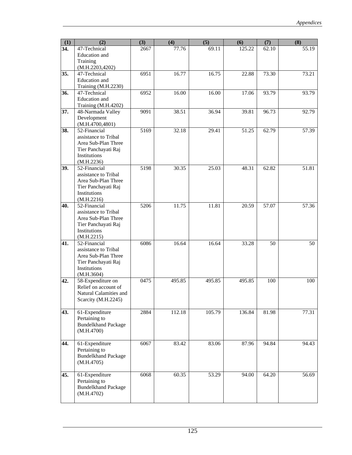| (1) | (2)                                         | (3)  | (4)    | (5)    | (6)    | (7)   | (8)   |
|-----|---------------------------------------------|------|--------|--------|--------|-------|-------|
| 34. | 47-Technical                                | 2667 | 77.76  | 69.11  | 125.22 | 62.10 | 55.19 |
|     | Education and                               |      |        |        |        |       |       |
|     | Training                                    |      |        |        |        |       |       |
|     | (M.H.2203,4202)                             |      |        |        |        |       |       |
| 35. | 47-Technical                                | 6951 | 16.77  | 16.75  | 22.88  | 73.30 | 73.21 |
|     | Education and                               |      |        |        |        |       |       |
| 36. | Training (M.H.2230)<br>47-Technical         | 6952 | 16.00  | 16.00  | 17.06  | 93.79 | 93.79 |
|     | Education and                               |      |        |        |        |       |       |
|     | Training (M.H.4202)                         |      |        |        |        |       |       |
| 37. | 48-Narmada Valley                           | 9091 | 38.51  | 36.94  | 39.81  | 96.73 | 92.79 |
|     | Development                                 |      |        |        |        |       |       |
|     | (M.H.4700, 4801)                            |      |        |        |        |       |       |
| 38. | 52-Financial                                | 5169 | 32.18  | 29.41  | 51.25  | 62.79 | 57.39 |
|     | assistance to Tribal                        |      |        |        |        |       |       |
|     | Area Sub-Plan Three                         |      |        |        |        |       |       |
|     | Tier Panchayati Raj                         |      |        |        |        |       |       |
|     | Institutions                                |      |        |        |        |       |       |
|     | (M.H.2236)                                  |      |        |        |        |       |       |
| 39. | 52-Financial<br>assistance to Tribal        | 5198 | 30.35  | 25.03  | 48.31  | 62.82 | 51.81 |
|     | Area Sub-Plan Three                         |      |        |        |        |       |       |
|     | Tier Panchayati Raj                         |      |        |        |        |       |       |
|     | Institutions                                |      |        |        |        |       |       |
|     | (M.H.2216)                                  |      |        |        |        |       |       |
| 40. | $\overline{52}$ -Financial                  | 5206 | 11.75  | 11.81  | 20.59  | 57.07 | 57.36 |
|     | assistance to Tribal                        |      |        |        |        |       |       |
|     | Area Sub-Plan Three                         |      |        |        |        |       |       |
|     | Tier Panchayati Raj                         |      |        |        |        |       |       |
|     | Institutions                                |      |        |        |        |       |       |
|     | (M.H.2215)                                  |      |        |        |        |       |       |
| 41. | 52-Financial                                | 6086 | 16.64  | 16.64  | 33.28  | 50    | 50    |
|     | assistance to Tribal<br>Area Sub-Plan Three |      |        |        |        |       |       |
|     | Tier Panchayati Raj                         |      |        |        |        |       |       |
|     | Institutions                                |      |        |        |        |       |       |
|     | (M.H.3604)                                  |      |        |        |        |       |       |
| 42. | 58-Expenditure on                           | 0475 | 495.85 | 495.85 | 495.85 | 100   | 100   |
|     | Relief on account of                        |      |        |        |        |       |       |
|     | Natural Calamities and                      |      |        |        |        |       |       |
|     | Scarcity (M.H.2245)                         |      |        |        |        |       |       |
|     |                                             |      |        |        |        |       |       |
| 43. | 61-Expenditure<br>Pertaining to             | 2884 | 112.18 | 105.79 | 136.84 | 81.98 | 77.31 |
|     | <b>Bundelkhand Package</b>                  |      |        |        |        |       |       |
|     | (M.H.4700)                                  |      |        |        |        |       |       |
|     |                                             |      |        |        |        |       |       |
| 44. | 61-Expenditure                              | 6067 | 83.42  | 83.06  | 87.96  | 94.84 | 94.43 |
|     | Pertaining to                               |      |        |        |        |       |       |
|     | <b>Bundelkhand Package</b>                  |      |        |        |        |       |       |
|     | (M.H.4705)                                  |      |        |        |        |       |       |
|     |                                             |      |        |        |        |       |       |
| 45. | 61-Expenditure                              | 6068 | 60.35  | 53.29  | 94.00  | 64.20 | 56.69 |
|     | Pertaining to                               |      |        |        |        |       |       |
|     | <b>Bundelkhand Package</b>                  |      |        |        |        |       |       |
|     | (M.H.4702)                                  |      |        |        |        |       |       |
|     |                                             |      |        |        |        |       |       |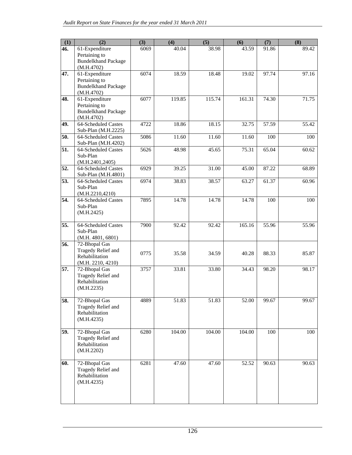| (1)               | (2)                                         | (3)  | (4)    | (5)    | (6)    | (7)   | (8)   |
|-------------------|---------------------------------------------|------|--------|--------|--------|-------|-------|
| 46.               | 61-Expenditure                              | 6069 | 40.04  | 38.98  | 43.59  | 91.86 | 89.42 |
|                   | Pertaining to                               |      |        |        |        |       |       |
|                   | <b>Bundelkhand Package</b>                  |      |        |        |        |       |       |
|                   | (M.H.4702)                                  |      |        |        |        |       |       |
| 47.               | 61-Expenditure                              | 6074 | 18.59  | 18.48  | 19.02  | 97.74 | 97.16 |
|                   | Pertaining to<br><b>Bundelkhand Package</b> |      |        |        |        |       |       |
|                   | (M.H.4702)                                  |      |        |        |        |       |       |
| 48.               | 61-Expenditure                              | 6077 | 119.85 | 115.74 | 161.31 | 74.30 | 71.75 |
|                   | Pertaining to                               |      |        |        |        |       |       |
|                   | <b>Bundelkhand Package</b>                  |      |        |        |        |       |       |
|                   | (M.H.4702)                                  |      |        |        |        |       |       |
| 49.               | 64-Scheduled Castes                         | 4722 | 18.86  | 18.15  | 32.75  | 57.59 | 55.42 |
|                   | Sub-Plan (M.H.2225)                         |      |        |        |        |       |       |
| 50.               | 64-Scheduled Castes                         | 5086 | 11.60  | 11.60  | 11.60  | 100   | 100   |
| 51.               | Sub-Plan (M.H.4202)<br>64-Scheduled Castes  | 5626 | 48.98  | 45.65  | 75.31  | 65.04 | 60.62 |
|                   | Sub-Plan                                    |      |        |        |        |       |       |
|                   | (M.H.2401, 2405)                            |      |        |        |        |       |       |
| 52.               | 64-Scheduled Castes                         | 6929 | 39.25  | 31.00  | 45.00  | 87.22 | 68.89 |
|                   | Sub-Plan (M.H.4801)                         |      |        |        |        |       |       |
| 53.               | 64-Scheduled Castes                         | 6974 | 38.83  | 38.57  | 63.27  | 61.37 | 60.96 |
|                   | Sub-Plan                                    |      |        |        |        |       |       |
|                   | (M.H.2210,4210)                             |      |        |        |        |       |       |
| 54.               | 64-Scheduled Castes                         | 7895 | 14.78  | 14.78  | 14.78  | 100   | 100   |
|                   | Sub-Plan                                    |      |        |        |        |       |       |
|                   | (M.H.2425)                                  |      |        |        |        |       |       |
| 55.               | 64-Scheduled Castes                         | 7900 | 92.42  | 92.42  | 165.16 | 55.96 | 55.96 |
|                   | Sub-Plan                                    |      |        |        |        |       |       |
|                   | (M.H. 4801, 6801)                           |      |        |        |        |       |       |
| 56.               | 72-Bhopal Gas                               |      |        |        |        |       |       |
|                   | Tragedy Relief and                          | 0775 | 35.58  | 34.59  | 40.28  | 88.33 | 85.87 |
|                   | Rehabilitation                              |      |        |        |        |       |       |
| 57.               | (M.H. 2210, 4210)<br>72-Bhopal Gas          | 3757 | 33.81  | 33.80  | 34.43  | 98.20 | 98.17 |
|                   | Tragedy Relief and                          |      |        |        |        |       |       |
|                   | Rehabilitation                              |      |        |        |        |       |       |
|                   | (M.H.2235)                                  |      |        |        |        |       |       |
|                   |                                             |      |        |        |        |       |       |
| $\overline{58}$ . | 72-Bhopal Gas                               | 4889 | 51.83  | 51.83  | 52.00  | 99.67 | 99.67 |
|                   | Tragedy Relief and                          |      |        |        |        |       |       |
|                   | Rehabilitation<br>(M.H.4235)                |      |        |        |        |       |       |
|                   |                                             |      |        |        |        |       |       |
| 59.               | 72-Bhopal Gas                               | 6280 | 104.00 | 104.00 | 104.00 | 100   | 100   |
|                   | Tragedy Relief and                          |      |        |        |        |       |       |
|                   | Rehabilitation                              |      |        |        |        |       |       |
|                   | (M.H.2202)                                  |      |        |        |        |       |       |
|                   |                                             |      |        |        |        |       |       |
| 60.               | 72-Bhopal Gas                               | 6281 | 47.60  | 47.60  | 52.52  | 90.63 | 90.63 |
|                   | Tragedy Relief and<br>Rehabilitation        |      |        |        |        |       |       |
|                   | (M.H.4235)                                  |      |        |        |        |       |       |
|                   |                                             |      |        |        |        |       |       |
|                   |                                             |      |        |        |        |       |       |
|                   |                                             |      |        |        |        |       |       |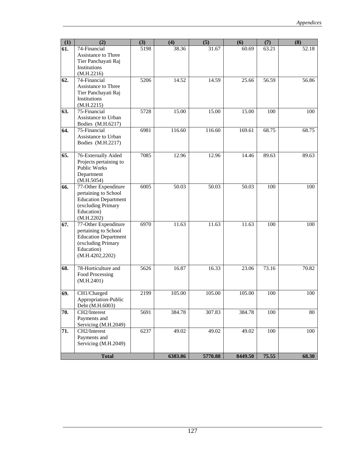| (1) | (2)                                      | (3)  | (4)     | (5)     | (6)     | (7)   | (8)   |
|-----|------------------------------------------|------|---------|---------|---------|-------|-------|
| 61. | 74-Financial                             | 5198 | 38.36   | 31.67   | 60.69   | 63.21 | 52.18 |
|     | Assistance to Three                      |      |         |         |         |       |       |
|     | Tier Panchayati Raj                      |      |         |         |         |       |       |
|     | Institutions                             |      |         |         |         |       |       |
|     | (M.H.2216)<br>$\overline{74}$ -Financial |      | 14.52   | 14.59   |         |       |       |
| 62. | Assistance to Three                      | 5206 |         |         | 25.66   | 56.59 | 56.86 |
|     | Tier Panchayati Raj                      |      |         |         |         |       |       |
|     | Institutions                             |      |         |         |         |       |       |
|     | (M.H.2215)                               |      |         |         |         |       |       |
| 63. | 75-Financial                             | 5728 | 15.00   | 15.00   | 15.00   | 100   | 100   |
|     | Assistance to Urban                      |      |         |         |         |       |       |
|     | Bodies (M.H.6217)                        |      |         |         |         |       |       |
| 64. | 75-Financial                             | 6981 | 116.60  | 116.60  | 169.61  | 68.75 | 68.75 |
|     | Assistance to Urban                      |      |         |         |         |       |       |
|     | Bodies (M.H.2217)                        |      |         |         |         |       |       |
|     |                                          |      |         |         |         |       |       |
| 65. | 76-Externally Aided                      | 7085 | 12.96   | 12.96   | 14.46   | 89.63 | 89.63 |
|     | Projects pertaining to                   |      |         |         |         |       |       |
|     | Public Works<br>Department               |      |         |         |         |       |       |
|     | (M.H.5054)                               |      |         |         |         |       |       |
| 66. | 77-Other Expenditure                     | 6005 | 50.03   | 50.03   | 50.03   | 100   | 100   |
|     | pertaining to School                     |      |         |         |         |       |       |
|     | <b>Education Department</b>              |      |         |         |         |       |       |
|     | (excluding Primary                       |      |         |         |         |       |       |
|     | Education)                               |      |         |         |         |       |       |
|     | (M.H.2202)                               |      |         |         |         |       |       |
| 67. | 77-Other Expenditure                     | 6970 | 11.63   | 11.63   | 11.63   | 100   | 100   |
|     | pertaining to School                     |      |         |         |         |       |       |
|     | <b>Education Department</b>              |      |         |         |         |       |       |
|     | (excluding Primary                       |      |         |         |         |       |       |
|     | Education)                               |      |         |         |         |       |       |
|     | (M.H.4202, 2202)                         |      |         |         |         |       |       |
| 68. | 78-Horticulture and                      | 5626 | 16.87   | 16.33   | 23.06   | 73.16 | 70.82 |
|     | Food Processing                          |      |         |         |         |       |       |
|     | (M.H.2401)                               |      |         |         |         |       |       |
|     |                                          |      |         |         |         |       |       |
| 69. | CH1/Charged                              | 2199 | 105.00  | 105.00  | 105.00  | 100   | 100   |
|     | Appropriation-Public                     |      |         |         |         |       |       |
|     | Debt (M.H.6003)                          |      |         |         |         |       |       |
| 70. | CH2/Interest                             | 5691 | 384.78  | 307.83  | 384.78  | 100   | 80    |
|     | Payments and                             |      |         |         |         |       |       |
|     | Servicing (M.H.2049)<br>CH2/Interest     |      |         |         |         |       |       |
| 71. | Payments and                             | 6237 | 49.02   | 49.02   | 49.02   | 100   | 100   |
|     | Servicing (M.H.2049)                     |      |         |         |         |       |       |
|     |                                          |      |         |         |         |       |       |
|     | <b>Total</b>                             |      | 6383.86 | 5770.88 | 8449.50 | 75.55 | 68.30 |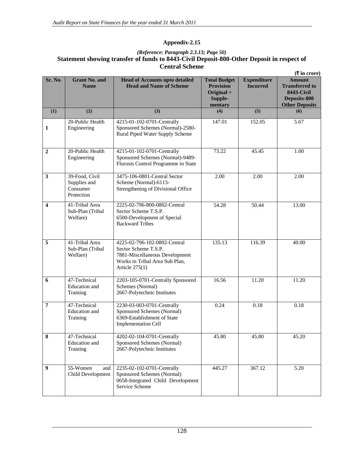### *(Reference: Paragraph 2.3.13; Page 50)*  **Statement showing transfer of funds to 8443-Civil Deposit-800-Other Deposit in respect of Central Scheme**

|                  |                                                          |                                                                                                                                              |                                                                             |                                       | $(\overline{\mathbf{\mathsf{F}}}$ in crore)                                                          |
|------------------|----------------------------------------------------------|----------------------------------------------------------------------------------------------------------------------------------------------|-----------------------------------------------------------------------------|---------------------------------------|------------------------------------------------------------------------------------------------------|
| Sr. No.          | <b>Grant No. and</b><br><b>Name</b>                      | <b>Head of Accounts upto detailed</b><br><b>Head and Name of Scheme</b>                                                                      | <b>Total Budget</b><br><b>Provision</b><br>Original +<br>Supple-<br>mentary | <b>Expenditure</b><br><b>Incurred</b> | <b>Amount</b><br><b>Transferred to</b><br><b>8443-Civil</b><br>Deposits-800<br><b>Other Deposits</b> |
| (1)              | (2)                                                      | (3)                                                                                                                                          | (4)                                                                         | $\overline{(5)}$                      | (6)                                                                                                  |
| $\mathbf{1}$     | 20-Public Health<br>Engineering                          | 4215-01-102-0701-Centrally<br>Sponsored Schemes (Normal)-2580-<br>Rural Piped Water Supply Scheme                                            | 147.01                                                                      | 152.05                                | 5.67                                                                                                 |
| $\boldsymbol{2}$ | 20-Public Health<br>Engineering                          | 4215-01-102-0701-Centrally<br>Sponsored Schemes (Normal)-9489-<br>Flurosis Control Programme in State                                        | 73.22                                                                       | 45.45                                 | 1.00                                                                                                 |
| $\mathbf{3}$     | 39-Food, Civil<br>Supplies and<br>Consumer<br>Protection | 3475-106-0801-Central Sector<br>Scheme (Normal)-6113-<br>Strengthening of Divisional Office                                                  | 2.00                                                                        | 2.00                                  | 2.00                                                                                                 |
| 4                | 41-Tribal Area<br>Sub-Plan (Tribal<br>Welfare)           | 2225-02-796-800-0802-Central<br>Sector Scheme T.S.P.<br>6500-Development of Special<br><b>Backward Tribes</b>                                | 54.28                                                                       | 50.44                                 | 13.00                                                                                                |
| 5                | 41-Tribal Area<br>Sub-Plan (Tribal<br>Welfare)           | 4225-02-796-102-0802-Central<br>Sector Scheme T.S.P.<br>7881-Miscellaneous Development<br>Works in Tribal Area Sub Plan,<br>Article $275(1)$ | 135.13                                                                      | 116.39                                | 40.00                                                                                                |
| 6                | 47-Technical<br>Education and<br>Training                | 2203-105-0701-Centrally Sponsored<br>Schemes (Normal)<br>2667-Polytechnic Institutes                                                         | 16.56                                                                       | 11.20                                 | 11.20                                                                                                |
| 7                | 47-Technical<br><b>Education</b> and<br>Training         | 2230-03-003-0701-Centrally<br>Sponsored Schemes (Normal)<br>6369-Establishment of State<br><b>Implementation Cell</b>                        | 0.24                                                                        | 0.18                                  | 0.18                                                                                                 |
| 8                | 47-Technical<br>Education and<br>Training                | 4202-02-104-0701-Centrally<br>Sponsored Schemes (Normal)<br>2667-Polytechnic Institutes                                                      | 45.80                                                                       | 45.80                                 | 45.20                                                                                                |
| $\boldsymbol{9}$ | 55-Women<br>and<br>Child Development                     | 2235-02-102-0701-Centrally<br>Sponsored Schemes (Normal)<br>0658-Integrated Child Development<br>Service Scheme                              | 445.27                                                                      | 367.12                                | 5.20                                                                                                 |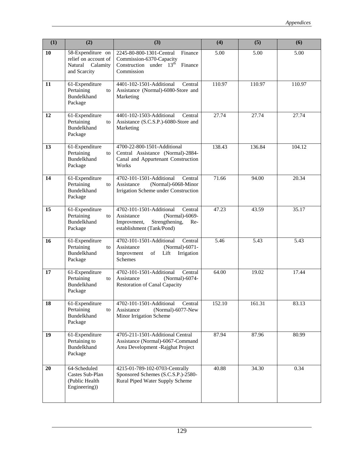| (1) | (2)                                                                           | (3)                                                                                                                                      | (4)    | (5)    | (6)    |
|-----|-------------------------------------------------------------------------------|------------------------------------------------------------------------------------------------------------------------------------------|--------|--------|--------|
| 10  | 58-Expenditure on<br>relief on account of<br>Natural Calamity<br>and Scarcity | 2245-80-800-1301-Central<br>Finance<br>Commission-6370-Capacity<br>Construction under $13th$<br>Finance<br>Commission                    | 5.00   | 5.00   | 5.00   |
| 11  | 61-Expenditure<br>Pertaining<br>to<br><b>Bundelkhand</b><br>Package           | 4401-102-1501-Additional<br>Central<br>Assistance (Normal)-6080-Store and<br>Marketing                                                   | 110.97 | 110.97 | 110.97 |
| 12  | 61-Expenditure<br>Pertaining<br>to<br><b>Bundelkhand</b><br>Package           | 4401-102-1503-Additional<br>Central<br>Assistance (S.C.S.P.)-6080-Store and<br>Marketing                                                 | 27.74  | 27.74  | 27.74  |
| 13  | 61-Expenditure<br>Pertaining<br>to<br><b>Bundelkhand</b><br>Package           | 4700-22-800-1501-Additional<br>Central Assistance (Normal)-2884-<br>Canal and Appurtenant Construction<br>Works                          | 138.43 | 136.84 | 104.12 |
| 14  | 61-Expenditure<br>Pertaining<br>to<br>Bundelkhand<br>Package                  | 4702-101-1501-Additional<br>Central<br>(Normal)-6068-Minor<br>Assistance<br>Irrigation Scheme under Construction                         | 71.66  | 94.00  | 20.34  |
| 15  | 61-Expenditure<br>Pertaining<br>to<br><b>Bundelkhand</b><br>Package           | 4702-101-1501-Additional<br>Central<br>(Normal)-6069-<br>Assistance<br>Strengthening,<br>Improvment,<br>Re-<br>establishment (Tank/Pond) | 47.23  | 43.59  | 35.17  |
| 16  | 61-Expenditure<br>Pertaining<br>to<br>Bundelkhand<br>Package                  | 4702-101-1501-Additional<br>Central<br>Assistance<br>(Normal)-6071-<br>Improvment<br>of<br>Lift<br>Irrigation<br><b>Schemes</b>          | 5.46   | 5.43   | 5.43   |
| 17  | 61-Expenditure<br>Pertaining<br>to<br><b>Bundelkhand</b><br>Package           | 4702-101-1501-Additional<br>Central<br>(Normal)-6074-<br>Assistance<br><b>Restoration of Canal Capacity</b>                              | 64.00  | 19.02  | 17.44  |
| 18  | 61-Expenditure<br>Pertaining<br>to<br>Bundelkhand<br>Package                  | 4702-101-1501-Additional<br>Central<br>(Normal)-6077-New<br>Assistance<br>Minor Irrigation Scheme                                        | 152.10 | 161.31 | 83.13  |
| 19  | 61-Expenditure<br>Pertaining to<br>Bundelkhand<br>Package                     | 4705-211-1501-Additional Central<br>Assistance (Normal)-6067-Command<br>Area Development - Rajghat Project                               | 87.94  | 87.96  | 80.99  |
| 20  | 64-Scheduled<br>Castes Sub-Plan<br>(Public Health<br>Engineering))            | 4215-01-789-102-0703-Centrally<br>Sponsored Schemes (S.C.S.P.)-2580-<br>Rural Piped Water Supply Scheme                                  | 40.88  | 34.30  | 0.34   |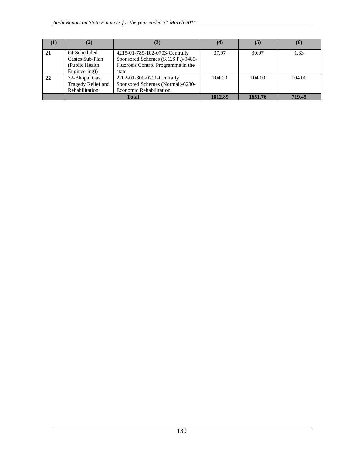|    | (2)                | (3)                                | (4)     | (5)     | (6)    |
|----|--------------------|------------------------------------|---------|---------|--------|
| 21 | 64-Scheduled       | 4215-01-789-102-0703-Centrally     | 37.97   | 30.97   | 1.33   |
|    | Castes Sub-Plan    | Sponsored Schemes (S.C.S.P.)-9489- |         |         |        |
|    | (Public Health)    | Fluorosis Control Programme in the |         |         |        |
|    | Engineering)       | state                              |         |         |        |
| 22 | 72-Bhopal Gas      | 2202-01-800-0701-Centrally         | 104.00  | 104.00  | 104.00 |
|    | Tragedy Relief and | Sponsored Schemes (Normal)-6280-   |         |         |        |
|    | Rehabilitation     | <b>Economic Rehabilitation</b>     |         |         |        |
|    |                    | <b>Total</b>                       | 1812.89 | 1651.76 | 719.45 |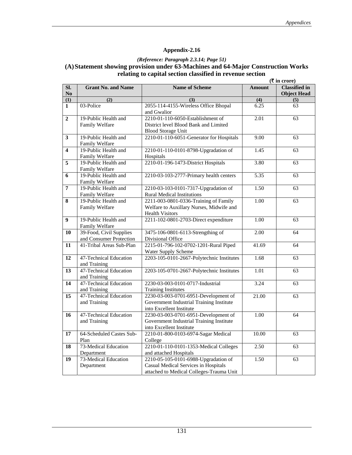# *(Reference: Paragraph 2.3.14; Page 51)*  **(A)Statement showing provision under 63-Machines and 64-Major Construction Works relating to capital section classified in revenue section**  $(\overline{\tau}$  **in crore)**

|                               |                                                    |                                                                                                                          |                  | $(1 \text{ m} \cup \text{ m})$             |
|-------------------------------|----------------------------------------------------|--------------------------------------------------------------------------------------------------------------------------|------------------|--------------------------------------------|
| Sl.<br>$\mathbf{N}\mathbf{o}$ | <b>Grant No. and Name</b>                          | <b>Name of Scheme</b>                                                                                                    | <b>Amount</b>    | <b>Classified</b> in<br><b>Object Head</b> |
| $\overline{1}$                | $\overline{(2)}$                                   | $\overline{(3)}$                                                                                                         | $\overline{(4)}$ | $\overline{(5)}$                           |
| $\mathbf{1}$                  | 03-Police                                          | 2055-114-4155-Wireless Office Bhopal<br>and Gwalior                                                                      | 6.25             | 63                                         |
| $\overline{2}$                | 19-Public Health and<br>Family Welfare             | 2210-01-110-6050-Establishment of<br>District level Blood Bank and Limited<br><b>Blood Storage Unit</b>                  | 2.01             | 63                                         |
| $\overline{\mathbf{3}}$       | 19-Public Health and<br>Family Welfare             | 2210-01-110-6051-Generator for Hospitals                                                                                 | 9.00             | 63                                         |
| $\overline{4}$                | 19-Public Health and<br>Family Welfare             | 2210-01-110-0101-8798-Upgradation of<br>Hospitals                                                                        | 1.45             | 63                                         |
| $\overline{5}$                | 19-Public Health and<br>Family Welfare             | 2210-01-196-1473-District Hospitals                                                                                      | 3.80             | 63                                         |
| 6                             | 19-Public Health and<br>Family Welfare             | 2210-03-103-2777-Primary health centers                                                                                  | 5.35             | 63                                         |
| 7                             | 19-Public Health and<br>Family Welfare             | 2210-03-103-0101-7317-Upgradation of<br><b>Rural Medical Institutions</b>                                                | 1.50             | 63                                         |
| $\overline{\mathbf{8}}$       | 19-Public Health and<br>Family Welfare             | 2211-003-0801-0336-Training of Family<br>Welfare to Auxillary Nurses, Midwife and<br><b>Health Visitors</b>              | 1.00             | 63                                         |
| $\overline{9}$                | 19-Public Health and<br>Family Welfare             | 2211-102-0801-2703-Direct expenditure                                                                                    | 1.00             | 63                                         |
| 10                            | 39-Food, Civil Supplies<br>and Consumer Protection | 3475-106-0801-6113-Strengthing of<br>Divisional Office                                                                   | 2.00             | 64                                         |
| 11                            | 41-Tribal Areas Sub-Plan                           | 2215-01-796-102-0702-1201-Rural Piped<br>Water Supply Scheme                                                             | 41.69            | 64                                         |
| 12                            | 47-Technical Education<br>and Training             | 2203-105-0101-2667-Polytechnic Institutes                                                                                | 1.68             | 63                                         |
| 13                            | 47-Technical Education<br>and Training             | 2203-105-0701-2667-Polytechnic Institutes                                                                                | 1.01             | 63                                         |
| 14                            | 47-Technical Education<br>and Training             | 2230-03-003-0101-0717-Industrial<br><b>Training Institutes</b>                                                           | 3.24             | 63                                         |
| 15                            | 47-Technical Education<br>and Training             | 2230-03-003-0701-6951-Development of<br>Government Industrial Training Institute<br>into Excellent Institute             | 21.00            | 63                                         |
| 16                            | 47-Technical Education<br>and Training             | 2230-03-003-0701-6951-Development of<br>Government Industrial Training Institute<br>into Excellent Institute             | 1.00             | 64                                         |
| 17                            | 64-Scheduled Castes Sub-<br>Plan                   | 2210-01-800-0103-6974-Sagar Medical<br>College                                                                           | 10.00            | 63                                         |
| 18                            | 73-Medical Education<br>Department                 | 2210-01-110-0101-1353-Medical Colleges<br>and attached Hospitals                                                         | 2.50             | 63                                         |
| 19                            | 73-Medical Education<br>Department                 | 2210-05-105-0101-6988-Upgradation of<br>Casual Medical Services in Hospitals<br>attached to Medical Colleges-Trauma Unit | 1.50             | 63                                         |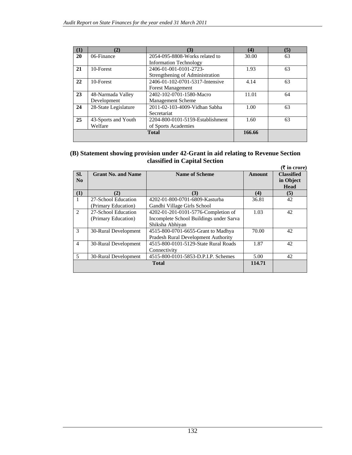| (1) | (2)                  | (3)                              | (4)    | (5) |
|-----|----------------------|----------------------------------|--------|-----|
| 20  | 06-Finance           | 2054-095-8808-Works related to   | 30.00  | 63  |
|     |                      | <b>Information Technology</b>    |        |     |
| 21  | 10-Forest            | 2406-01-001-0101-2723-           | 1.93   | 63  |
|     |                      | Strengthening of Administration  |        |     |
| 22  | 10-Forest            | 2406-01-102-0701-5317-Intensive  | 4.14   | 63  |
|     |                      | <b>Forest Management</b>         |        |     |
| 23  | 48-Narmada Valley    | 2402-102-0701-1580-Macro         | 11.01  | 64  |
|     | Development          | <b>Management Scheme</b>         |        |     |
| 24  | 28-State Legislature | 2011-02-103-4009-Vidhan Sabha    | 1.00   | 63  |
|     |                      | Secretariat                      |        |     |
| 25  | 43-Sports and Youth  | 2204-800-0101-5159-Establishment | 1.60   | 63  |
|     | Welfare              | of Sports Academies              |        |     |
|     |                      | <b>Total</b>                     | 166.66 |     |
|     |                      |                                  |        |     |

#### **(B) Statement showing provision under 42-Grant in aid relating to Revenue Section classified in Capital Section (**` **in crore)**

| SI.            | <b>Grant No. and Name</b> | <b>Name of Scheme</b>                      | <b>Amount</b> | <b>Classified</b> |
|----------------|---------------------------|--------------------------------------------|---------------|-------------------|
| No             |                           |                                            |               | in Object         |
|                |                           |                                            |               | <b>Head</b>       |
| (1)            | (2)                       | (3)                                        | (4)           | (5)               |
|                | 27-School Education       | 4202-01-800-0701-6809-Kasturba             | 36.81         | 42                |
|                | (Primary Education)       | Gandhi Village Girls School                |               |                   |
| 2              | 27-School Education       | 4202-01-201-0101-5776-Completion of        | 1.03          | 42                |
|                | (Primary Education)       | Incomplete School Buildings under Sarva    |               |                   |
|                |                           | Shiksha Abhiyan                            |               |                   |
| 3              | 30-Rural Development      | 4515-800-0701-6655-Grant to Madhya         | 70.00         | 42                |
|                |                           | <b>Pradesh Rural Development Authority</b> |               |                   |
| $\overline{4}$ | 30-Rural Development      | 4515-800-0101-5129-State Rural Roads       | 1.87          | 42                |
|                |                           | Connectivity                               |               |                   |
| 5              | 30-Rural Development      | 4515-800-0101-5853-D.P.I.P. Schemes        | 5.00          | 42                |
|                |                           | <b>Total</b>                               | 114.71        |                   |
|                |                           |                                            |               |                   |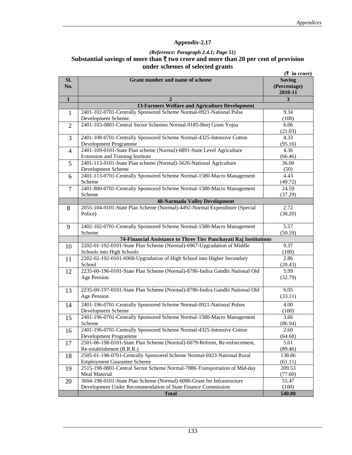### *(Reference: Paragraph 2.4.1; Page 51)*  **Substantial savings of more than** ` **two crore and more than 20 per cent of provision under schemes of selected grants**

|                |                                                                                                               | $(\bar{\tau}$ in crore)                  |
|----------------|---------------------------------------------------------------------------------------------------------------|------------------------------------------|
| Sl.<br>No.     | <b>Grant number and name of scheme</b>                                                                        | <b>Saving</b><br>(Percentage)<br>2010-11 |
| $\mathbf{1}$   | $\overline{2}$                                                                                                | 3                                        |
|                | 13-Farmers Welfare and Agriculture Development                                                                |                                          |
| $\mathbf{1}$   | 2401-102-0701-Centrally Sponsored Scheme Normal-0921-National Pulse<br>Development Scheme.                    | 9.34<br>(100)                            |
| 2              | 2401-103-0801-Central Sector Schemes Normal-9185-Beej Gram Yojna                                              | 6.06<br>(21.03)                          |
| 3              | 2401-108-0701-Centrally Sponsored Scheme Normal-4325-Intensive Cotton<br>Development Programme                | 4.33<br>(95.16)                          |
| $\overline{4}$ | 2401-109-0101-State Plan scheme (Normal)-6891-State Level Agriculture                                         | 4.36                                     |
| 5              | <b>Extension and Training Institute</b><br>2401-113-0101-State Plan scheme (Normal)-5626-National Agriculture | (66.46)<br>36.00                         |
|                | Development Scheme                                                                                            | (50)                                     |
| 6              | 2401-113-0701-Centrally Sponsored Scheme Normal-1580-Macro Management<br>Scheme                               | 4.43<br>(49.72)                          |
| 7              | 2401-800-0701-Centrally Sponsored Scheme Normal-1580-Macro Management<br>Scheme                               | 24.59<br>(37.29)                         |
|                | <b>48-Narmada Valley Development</b>                                                                          |                                          |
| 8              | 2055-104-0101-State Plan Scheme (Normal)-4492-Normal Expenditure (Special                                     | 2.72                                     |
|                | Police)                                                                                                       | (38.20)                                  |
| 9              | 2402-102-0701-Centrally Sponsored Scheme Normal-1580-Macro Management                                         | 5.57                                     |
|                | Scheme<br>74-Financial Assistance to Three Tier Panchayati Raj Institutions                                   | (50.59)                                  |
| 10             | 2202-01-192-0101-State Plan Scheme (Normal)-6967-Upgradation of Middle                                        | 9.37                                     |
|                | Schools into High Schools                                                                                     | (100)                                    |
| 11             | 2202-02-192-0101-6968-Upgradation of High School into Higher Secondary<br>School                              | 2.86<br>(20.43)                          |
| 12             | 2235-60-196-0101-State Plan Scheme (Normal)-8786-Indira Gandhi National Old                                   | 5.99                                     |
|                | Age Pension                                                                                                   | (32.79)                                  |
| 13             | 2235-60-197-0101-State Plan Scheme (Normal)-8786-Indira Gandhi National Old<br>Age Pension                    | 6.05<br>(33.11)                          |
|                | 2401-196-0701-Centrally Sponsored Scheme Normal-0921-National Pulses                                          | 4.00                                     |
| 14             | Development Scheme                                                                                            | (100)                                    |
| 15             | 2401-196-0701-Centrally Sponsored Scheme Normal-1580-Macro Management<br>Scheme                               | 3.66<br>(86.94)                          |
| 16             | 2401-196-0701-Centrally Sponsored Scheme Normal-4325-Intensive Cotton<br>Development Programme                | 2.60<br>(64.68)                          |
|                | 2501-06-198-0101-State Plan Scheme (Normal)-6079-Reform, Re-enforcement,                                      | 5.01                                     |
| 17             | Re-establishment (R.R.R.)                                                                                     | (89.46)                                  |
| 18             | 2505-01-198-0701-Centrally Sponsored Scheme Normal-6923-National Rural                                        | 138.86                                   |
|                | <b>Employment Guarantee Scheme</b>                                                                            | (61.11)                                  |
| 19             | 2515-198-0801-Central Sector Scheme Normal-7886-Transportation of Mid-day                                     | 209.53                                   |
|                | Meal Material                                                                                                 | (77.60)                                  |
| 20             | 3604-198-0101-State Plan Scheme (Normal)-6086-Grant for Infrastructure                                        | 55.47                                    |
|                | Development Under Recommendation of State Finance Commission                                                  | (100)                                    |
|                | <b>Total</b>                                                                                                  | 540.80                                   |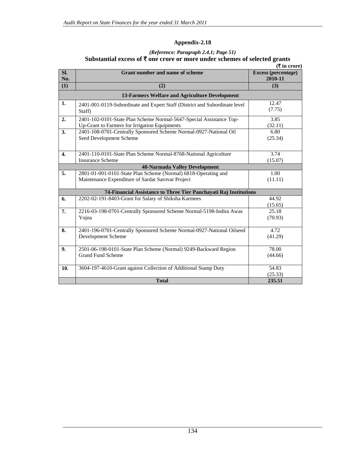## *(Reference: Paragraph 2.4.1; Page 51)*  Substantial excess of  $\bar{\tau}$  one crore or more under schemes of selected grants

|                  |                                                                                                                      | ( ₹ in error)                  |  |  |  |  |  |
|------------------|----------------------------------------------------------------------------------------------------------------------|--------------------------------|--|--|--|--|--|
| Sl.<br>No.       | <b>Grant number and name of scheme</b>                                                                               | Excess (percentage)<br>2010-11 |  |  |  |  |  |
| (1)              | (2)                                                                                                                  | (3)                            |  |  |  |  |  |
|                  | 13-Farmers Welfare and Agriculture Development                                                                       |                                |  |  |  |  |  |
| 1.               | 2401-001-0119-Subordinate and Expert Staff (District and Subordinate level<br>Staff)                                 | 12.47<br>(7.75)                |  |  |  |  |  |
| 2.               | 2401-102-0101-State Plan Scheme Normal-5647-Special Assistance Top-<br>Up-Grant to Farmers for Irrigation Equipments | 3.85<br>(32.11)                |  |  |  |  |  |
| 3.               | 2401-108-0701-Centrally Sponsored Scheme Normal-0927-National Oil<br>Seed Development Scheme                         | 6.80<br>(25.34)                |  |  |  |  |  |
| $\overline{4}$ . | 2401-110-0101-State Plan Scheme Normal-8768-National Agriculture<br><b>Insurance Scheme</b>                          | 3.74<br>(15.07)                |  |  |  |  |  |
|                  | <b>48-Narmada Valley Development</b>                                                                                 |                                |  |  |  |  |  |
| 5.               | 2801-01-001-0101-State Plan Scheme (Normal) 6818-Operating and                                                       | 1.00                           |  |  |  |  |  |
|                  | Maintenance Expenditure of Sardar Sarovar Project                                                                    | (11.11)                        |  |  |  |  |  |
|                  | 74-Financial Assistance to Three Tier Panchayati Raj Institutions                                                    |                                |  |  |  |  |  |
| 6.               | 2202-02-191-8403-Grant for Salary of Shiksha Karmees                                                                 | 44.92<br>(15.65)               |  |  |  |  |  |
| 7.               | 2216-03-198-0701-Centrally Sponsored Scheme Normal-5198-Indira Awas<br>Yojna                                         | 25.18<br>(70.93)               |  |  |  |  |  |
| 8.               | 2401-196-0701-Centrally Sponsored Scheme Normal-0927-National Oilseed<br>Development Scheme                          | 4.72<br>(41.29)                |  |  |  |  |  |
| 9.               | 2501-06-198-0101-State Plan Scheme (Normal) 9249-Backward Region<br><b>Grand Fund Scheme</b>                         | 78.00<br>(44.66)               |  |  |  |  |  |
| 10.              | 3604-197-4610-Grant against Collection of Additional Stamp Duty                                                      | 54.83                          |  |  |  |  |  |
|                  | <b>Total</b>                                                                                                         | (25.33)<br>235.51              |  |  |  |  |  |
|                  |                                                                                                                      |                                |  |  |  |  |  |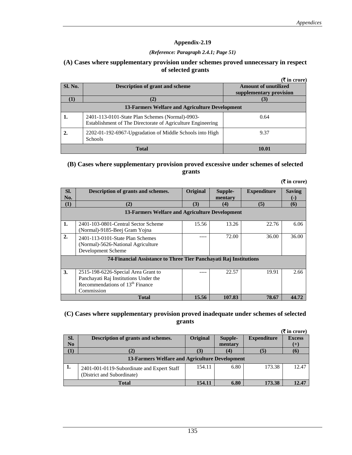#### *(Reference: Paragraph 2.4.1; Page 51)*

### **(A) Cases where supplementary provision under schemes proved unnecessary in respect of selected grants**

|                                                |                                                                                                                | $($ ₹ in crore)                                        |  |  |  |  |
|------------------------------------------------|----------------------------------------------------------------------------------------------------------------|--------------------------------------------------------|--|--|--|--|
| Sl. No.                                        | Description of grant and scheme                                                                                | <b>Amount of unutilized</b><br>supplementary provision |  |  |  |  |
|                                                | (2)                                                                                                            |                                                        |  |  |  |  |
| 13-Farmers Welfare and Agriculture Development |                                                                                                                |                                                        |  |  |  |  |
|                                                | 2401-113-0101-State Plan Schemes (Normal)-0903-<br>Establishment of The Directorate of Agriculture Engineering | 0.64                                                   |  |  |  |  |
|                                                | 2202-01-192-6967-Upgradation of Middle Schools into High<br><b>Schools</b>                                     | 9.37                                                   |  |  |  |  |
|                                                | <b>Total</b>                                                                                                   | 10.01                                                  |  |  |  |  |

### **(B) Cases where supplementary provision proved excessive under schemes of selected grants**

|                                                                   |                                                                                                                                           |          |                    |                    | $(\bar{\mathbf{\mathsf{F}}}$ in crore) |  |  |  |
|-------------------------------------------------------------------|-------------------------------------------------------------------------------------------------------------------------------------------|----------|--------------------|--------------------|----------------------------------------|--|--|--|
| SI.<br>No.                                                        | Description of grants and schemes.                                                                                                        | Original | Supple-<br>mentary | <b>Expenditure</b> | <b>Saving</b><br>$(-)$                 |  |  |  |
| $\bf(1)$                                                          | (2)                                                                                                                                       | (3)      | (4)                | (5)                | (6)                                    |  |  |  |
| 13-Farmers Welfare and Agriculture Development                    |                                                                                                                                           |          |                    |                    |                                        |  |  |  |
| 1.                                                                | 2401-103-0801-Central Sector Scheme<br>(Normal)-9185-Beej Gram Yojna                                                                      | 15.56    | 13.26              | 22.76              | 6.06                                   |  |  |  |
| 2.                                                                | 2401-113-0101-State Plan Schemes<br>(Normal)-5626-National Agriculture<br>Development Scheme                                              |          | 72.00              | 36.00              | 36.00                                  |  |  |  |
| 74-Financial Assistance to Three Tier Panchavati Raj Institutions |                                                                                                                                           |          |                    |                    |                                        |  |  |  |
| <b>3.</b>                                                         | 2515-198-6226-Special Area Grant to<br>Panchayati Raj Institutions Under the<br>Recommendations of 13 <sup>th</sup> Finance<br>Commission |          | 22.57              | 19.91              | 2.66                                   |  |  |  |

### **(C) Cases where supplementary provision proved inadequate under schemes of selected grants**

**15.56** 107.83 78.67 **44.72 15.56** 107.83 78.67 **44.72** 

|                                                |                                                                          |                 |         |                    | $(\bar{\bar{\mathbf{x}}}$ in crore) |  |  |
|------------------------------------------------|--------------------------------------------------------------------------|-----------------|---------|--------------------|-------------------------------------|--|--|
| SI.                                            | Description of grants and schemes.                                       | <b>Original</b> | Supple- | <b>Expenditure</b> | <b>Excess</b>                       |  |  |
| No                                             |                                                                          |                 | mentary |                    | $(+)$                               |  |  |
| (1)                                            |                                                                          | (3)             | (4)     | (5)                | (6)                                 |  |  |
| 13-Farmers Welfare and Agriculture Development |                                                                          |                 |         |                    |                                     |  |  |
| 1.                                             | 2401-001-0119-Subordinate and Expert Staff<br>(District and Subordinate) | 154.11          | 6.80    | 173.38             | 12.47                               |  |  |
| <b>Total</b>                                   |                                                                          | 154.11          | 6.80    | 173.38             | 12.47                               |  |  |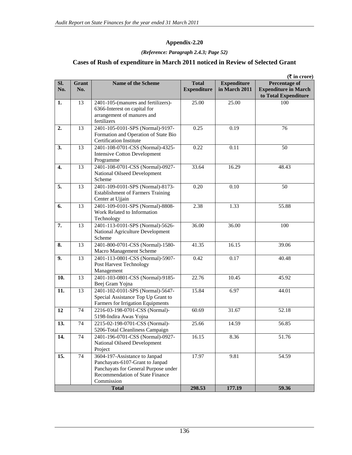### **Appendix-2.20**

#### *(Reference: Paragraph 2.4.3; Page 52)*

# **Cases of Rush of expenditure in March 2011 noticed in Review of Selected Grant**

| in March 2011<br>No.<br>No.<br><b>Expenditure</b><br>13<br>2401-105-(manures and fertilizers)-<br>25.00<br>100<br>25.00<br>1.<br>6366-Interest on capital for<br>arrangement of manures and<br>fertilizers<br>13<br>2401-105-0101-SPS (Normal)-9197-<br>0.25<br>2.<br>0.19<br>76<br>Formation and Operation of State Bio<br><b>Certification Institute</b><br>3.<br>13<br>2401-108-0701-CSS (Normal)-4325-<br>0.22<br>0.11<br>50<br><b>Intensive Cotton Development</b><br>Programme<br>13<br>2401-108-0701-CSS (Normal)-0927-<br>4.<br>33.64<br>16.29<br>48.43<br>National Oilseed Development<br>Scheme<br>2401-109-0101-SPS (Normal)-8173-<br>0.20<br>5.<br>13<br>0.10<br>50<br><b>Establishment of Farmers Training</b><br>Center at Ujjain<br>2401-109-0101-SPS (Normal)-8808-<br>6.<br>13<br>2.38<br>1.33<br>55.88<br>Work Related to Information<br>Technology<br>7.<br>13<br>2401-113-0101-SPS (Normal)-5626-<br>36.00<br>36.00<br>100<br>National Agriculture Development<br>Scheme<br>2401-800-0701-CSS (Normal)-1580-<br>16.15<br>13<br>41.35<br>39.06<br>8.<br>Macro Management Scheme<br>0.42<br>0.17<br>9.<br>13<br>2401-113-0801-CSS (Normal)-5907-<br>40.48<br>Post Harvest Technology<br>Management<br>13<br>2401-103-0801-CSS (Normal)-9185-<br>22.76<br>10.<br>10.45<br>45.92<br>Beej Gram Yojna<br>2401-102-0101-SPS (Normal)-5647-<br>$\overline{13}$<br>6.97<br>15.84<br>44.01<br>11.<br>Special Assistance Top Up Grant to<br>Farmers for Irrigation Equipments<br>2216-03-198-0701-CSS (Normal)-<br>12<br>74<br>60.69<br>31.67<br>52.18<br>5198-Indira Awas Yojna<br>74<br>2215-02-198-0701-CSS (Normal)-<br>25.66<br>14.59<br>56.85<br>13.<br>5206-Total Cleanliness Campaign<br>14.<br>2401-196-0701-CSS (Normal)-0927-<br>16.15<br>51.76<br>74<br>8.36<br>National Oilseed Development<br>Project<br>15.<br>74<br>3604-197-Assistance to Janpad<br>17.97<br>9.81<br>54.59<br>Panchayats-6107-Grant to Janpad<br>Panchayats for General Purpose under<br>Recommendation of State Finance<br>Commission |     |              |                           |              |                    | $(\overline{\mathbf{\overline{z}}}$ in crore)                               |
|----------------------------------------------------------------------------------------------------------------------------------------------------------------------------------------------------------------------------------------------------------------------------------------------------------------------------------------------------------------------------------------------------------------------------------------------------------------------------------------------------------------------------------------------------------------------------------------------------------------------------------------------------------------------------------------------------------------------------------------------------------------------------------------------------------------------------------------------------------------------------------------------------------------------------------------------------------------------------------------------------------------------------------------------------------------------------------------------------------------------------------------------------------------------------------------------------------------------------------------------------------------------------------------------------------------------------------------------------------------------------------------------------------------------------------------------------------------------------------------------------------------------------------------------------------------------------------------------------------------------------------------------------------------------------------------------------------------------------------------------------------------------------------------------------------------------------------------------------------------------------------------------------------------------------------------------------------------------------------------------------------------------------------|-----|--------------|---------------------------|--------------|--------------------|-----------------------------------------------------------------------------|
|                                                                                                                                                                                                                                                                                                                                                                                                                                                                                                                                                                                                                                                                                                                                                                                                                                                                                                                                                                                                                                                                                                                                                                                                                                                                                                                                                                                                                                                                                                                                                                                                                                                                                                                                                                                                                                                                                                                                                                                                                                  | SI. | <b>Grant</b> | <b>Name of the Scheme</b> | <b>Total</b> | <b>Expenditure</b> | <b>Percentage of</b><br><b>Expenditure in March</b><br>to Total Expenditure |
|                                                                                                                                                                                                                                                                                                                                                                                                                                                                                                                                                                                                                                                                                                                                                                                                                                                                                                                                                                                                                                                                                                                                                                                                                                                                                                                                                                                                                                                                                                                                                                                                                                                                                                                                                                                                                                                                                                                                                                                                                                  |     |              |                           |              |                    |                                                                             |
|                                                                                                                                                                                                                                                                                                                                                                                                                                                                                                                                                                                                                                                                                                                                                                                                                                                                                                                                                                                                                                                                                                                                                                                                                                                                                                                                                                                                                                                                                                                                                                                                                                                                                                                                                                                                                                                                                                                                                                                                                                  |     |              |                           |              |                    |                                                                             |
|                                                                                                                                                                                                                                                                                                                                                                                                                                                                                                                                                                                                                                                                                                                                                                                                                                                                                                                                                                                                                                                                                                                                                                                                                                                                                                                                                                                                                                                                                                                                                                                                                                                                                                                                                                                                                                                                                                                                                                                                                                  |     |              |                           |              |                    |                                                                             |
|                                                                                                                                                                                                                                                                                                                                                                                                                                                                                                                                                                                                                                                                                                                                                                                                                                                                                                                                                                                                                                                                                                                                                                                                                                                                                                                                                                                                                                                                                                                                                                                                                                                                                                                                                                                                                                                                                                                                                                                                                                  |     |              |                           |              |                    |                                                                             |
|                                                                                                                                                                                                                                                                                                                                                                                                                                                                                                                                                                                                                                                                                                                                                                                                                                                                                                                                                                                                                                                                                                                                                                                                                                                                                                                                                                                                                                                                                                                                                                                                                                                                                                                                                                                                                                                                                                                                                                                                                                  |     |              |                           |              |                    |                                                                             |
|                                                                                                                                                                                                                                                                                                                                                                                                                                                                                                                                                                                                                                                                                                                                                                                                                                                                                                                                                                                                                                                                                                                                                                                                                                                                                                                                                                                                                                                                                                                                                                                                                                                                                                                                                                                                                                                                                                                                                                                                                                  |     |              |                           |              |                    |                                                                             |
|                                                                                                                                                                                                                                                                                                                                                                                                                                                                                                                                                                                                                                                                                                                                                                                                                                                                                                                                                                                                                                                                                                                                                                                                                                                                                                                                                                                                                                                                                                                                                                                                                                                                                                                                                                                                                                                                                                                                                                                                                                  |     |              |                           |              |                    |                                                                             |
|                                                                                                                                                                                                                                                                                                                                                                                                                                                                                                                                                                                                                                                                                                                                                                                                                                                                                                                                                                                                                                                                                                                                                                                                                                                                                                                                                                                                                                                                                                                                                                                                                                                                                                                                                                                                                                                                                                                                                                                                                                  |     |              |                           |              |                    |                                                                             |
|                                                                                                                                                                                                                                                                                                                                                                                                                                                                                                                                                                                                                                                                                                                                                                                                                                                                                                                                                                                                                                                                                                                                                                                                                                                                                                                                                                                                                                                                                                                                                                                                                                                                                                                                                                                                                                                                                                                                                                                                                                  |     |              |                           |              |                    |                                                                             |
|                                                                                                                                                                                                                                                                                                                                                                                                                                                                                                                                                                                                                                                                                                                                                                                                                                                                                                                                                                                                                                                                                                                                                                                                                                                                                                                                                                                                                                                                                                                                                                                                                                                                                                                                                                                                                                                                                                                                                                                                                                  |     |              |                           |              |                    |                                                                             |
|                                                                                                                                                                                                                                                                                                                                                                                                                                                                                                                                                                                                                                                                                                                                                                                                                                                                                                                                                                                                                                                                                                                                                                                                                                                                                                                                                                                                                                                                                                                                                                                                                                                                                                                                                                                                                                                                                                                                                                                                                                  |     |              |                           |              |                    |                                                                             |
|                                                                                                                                                                                                                                                                                                                                                                                                                                                                                                                                                                                                                                                                                                                                                                                                                                                                                                                                                                                                                                                                                                                                                                                                                                                                                                                                                                                                                                                                                                                                                                                                                                                                                                                                                                                                                                                                                                                                                                                                                                  |     |              |                           |              |                    |                                                                             |
|                                                                                                                                                                                                                                                                                                                                                                                                                                                                                                                                                                                                                                                                                                                                                                                                                                                                                                                                                                                                                                                                                                                                                                                                                                                                                                                                                                                                                                                                                                                                                                                                                                                                                                                                                                                                                                                                                                                                                                                                                                  |     |              |                           |              |                    |                                                                             |
|                                                                                                                                                                                                                                                                                                                                                                                                                                                                                                                                                                                                                                                                                                                                                                                                                                                                                                                                                                                                                                                                                                                                                                                                                                                                                                                                                                                                                                                                                                                                                                                                                                                                                                                                                                                                                                                                                                                                                                                                                                  |     |              |                           |              |                    |                                                                             |
|                                                                                                                                                                                                                                                                                                                                                                                                                                                                                                                                                                                                                                                                                                                                                                                                                                                                                                                                                                                                                                                                                                                                                                                                                                                                                                                                                                                                                                                                                                                                                                                                                                                                                                                                                                                                                                                                                                                                                                                                                                  |     |              | <b>Total</b>              | 298.53       | 177.19             | 59.36                                                                       |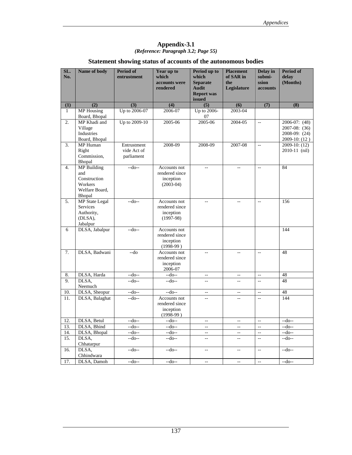### **Appendix-3.1** *(Reference: Paragraph 3.2; Page 55)*

## **Statement showing status of accounts of the autonomous bodies**

| SL.<br>No.       | Name of body                       | <b>Period of</b><br>entrustment | Year up to<br>which            | Period up to<br>which             | <b>Placement</b><br>of SAR in | Delay in<br>submi-        | <b>Period of</b><br>delay           |
|------------------|------------------------------------|---------------------------------|--------------------------------|-----------------------------------|-------------------------------|---------------------------|-------------------------------------|
|                  |                                    |                                 | accounts were                  | <b>Separate</b>                   | the                           | ssion                     | (Months)                            |
|                  |                                    |                                 | rendered                       | <b>Audit</b><br><b>Report was</b> | Legislature                   | accounts                  |                                     |
|                  |                                    |                                 |                                | issued                            |                               |                           |                                     |
| (1)              | (2)                                | (3)                             | (4)                            | (5)                               | (6)                           | (7)                       | (8)                                 |
| $\mathbf{1}$     | <b>MP</b> Housing<br>Board, Bhopal | Up to 2006-07                   | 2006-07                        | Up to 2006-<br>07                 | 2003-04                       |                           |                                     |
| $\overline{2}$ . | MP Khadi and                       | Up to 2009-10                   | $2005 - 06$                    | 2005-06                           | 2004-05                       | $\mathbb{L}^{\mathbb{L}}$ | $2006-07:$ (48)                     |
|                  | Village                            |                                 |                                |                                   |                               |                           | 2007-08: (36)                       |
|                  | Industries                         |                                 |                                |                                   |                               |                           | 2008-09: (24)                       |
|                  | Board, Bhopal                      |                                 |                                |                                   |                               |                           | $2009-10$ : (12)                    |
| 3.               | MP Human<br>Right                  | Entrustment<br>vide Act of      | 2008-09                        | 2008-09                           | 2007-08                       | ц.                        | $2009-10$ : $(12)$<br>2010-11 (nil) |
|                  | Commission,                        | parliament                      |                                |                                   |                               |                           |                                     |
|                  | Bhopal                             |                                 |                                |                                   |                               |                           |                                     |
| 4.               | <b>MP</b> Building                 | $-do-$                          | Accounts not                   | Ш,                                | $\sim$                        | $\bar{\phantom{a}}$       | 84                                  |
|                  | and                                |                                 | rendered since                 |                                   |                               |                           |                                     |
|                  | Construction                       |                                 | inception                      |                                   |                               |                           |                                     |
|                  | Workers                            |                                 | $(2003-04)$                    |                                   |                               |                           |                                     |
|                  | Welfare Board,                     |                                 |                                |                                   |                               |                           |                                     |
|                  | Bhopal                             |                                 |                                |                                   |                               |                           |                                     |
| 5.               | <b>MP</b> State Legal              | $-do-$                          | Accounts not                   | Ξ.                                | Ξ.                            | $\overline{a}$            | 156                                 |
|                  | <b>Services</b>                    |                                 | rendered since                 |                                   |                               |                           |                                     |
|                  | Authority,<br>(DLSA),              |                                 | inception<br>$(1997-98)$       |                                   |                               |                           |                                     |
|                  | Jabalpur                           |                                 |                                |                                   |                               |                           |                                     |
| 6                | DLSA, Jabalpur                     | $-do-$                          | Accounts not                   |                                   |                               |                           | 144                                 |
|                  |                                    |                                 | rendered since                 |                                   |                               |                           |                                     |
|                  |                                    |                                 | inception                      |                                   |                               |                           |                                     |
|                  |                                    |                                 | $(1998-99)$                    |                                   |                               |                           |                                     |
| 7.               | DLSA, Badwani                      | $-do$                           | Accounts not                   | Ш,                                | $\overline{\phantom{a}}$      | $\mathbb{L}^2$            | 48                                  |
|                  |                                    |                                 | rendered since                 |                                   |                               |                           |                                     |
|                  |                                    |                                 | inception                      |                                   |                               |                           |                                     |
|                  |                                    |                                 | 2006-07                        |                                   |                               |                           |                                     |
| 8.               | DLSA, Harda                        | $-do-$                          | $-do-$                         | --                                | $\overline{\phantom{a}}$      | $\bar{\phantom{a}}$       | 48                                  |
| 9.               | DLSA,                              | $-do-$                          | $-do-$                         | Ξ.                                | u.                            | $\overline{a}$            | 48                                  |
|                  | Neemuch                            |                                 |                                |                                   |                               |                           |                                     |
| 10.              | DLSA, Sheopur                      | $-do-$                          | $-do-$                         | Ξ.                                | $\overline{\phantom{a}}$      | $\mathbb{L}^{\mathbb{L}}$ | 48                                  |
| 11.              | DLSA, Balaghat                     | $-do-$                          | Accounts not<br>rendered since | --                                | Ξ.                            | $\overline{a}$            | 144                                 |
|                  |                                    |                                 | inception                      |                                   |                               |                           |                                     |
|                  |                                    |                                 | $(1998-99)$                    |                                   |                               |                           |                                     |
| 12.              | DLSA, Betul                        | $-do-$                          | $-do-$                         | $\overline{a}$                    | $\overline{\phantom{a}}$      | $\bar{\omega}$            | $-do-$                              |
| 13.              | DLSA, Bhind                        | $-do-$                          | $-do-$                         | $\overline{\phantom{a}}$          | $\overline{\phantom{a}}$      | ÷.                        | $-do-$                              |
| 14.              | DLSA, Bhopal                       | $-$ do--                        | $-do-$                         | $\overline{a}$                    | $\overline{\phantom{a}}$      | $\overline{a}$            | $-do-$                              |
| 15.              | DLSA,                              | $-do-$                          | $-do-$                         | 44                                | ц.                            | u.                        | $-do-$                              |
|                  | Chhatarpur                         |                                 |                                |                                   |                               |                           |                                     |
| 16.              | DLSA,                              | $-do-$                          | $-do-$                         | Ξ.                                | Ξ.                            | $\overline{a}$            | $-do-$                              |
|                  | Chhindwara                         |                                 |                                |                                   |                               |                           |                                     |
| 17.              | DLSA, Damoh                        | $-do-$                          | $-do-$                         | $\sim$                            | $\sim$                        | $\mathbb{L}^{\mathbb{L}}$ | $-do-$                              |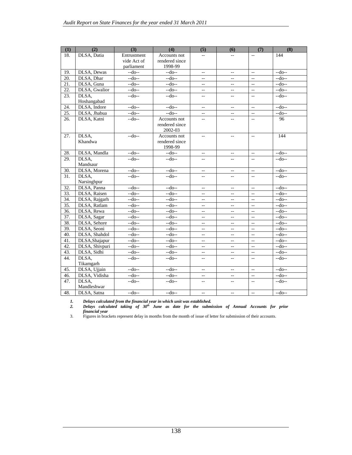| (1) | $\overline{(2)}$ | $\overline{(3)}$ | (4)                            | (5)                                           | (6)                                           | (7)                                           | (8)    |
|-----|------------------|------------------|--------------------------------|-----------------------------------------------|-----------------------------------------------|-----------------------------------------------|--------|
| 18. | DLSA, Datia      | Entrustment      | Accounts not                   |                                               | $\sim$                                        | $\overline{a}$                                | 144    |
|     |                  | vide Act of      | rendered since                 |                                               |                                               |                                               |        |
|     |                  | parliament       | 1998-99                        |                                               |                                               |                                               |        |
| 19. | DLSA, Dewas      | $-do-$           | $-do-$                         | $\overline{\phantom{a}}$                      | $\overline{\phantom{m}}$                      | $\mathbf{u}$                                  | $-do-$ |
| 20. | DLSA, Dhar       | $-do-$           | $-do-$                         | $\overline{\phantom{a}}$                      | $\overline{\phantom{m}}$                      | $\mathbf{u}$                                  | $-do-$ |
| 21. | DLSA, Guna       | $-do-$           | $-do-$                         | $\overline{a}$                                | $\overline{\phantom{m}}$                      | $\mathbb{L}^{\mathbb{L}}$                     | $-do-$ |
| 22. | DLSA, Gwalior    | $-do-$           | $-do-$                         | $\overline{\phantom{a}}$                      | $\overline{\phantom{m}}$                      | $\overline{a}$                                | $-do-$ |
| 23. | DLSA.            | $-do-$           | $-do-$                         | $-1$                                          | $=$                                           | $\overline{a}$                                | $-do-$ |
|     | Hoshangabad      |                  |                                |                                               |                                               |                                               |        |
| 24. | DLSA, Indore     | $-do-$           | $-do-$                         | $\overline{\phantom{a}}$                      | $\mathord{\hspace{1pt}\text{--}\hspace{1pt}}$ | $\overline{\phantom{a}}$                      | $-do-$ |
| 25. | DLSA, Jhabua     | $-do-$           | $-do-$                         | $\overline{a}$                                | $\overline{\phantom{a}}$                      | $\overline{\phantom{a}}$                      | $-do-$ |
| 26. | DLSA, Katni      | $-do-$           | Accounts not                   | $\overline{a}$                                | Ξ.                                            | ÷.                                            | 96     |
|     |                  |                  | rendered since                 |                                               |                                               |                                               |        |
|     |                  | $-cd$ o--        | 2002-03                        |                                               |                                               |                                               | 144    |
| 27. | DLSA,<br>Khandwa |                  | Accounts not<br>rendered since | $\overline{\phantom{a}}$                      | $\overline{\phantom{a}}$                      | $\overline{\phantom{a}}$                      |        |
|     |                  |                  | 1998-99                        |                                               |                                               |                                               |        |
| 28. | DLSA, Mandla     | $-do-$           | $-do-$                         | $\overline{\phantom{a}}$                      | $\overline{\phantom{m}}$                      | $\overline{\phantom{a}}$                      | $-do-$ |
| 29. | DLSA.            | $-do-$           | $-do-$                         | $\sim$ $\sim$                                 | $\mathbf{u}$                                  | $\overline{a}$                                | $-do-$ |
|     | Mandsaur         |                  |                                |                                               |                                               |                                               |        |
| 30. | DLSA, Morena     | $-do-$           | $-do-$                         | $\overline{\phantom{a}}$                      | $\overline{\phantom{a}}$                      | $\mathbb{L}^{\mathbb{L}}$                     | $-do-$ |
| 31. | DLSA.            | $-do-$           | $-do-$                         | $-$                                           | $\sim$                                        | $\sim$ $\sim$                                 | $-do-$ |
|     | Narsinghpur      |                  |                                |                                               |                                               |                                               |        |
| 32. | DLSA, Panna      | $-do-$           | $-do-$                         | $\overline{\phantom{a}}$                      | $\overline{\phantom{m}}$                      | $\overline{\phantom{a}}$                      | $-do-$ |
| 33. | DLSA, Raisen     | $-do-$           | $-do-$                         | $\overline{\phantom{a}}$                      | $\overline{\phantom{a}}$                      | $\mathbb{Z}^{\mathbb{Z}}$                     | $-do-$ |
| 34. | DLSA, Rajgarh    | $-do-$           | $-do-$                         | $-$                                           | $\overline{\phantom{a}}$                      | $\overline{\phantom{a}}$                      | $-do-$ |
| 35. | DLSA, Ratlam     | $-do-$           | $-do-$                         | $\overline{\phantom{a}}$                      | $\overline{\phantom{m}}$                      | $\overline{\phantom{a}}$                      | $-do-$ |
| 36. | DLSA, Rewa       | $-do-$           | $-do-$                         | $\overline{\phantom{a}}$                      | $\overline{\phantom{a}}$                      | $\overline{\phantom{a}}$                      | $-do-$ |
| 37. | DLSA, Sagar      | $-do-$           | $-do-$                         | $\overline{\phantom{a}}$                      | $\sim$ $\sim$                                 | $\mathbb{Z}^{\mathbb{Z}}$                     | $-do-$ |
| 38. | DLSA, Sehore     | $-do-$           | $-do-$                         | $-$                                           | $\overline{\phantom{a}}$                      | $\overline{\phantom{a}}$                      | $-do-$ |
| 39. | DLSA, Seoni      | $-do-$           | $-do-$                         | $\overline{\phantom{a}}$                      | $\mathord{\hspace{1pt}\text{--}\hspace{1pt}}$ | $\mathbb{L}^{\mathbb{L}}$                     | $-do-$ |
| 40. | DLSA, Shahdol    | $-do-$           | $-do-$                         | $\overline{\phantom{a}}$                      | $\overline{\phantom{a}}$                      | $\overline{\phantom{a}}$                      | $-do-$ |
| 41. | DLSA, Shajapur   | $-do-$           | $-do-$                         | $\overline{\phantom{a}}$                      | $\sim$ $\sim$                                 | $\mathbb{L}^{\mathbb{L}}$                     | $-do-$ |
| 42. | DLSA, Shivpuri   | $-do-$           | $-do-$                         | $\mathcal{L} =$                               | $\mathord{\hspace{1pt}\text{--}\hspace{1pt}}$ | $\sim$                                        | $-do-$ |
| 43. | DLSA, Sidhi      | $-do-$           | $-do-$                         | $\overline{\phantom{a}}$                      | $\overline{\phantom{a}}$                      | $\overline{\phantom{a}}$                      | $-do-$ |
| 44. | DLSA,            | $-do-$           | $-do-$                         | $\mathord{\hspace{1pt}\text{--}\hspace{1pt}}$ | $\mathbf{u}$                                  | $\mathbf{u}$                                  | $-do-$ |
|     | Tikamgarh        |                  |                                |                                               |                                               |                                               |        |
| 45. | DLSA, Ujjain     | $-do-$           | $-do-$                         | $\overline{\phantom{a}}$                      | $\mathbf{u}$                                  | $\overline{\phantom{a}}$                      | $-do-$ |
| 46. | DLSA, Vidisha    | $-do-$           | $-do-$                         | $\overline{\phantom{a}}$                      | $\overline{\phantom{m}}$                      | $\overline{\phantom{a}}$                      | $-do-$ |
| 47. | DLSA,            | $-do-$           | $-do-$                         | $\mathcal{L} =$                               | $\mathbf{u}$                                  | $\mathord{\hspace{1pt}\text{--}\hspace{1pt}}$ | $-do-$ |
|     | Mandleshwar      |                  |                                |                                               |                                               |                                               |        |
| 48. | DLSA, Satna      | $-do-$           | $-$ do--                       | $\overline{\phantom{a}}$                      | $\overline{\phantom{m}}$                      | $\mathcal{L}_{\mathcal{F}}$                   | $-do-$ |

*1. Delays calculated from the financial year in which unit was established. 2. Delays calculated taking of 30th June as date for the submission of Annual Accounts for prior financial year* 

3. Figures in brackets represent delay in months from the month of issue of letter for submission of their accounts.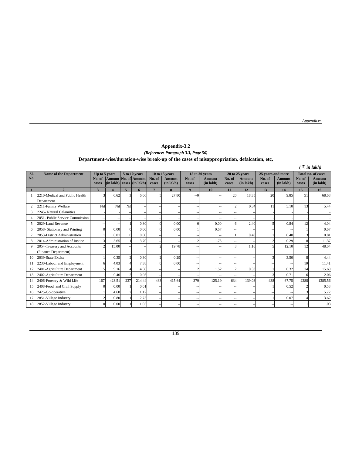*Appendices*

#### **Appendix-3.2** *(Reference: Paragraph 3.3, Page 56)*  **Department-wise/duration-wise break-up of the cases of misappropriation, defalcation, etc,**

|                |                                                    |                    |                        |                                 |                                             |                 |                     |                  |                                 |                   |                            |                           |                                 |                 | (₹ in lakh)                     |
|----------------|----------------------------------------------------|--------------------|------------------------|---------------------------------|---------------------------------------------|-----------------|---------------------|------------------|---------------------------------|-------------------|----------------------------|---------------------------|---------------------------------|-----------------|---------------------------------|
| Sl.            | <b>Name of the Department</b>                      | Up to 5 years      |                        | 5 to 10 years<br>10 to 15 years |                                             |                 | 15 to 20 years      |                  | 20 to 25 years                  | 25 years and more |                            | <b>Total no. of cases</b> |                                 |                 |                                 |
| No.            |                                                    | No. of<br>cases    | $(in$ lakh $)  $       |                                 | Amount No. of Amount<br>cases $ $ (in lakh) | No. of<br>cases | Amount<br>(in lakh) | No. of<br>cases  | <b>Amount</b><br>$(in$ lakh $)$ | No. of<br>cases   | <b>Amount</b><br>(in lakh) | No. of<br>cases           | <b>Amount</b><br>$(in$ lakh $)$ | No. of<br>cases | <b>Amount</b><br>$(in$ lakh $)$ |
| 1              | $\overline{\phantom{a}}$                           | 3                  | $\boldsymbol{\Lambda}$ | 5                               | 6                                           | $\mathbf{r}$    | 8                   | $\boldsymbol{q}$ | 10                              | 11                | 12                         | 13                        | 14                              | 15              | 16                              |
|                | 2210-Medical and Public Health<br>Department       | $\mathbf{\hat{z}}$ | 6.62                   | 3                               | 6.06                                        |                 | 27.80               | $-0$             |                                 | 20                | 18.35                      | 20                        | 9.85                            | 51              | 68.68                           |
| $\overline{c}$ | 2211-Family Welfare                                | Nil                | Nil                    | Nil                             |                                             |                 |                     |                  |                                 |                   | 0.34                       | 11                        | 5.10                            | 13              | 5.44                            |
| 3              | 2245- Natural Calamities                           |                    |                        |                                 |                                             |                 |                     |                  |                                 |                   |                            |                           |                                 |                 |                                 |
| $\overline{4}$ | 2051- Public Service Commission                    |                    |                        |                                 |                                             |                 |                     |                  |                                 |                   |                            |                           |                                 |                 |                                 |
| 5              | 2029-Land Revenue                                  |                    |                        |                                 | 0.80                                        |                 | 0.00                | $\Omega$         | 0.00                            |                   | 2.40                       | 5                         | 0.84                            | 12              | 4.04                            |
| 6              | 2058- Stationery and Printing                      | $\Omega$           | 0.00                   | $\Omega$                        | 0.00                                        |                 | 0.00                |                  | 0.67                            |                   |                            |                           |                                 |                 | 0.67                            |
| $\overline{7}$ | 2053-District Administration                       |                    | 0.01                   |                                 | 0.00                                        |                 |                     |                  |                                 |                   | 0.40                       |                           | 0.40                            |                 | 0.81                            |
| 8              | 2014-Administration of Justice                     | 3                  | 5.65                   |                                 | 3.70                                        |                 |                     | $\overline{c}$   | 1.73                            |                   |                            | $\overline{2}$            | 0.29                            |                 | 11.37                           |
| $\mathbf{Q}$   | 2054-Treasury and Accounts<br>(Finance Department) | $\mathcal{D}$      | 15.00                  |                                 |                                             |                 | 19.78               |                  |                                 |                   | 1.16                       |                           | 12.10                           | 12              | 48.04                           |
| 10             | 2039-State Excise                                  |                    | 0.35                   | $\overline{c}$                  | 0.30                                        |                 | 0.29                |                  |                                 |                   |                            | 3                         | 3.50                            |                 | 4.44                            |
| 11             | 2230-Labour and Employment                         |                    | 4.03                   |                                 | 7.38                                        |                 | 0.00                |                  |                                 |                   |                            |                           |                                 | 10              | 11.41                           |
| 12             | 2401-Agriculture Department                        |                    | 9.16                   |                                 | 4.36                                        |                 |                     | $\overline{c}$   | 1.52                            |                   | 0.33                       |                           | 0.32                            | 14              | 15.69                           |
| 13             | 2402-Agriculture Department                        |                    | 0.40                   |                                 | 0.95                                        |                 |                     |                  |                                 |                   |                            |                           | 0.71                            |                 | 2.06                            |
| 14             | 2406-Forestry & Wild Life                          | 167                | 423.51                 | 237                             | 214.44                                      | 433             | 415.64              | 379              | 125.19                          | 634               | 139.03                     | 438                       | 67.75                           | 2288            | 1385.56                         |
| 15             | 2408-Food and Civil Supply                         |                    | 0.00                   |                                 | 0.01                                        |                 |                     |                  |                                 |                   |                            |                           | 0.52                            |                 | 0.53                            |
| 16             | 2425-Co-operative                                  |                    | 4.60                   |                                 | 1.12                                        |                 |                     |                  |                                 |                   |                            |                           |                                 |                 | 5.72                            |
| 17             | 2851-Village Industry                              |                    | 0.80                   |                                 | 2.75                                        |                 |                     |                  |                                 |                   |                            |                           | 0.07                            |                 | 3.62                            |
| 18             | 2852-Village Industry                              |                    | 0.00                   |                                 | 1.03                                        |                 |                     |                  |                                 |                   |                            |                           |                                 |                 | 1.03                            |

139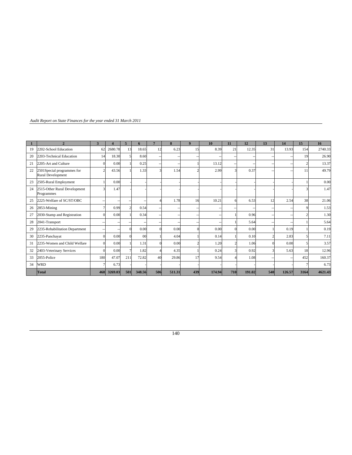| Audit Report on State Finances for the year ended 31 March 2011 |  |  |  |
|-----------------------------------------------------------------|--|--|--|
|                                                                 |  |  |  |

| $\mathbf{1}$ | $\overline{2}$                                  | 3   | $\boldsymbol{4}$ | 5   | 6              | $7\phantom{.0}$ | 8      | 9   | 10             | 11  | 12     | 13  | 14         | 15   | 16      |
|--------------|-------------------------------------------------|-----|------------------|-----|----------------|-----------------|--------|-----|----------------|-----|--------|-----|------------|------|---------|
| 19           | 2202-School Education                           | 62  | 2680.78          | 13  | 18.65          | 12              | 6.23   | 15  | 8.39           | 21  | 12.35  | 31  | 13.93      | 154  | 2740.33 |
| 20           | 2203-Technical Education                        | 14  | 18.30            |     | 8.60           | -               |        |     | $\sim$         |     |        |     |            | 19   | 26.90   |
| 21           | 2205-Art and Culture                            |     | 0.00             |     | 0.25           | $\sim$          |        |     | 13.12          |     | $\sim$ | $-$ |            |      | 13.37   |
| 22           | 2501Special programmes for<br>Rural Development | っ   | 43.56            |     | 1.33           |                 | 1.54   |     | 2.99           |     | 0.37   |     |            | 11   | 49.79   |
| 23           | 2505-Rural Employment                           |     | 0.00             |     |                |                 |        |     |                |     |        |     |            |      | 0.00    |
| 24           | 2515-Other Rural Development<br>Programmes      |     | 1.47             |     |                |                 |        |     |                |     |        |     |            |      | 1.47    |
| 25           | 2225-Welfare of SC/ST/OBC                       |     | $\sim$           |     |                |                 | 1.78   | 16  | 10.21          |     | 6.53   | 12  | 2.54       | 38   | 21.06   |
| 26           | $2853$ -Mining                                  |     | 0.99             |     | 0.54           | $\sim$          |        |     | $\sim$         |     |        |     |            |      | 1.53    |
| 27           | 2030-Stamp and Registration                     |     | 0.00             |     | 0.34           |                 |        |     | $\overline{a}$ |     | 0.96   |     |            |      | 1.30    |
| 28           | 2041-Transport                                  |     | $-$              |     |                |                 |        |     | $\sim$         |     | 5.64   |     |            |      | 5.64    |
| 29           | 2235-Rehabilitation Department                  |     |                  |     | 0.00           |                 | 0.00   |     | 0.00           |     | 0.00   |     | 0.19       |      | 0.19    |
| 30           | 2235-Panchayat                                  |     | 0.00             |     | 0 <sup>0</sup> |                 | 4.04   |     | 0.14           |     | 0.10   |     | 2.83       |      | 7.11    |
| 31           | 2235-Women and Child Welfare                    |     | 0.00             |     | 1.31           |                 | 0.00   |     | 1.20           |     | 1.06   |     | 0.00       |      | 3.57    |
| 32           | 2403-Veterinary Services                        |     | 0.00             |     | 1.82           |                 | 4.35   |     | 0.24           |     | 0.92   |     | 5.63       | 18   | 12.96   |
| 33           | 2055-Police                                     | 180 | 47.07            | 211 | 72.82          | 40              | 29.86  | 17  | 9.54           |     | 1.08   |     | $\sim$ $-$ | 452  | 160.37  |
| 34           | <b>WRD</b>                                      |     | 6.73             |     |                |                 |        |     |                |     |        |     |            |      | 6.73    |
|              | Total                                           | 468 | 3269.03          | 501 | 348.56         | 506             | 511.31 | 439 | 174.94         | 710 | 191.02 | 540 | 126.57     | 3164 | 4621.43 |

140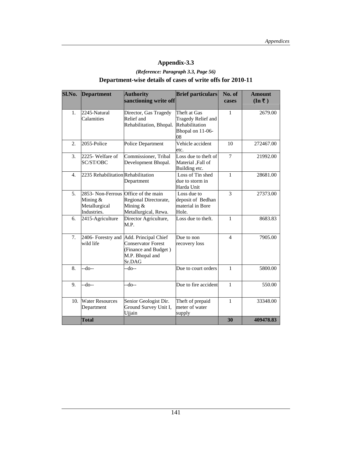# **Appendix-3.3**

# *(Reference: Paragraph 3.3, Page 56)*  **Department-wise details of cases of write offs for 2010-11**

| Sl.No.<br><b>Department</b> |                                                                                  | <b>Authority</b>                                                                                                          | <b>Brief particulars</b>                                                       | No. of         | <b>Amount</b>                      |
|-----------------------------|----------------------------------------------------------------------------------|---------------------------------------------------------------------------------------------------------------------------|--------------------------------------------------------------------------------|----------------|------------------------------------|
|                             |                                                                                  | sanctioning write off                                                                                                     |                                                                                | cases          | $(\text{In}\,\bar{\mathbf{\tau}})$ |
| 1.                          | 2245-Natural<br>Calamities                                                       | Director, Gas Tragedy<br>Relief and<br>Rehabilitation, Bhopal.                                                            | Theft at Gas<br>Tragedy Relief and<br>Rehabilitation<br>Bhopal on 11-06-<br>08 | 1              | 2679.00                            |
| $\overline{2}$ .            | 2055-Police                                                                      | Police Department                                                                                                         | Vehicle accident<br>etc.                                                       | 10             | 272467.00                          |
| 3.                          | 2225- Welfare of<br>SC/ST/OBC                                                    | Commissioner, Tribal<br>Development Bhopal.                                                                               | Loss due to theft of<br>Material ,Fall of<br>Building etc.                     | $\overline{7}$ | 21992.00                           |
| $\overline{4}$ .            | 2235 Rehabilitation Rehabilitation                                               | Department                                                                                                                | Loss of Tin shed<br>due to storm in<br>Harda Unit                              | $\mathbf{1}$   | 28681.00                           |
| 5.                          | 2853- Non-Ferrous Office of the main<br>Mining &<br>Metallurgical<br>Industries. | Regional Directorate,<br>Mining &<br>Metallurgical, Rewa.                                                                 | Loss due to<br>deposit of Bedhan<br>material in Bore<br>Hole.                  | 3              | 27373.00                           |
| 6.                          | 2415-Agriculture                                                                 | Director Agriculture,<br>M.P.                                                                                             | Loss due to theft.                                                             | $\mathbf{1}$   | 8683.83                            |
| 7.                          | wild life                                                                        | 2406- Forestry and Add. Principal Chief<br><b>Conservator Forest</b><br>(Finance and Budget)<br>M.P. Bhopal and<br>Sr.DAG | Due to non<br>recovery loss                                                    | $\overline{4}$ | 7905.00                            |
| 8.                          | --do--                                                                           | --do--                                                                                                                    | Due to court orders                                                            | $\mathbf{1}$   | 5800.00                            |
| 9.                          | $-do-$                                                                           | $-do-$                                                                                                                    | Due to fire accident                                                           | $\mathbf{1}$   | 550.00                             |
| 10.                         | <b>Water Resources</b><br>Department                                             | Senior Geologist Dir.<br>Ground Survey Unit I,<br>Ujjain                                                                  | Theft of prepaid<br>meter of water<br>supply                                   | $\mathbf{1}$   | 33348.00                           |
|                             | <b>Total</b>                                                                     |                                                                                                                           |                                                                                | 30             | 409478.83                          |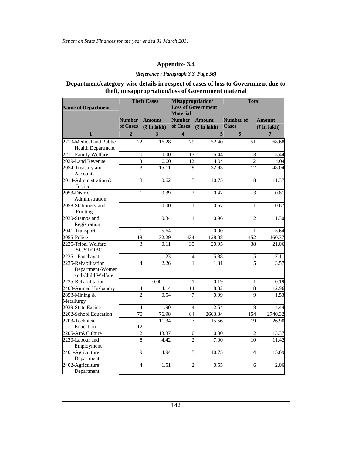## **Appendix- 3.4**

#### *(Reference : Paragraph 3.3, Page 56)*

### **Department/category-wise details in respect of cases of loss to Government due to theft, misappropriation/loss of Government material**

| <b>Name of Department</b>                                    |                           | <b>Theft Cases</b>            | Misappropriation/<br><b>Total</b><br><b>Loss of Government</b><br><b>Material</b> |                                                   |                           |                                                                   |
|--------------------------------------------------------------|---------------------------|-------------------------------|-----------------------------------------------------------------------------------|---------------------------------------------------|---------------------------|-------------------------------------------------------------------|
|                                                              | <b>Number</b><br>of Cases | <b>Amount</b><br>( ₹ in 1akh) | <b>Number</b><br>of Cases                                                         | <b>Amount</b><br>$\sqrt{\overline{\xi}}$ in lakh) | Number of<br><b>Cases</b> | <b>Amount</b><br>$(\overline{\mathbf{\overline{\zeta}}}$ in lakh) |
| $\mathbf{1}$                                                 | $\overline{2}$            | 3                             | $\overline{\mathbf{4}}$                                                           | 5                                                 | 6                         | $\overline{7}$                                                    |
| 2210-Medical and Public                                      | 22                        | 16.28                         | 29                                                                                | 52.40                                             | 51                        | 68.68                                                             |
| <b>Health Department</b>                                     |                           |                               |                                                                                   |                                                   |                           |                                                                   |
| 2211-Family Welfare                                          | $\boldsymbol{0}$          | 0.00                          | 13                                                                                | 5.44                                              | 13                        | 5.44                                                              |
| 2029-Land Revenue                                            | $\boldsymbol{0}$          | 0.00                          | 12                                                                                | 4.04                                              | 12                        | 4.04                                                              |
| 2054-Treasury and<br>Accounts                                | $\overline{3}$            | 15.11                         | 9                                                                                 | 32.93                                             | 12                        | 48.04                                                             |
| 2014-Administration &<br>Justice                             | 3                         | 0.62                          | 5                                                                                 | 10.75                                             | 8                         | 11.37                                                             |
| 2053-District<br>Administration                              | $\mathbf{1}$              | 0.39                          | $\overline{2}$                                                                    | 0.42                                              | $\overline{3}$            | 0.81                                                              |
| 2058-Stationery and<br>Printing                              |                           | 0.00                          |                                                                                   | 0.67                                              | $\mathbf{1}$              | 0.67                                                              |
| 2030-Stamps and<br>Registration                              | $\mathbf{1}$              | 0.34                          |                                                                                   | 0.96                                              | $\overline{2}$            | 1.30                                                              |
| 2041-Transport                                               | $\mathbf{1}$              | 5.64                          |                                                                                   | 0.00                                              | 1                         | 5.64                                                              |
| 2055-Police                                                  | $\overline{18}$           | 32.29                         | 434                                                                               | 128.08                                            | 452                       | 160.37                                                            |
| 2225-Tribal Welfare<br>SC/ST/OBC                             | 3                         | 0.11                          | 35                                                                                | 20.95                                             | 38                        | 21.06                                                             |
| 2235- Panchayat                                              | $\mathbf{1}$              | 1.23                          | $\overline{4}$                                                                    | 5.88                                              | 5                         | 7.11                                                              |
| 2235-Rehabilitation<br>Department-Women<br>and Child Welfare | $\overline{4}$            | 2.26                          |                                                                                   | 1.31                                              | 5                         | 3.57                                                              |
| 2235-Rehabilitation                                          |                           | 0.00                          | 1                                                                                 | 0.19                                              | 1                         | 0.19                                                              |
| 2403-Animal Husbandry                                        | $\overline{4}$            | 4.14                          | 14                                                                                | 8.82                                              | 18                        | 12.96                                                             |
| 2853-Mining &<br>Metallurgy                                  | $\overline{2}$            | 0.54                          |                                                                                   | 0.99                                              | 9                         | 1.53                                                              |
| 2039-State Excise                                            | $\overline{4}$            | 1.90                          | $\overline{4}$                                                                    | 2.54                                              | $\overline{8}$            | 4.44                                                              |
| 2202-School Education                                        | $\overline{70}$           | $\overline{76.98}$            | $\overline{84}$                                                                   | 2663.34                                           | 154                       | 2740.32                                                           |
| 2203-Technical<br>Education                                  | 12                        | 11.34                         |                                                                                   | 15.56                                             | 19                        | 26.90                                                             |
| 2205-Art&Culture                                             | $\overline{c}$            | 13.37                         | $\overline{0}$                                                                    | 0.00                                              | $\overline{c}$            | 13.37                                                             |
| 2230-Labour and<br>Employment                                | $\overline{8}$            | 4.42                          | $\overline{\mathcal{L}}$                                                          | 7.00                                              | 10                        | 11.42                                                             |
| 2401-Agriculture<br>Department                               | $\overline{9}$            | 4.94                          | 5                                                                                 | 10.75                                             | 14                        | 15.69                                                             |
| 2402-Agriculture<br>Department                               | $\overline{4}$            | 1.51                          | $\overline{2}$                                                                    | 0.55                                              | 6                         | 2.06                                                              |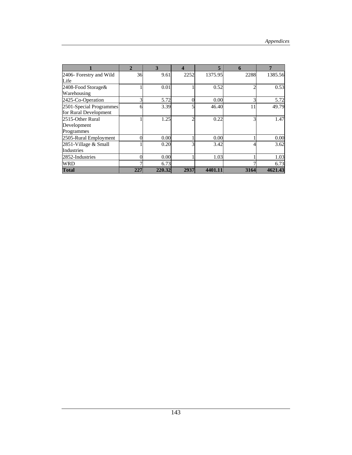|                         | $\overline{2}$ | 3      | 4    | 5       | 6    | 7       |
|-------------------------|----------------|--------|------|---------|------|---------|
| 2406- Forestry and Wild | 36             | 9.61   | 2252 | 1375.95 | 2288 | 1385.56 |
| Life                    |                |        |      |         |      |         |
| 2408-Food Storage&      |                | 0.01   |      | 0.52    | ◠    | 0.53    |
| Warehousing             |                |        |      |         |      |         |
| 2425-Co-Operation       |                | 5.72   |      | 0.00    | 3    | 5.72    |
| 2501-Special Programmes |                | 3.39   |      | 46.40   | 11   | 49.79   |
| for Rural Development   |                |        |      |         |      |         |
| 2515-Other Rural        |                | 1.25   |      | 0.22    | 3    | 1.47    |
| Development             |                |        |      |         |      |         |
| Programmes              |                |        |      |         |      |         |
| 2505-Rural Employment   |                | 0.00   |      | 0.00    |      | 0.00    |
| 2851-Village & Small    |                | 0.20   |      | 3.42    |      | 3.62    |
| Industries              |                |        |      |         |      |         |
| 2852-Industries         |                | 0.00   |      | 1.03    |      | 1.03    |
| <b>WRD</b>              |                | 6.73   |      |         |      | 6.73    |
| <b>Total</b>            | 227            | 220.32 | 2937 | 4401.11 | 3164 | 4621.43 |